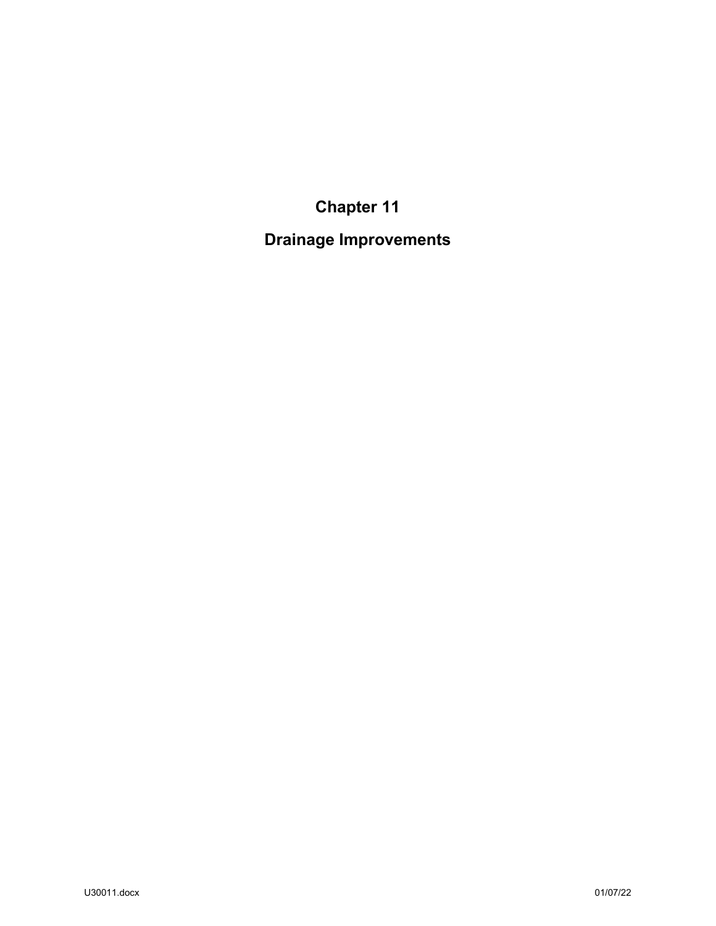**Chapter 11**

**Drainage Improvements**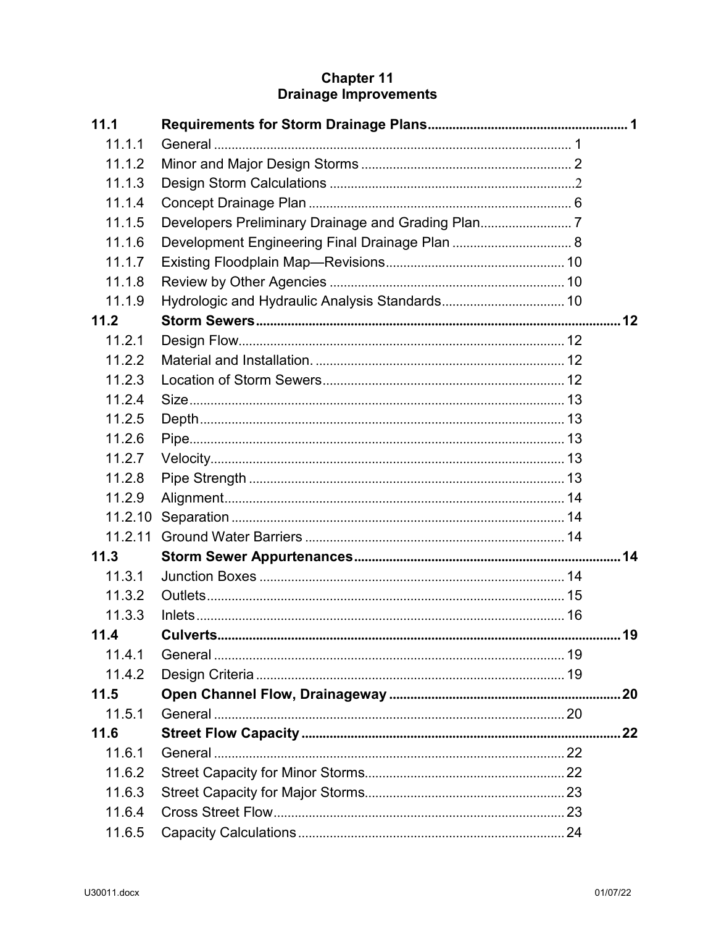# **Chapter 11**<br>Drainage Improvements

| 11.1    |  |    |
|---------|--|----|
| 11.1.1  |  |    |
| 11.1.2  |  |    |
| 11.1.3  |  |    |
| 11.1.4  |  |    |
| 11.1.5  |  |    |
| 11.1.6  |  |    |
| 11.1.7  |  |    |
| 11.1.8  |  |    |
| 11.1.9  |  |    |
| 11.2    |  |    |
| 11.2.1  |  |    |
| 11.2.2  |  |    |
| 11.2.3  |  |    |
| 11.2.4  |  |    |
| 11.2.5  |  |    |
| 11.2.6  |  |    |
| 11.2.7  |  |    |
| 11.2.8  |  |    |
| 11.2.9  |  |    |
| 11.2.10 |  |    |
| 11.2.11 |  |    |
| 11.3    |  |    |
| 11.3.1  |  |    |
| 11.3.2  |  |    |
| 11.3.3  |  |    |
| 11.4    |  | 19 |
| 11.4.1  |  |    |
| 11.4.2  |  |    |
| 11.5    |  |    |
| 11.5.1  |  |    |
| 11.6    |  |    |
| 11.6.1  |  |    |
| 11.6.2  |  |    |
| 11.6.3  |  |    |
| 11.6.4  |  |    |
| 11.6.5  |  |    |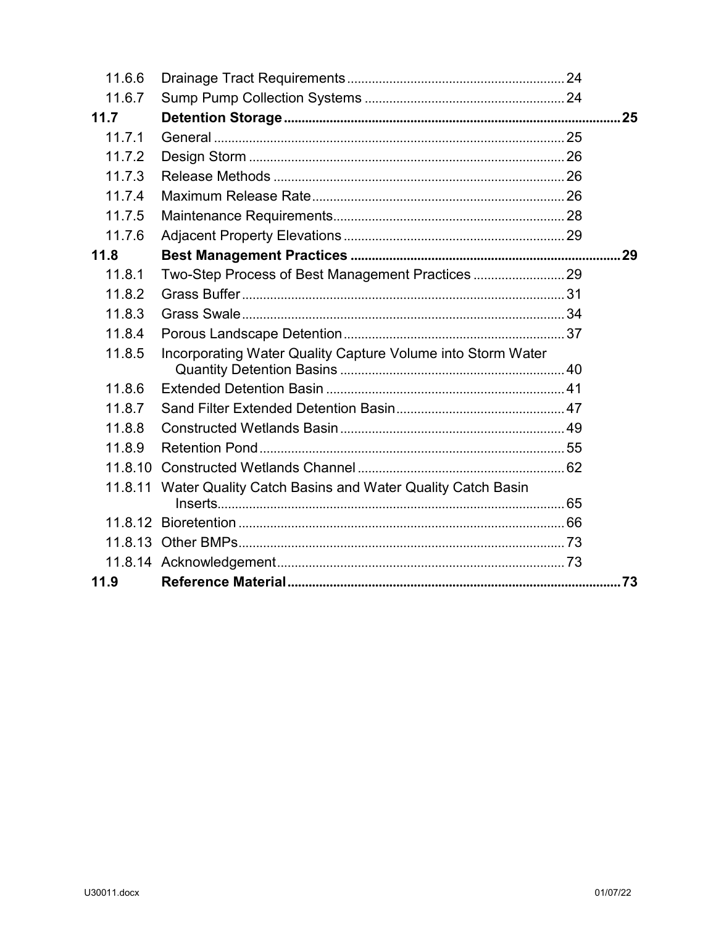| 11.6.6  |                                                                  |     |
|---------|------------------------------------------------------------------|-----|
| 11.6.7  |                                                                  |     |
| 11.7    |                                                                  | .25 |
| 11.7.1  |                                                                  |     |
| 11.7.2  |                                                                  |     |
| 11.7.3  |                                                                  |     |
| 11.7.4  |                                                                  |     |
| 11.7.5  |                                                                  |     |
| 11.7.6  |                                                                  |     |
| 11.8    |                                                                  |     |
| 11.8.1  |                                                                  |     |
| 11.8.2  |                                                                  |     |
| 11.8.3  |                                                                  |     |
| 11.8.4  |                                                                  |     |
| 11.8.5  | Incorporating Water Quality Capture Volume into Storm Water      |     |
|         |                                                                  |     |
| 11.8.6  |                                                                  |     |
| 11.8.7  |                                                                  |     |
| 11.8.8  |                                                                  |     |
| 11.8.9  |                                                                  |     |
| 11.8.10 |                                                                  |     |
|         | 11.8.11 Water Quality Catch Basins and Water Quality Catch Basin |     |
|         |                                                                  |     |
| 11.8.12 |                                                                  |     |
|         |                                                                  |     |
|         |                                                                  |     |
| 11.9    |                                                                  |     |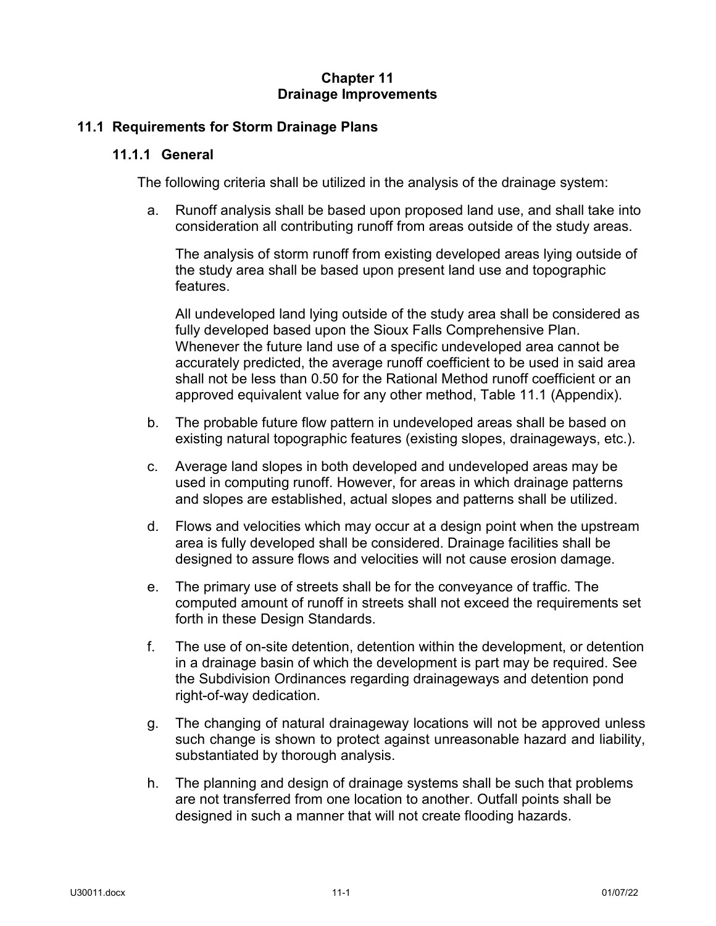## **Chapter 11 Drainage Improvements**

## <span id="page-3-1"></span><span id="page-3-0"></span>**11.1 Requirements for Storm Drainage Plans**

## **11.1.1 General**

The following criteria shall be utilized in the analysis of the drainage system:

a. Runoff analysis shall be based upon proposed land use, and shall take into consideration all contributing runoff from areas outside of the study areas.

The analysis of storm runoff from existing developed areas lying outside of the study area shall be based upon present land use and topographic features.

All undeveloped land lying outside of the study area shall be considered as fully developed based upon the Sioux Falls Comprehensive Plan. Whenever the future land use of a specific undeveloped area cannot be accurately predicted, the average runoff coefficient to be used in said area shall not be less than 0.50 for the Rational Method runoff coefficient or an approved equivalent value for any other method, Table 11.1 (Appendix).

- b. The probable future flow pattern in undeveloped areas shall be based on existing natural topographic features (existing slopes, drainageways, etc.).
- c. Average land slopes in both developed and undeveloped areas may be used in computing runoff. However, for areas in which drainage patterns and slopes are established, actual slopes and patterns shall be utilized.
- d. Flows and velocities which may occur at a design point when the upstream area is fully developed shall be considered. Drainage facilities shall be designed to assure flows and velocities will not cause erosion damage.
- e. The primary use of streets shall be for the conveyance of traffic. The computed amount of runoff in streets shall not exceed the requirements set forth in these Design Standards.
- f. The use of on-site detention, detention within the development, or detention in a drainage basin of which the development is part may be required. See the Subdivision Ordinances regarding drainageways and detention pond right-of-way dedication.
- g. The changing of natural drainageway locations will not be approved unless such change is shown to protect against unreasonable hazard and liability, substantiated by thorough analysis.
- h. The planning and design of drainage systems shall be such that problems are not transferred from one location to another. Outfall points shall be designed in such a manner that will not create flooding hazards.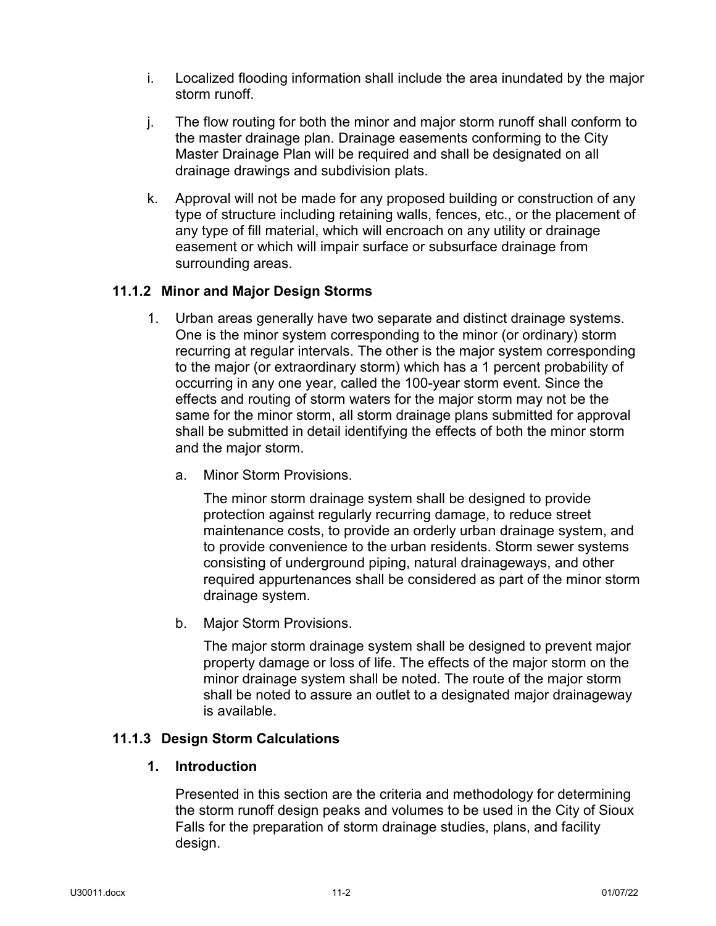- i. Localized flooding information shall include the area inundated by the major storm runoff.
- j. The flow routing for both the minor and major storm runoff shall conform to the master drainage plan. Drainage easements conforming to the City Master Drainage Plan will be required and shall be designated on all drainage drawings and subdivision plats.
- k. Approval will not be made for any proposed building or construction of any type of structure including retaining walls, fences, etc., or the placement of any type of fill material, which will encroach on any utility or drainage easement or which will impair surface or subsurface drainage from surrounding areas.

## <span id="page-4-0"></span>**11.1.2 Minor and Major Design Storms**

- 1. Urban areas generally have two separate and distinct drainage systems. One is the minor system corresponding to the minor (or ordinary) storm recurring at regular intervals. The other is the major system corresponding to the major (or extraordinary storm) which has a 1 percent probability of occurring in any one year, called the 100-year storm event. Since the effects and routing of storm waters for the major storm may not be the same for the minor storm, all storm drainage plans submitted for approval shall be submitted in detail identifying the effects of both the minor storm and the major storm.
	- a. Minor Storm Provisions.

The minor storm drainage system shall be designed to provide protection against regularly recurring damage, to reduce street maintenance costs, to provide an orderly urban drainage system, and to provide convenience to the urban residents. Storm sewer systems consisting of underground piping, natural drainageways, and other required appurtenances shall be considered as part of the minor storm drainage system.

b. Major Storm Provisions.

The major storm drainage system shall be designed to prevent major property damage or loss of life. The effects of the major storm on the minor drainage system shall be noted. The route of the major storm shall be noted to assure an outlet to a designated major drainageway is available.

## <span id="page-4-1"></span>**11.1.3 Design Storm Calculations**

## **1. Introduction**

Presented in this section are the criteria and methodology for determining the storm runoff design peaks and volumes to be used in the City of Sioux Falls for the preparation of storm drainage studies, plans, and facility design.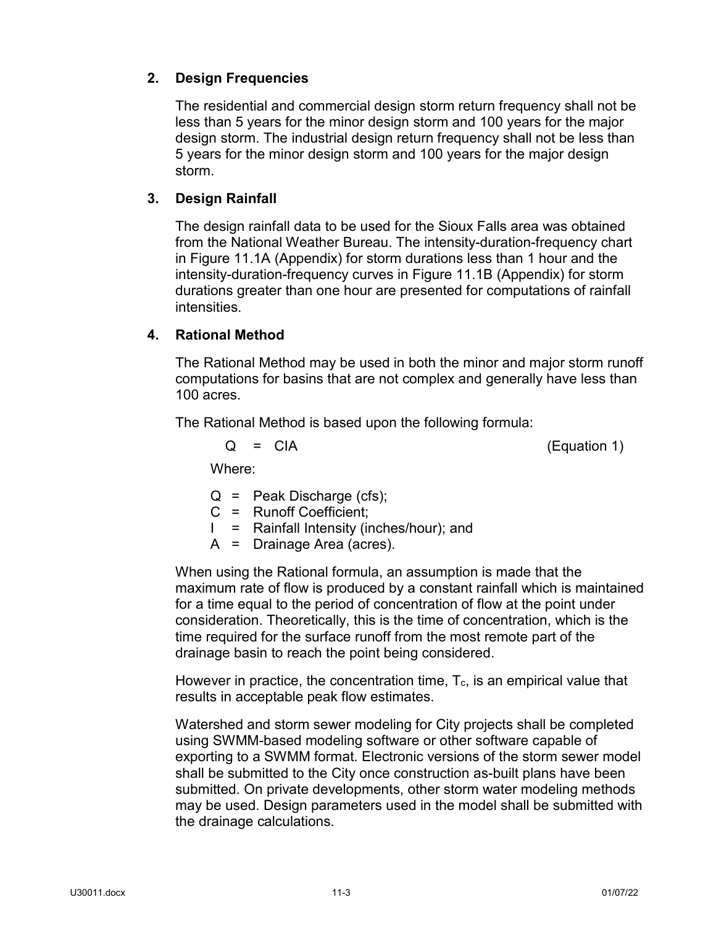# **2. Design Frequencies**

The residential and commercial design storm return frequency shall not be less than 5 years for the minor design storm and 100 years for the major design storm. The industrial design return frequency shall not be less than 5 years for the minor design storm and 100 years for the major design storm.

# **3. Design Rainfall**

The design rainfall data to be used for the Sioux Falls area was obtained from the National Weather Bureau. The intensity-duration-frequency chart in Figure 11.1A (Appendix) for storm durations less than 1 hour and the intensity-duration-frequency curves in Figure 11.1B (Appendix) for storm durations greater than one hour are presented for computations of rainfall intensities.

# **4. Rational Method**

The Rational Method may be used in both the minor and major storm runoff computations for basins that are not complex and generally have less than 100 acres.

The Rational Method is based upon the following formula:

 $Q = CIA$  (Equation 1)

Where:

- $Q =$  Peak Discharge (cfs):
- C = Runoff Coefficient;
- I = Rainfall Intensity (inches/hour); and
- A = Drainage Area (acres).

When using the Rational formula, an assumption is made that the maximum rate of flow is produced by a constant rainfall which is maintained for a time equal to the period of concentration of flow at the point under consideration. Theoretically, this is the time of concentration, which is the time required for the surface runoff from the most remote part of the drainage basin to reach the point being considered.

However in practice, the concentration time,  $T_c$ , is an empirical value that results in acceptable peak flow estimates.

Watershed and storm sewer modeling for City projects shall be completed using SWMM-based modeling software or other software capable of exporting to a SWMM format. Electronic versions of the storm sewer model shall be submitted to the City once construction as-built plans have been submitted. On private developments, other storm water modeling methods may be used. Design parameters used in the model shall be submitted with the drainage calculations.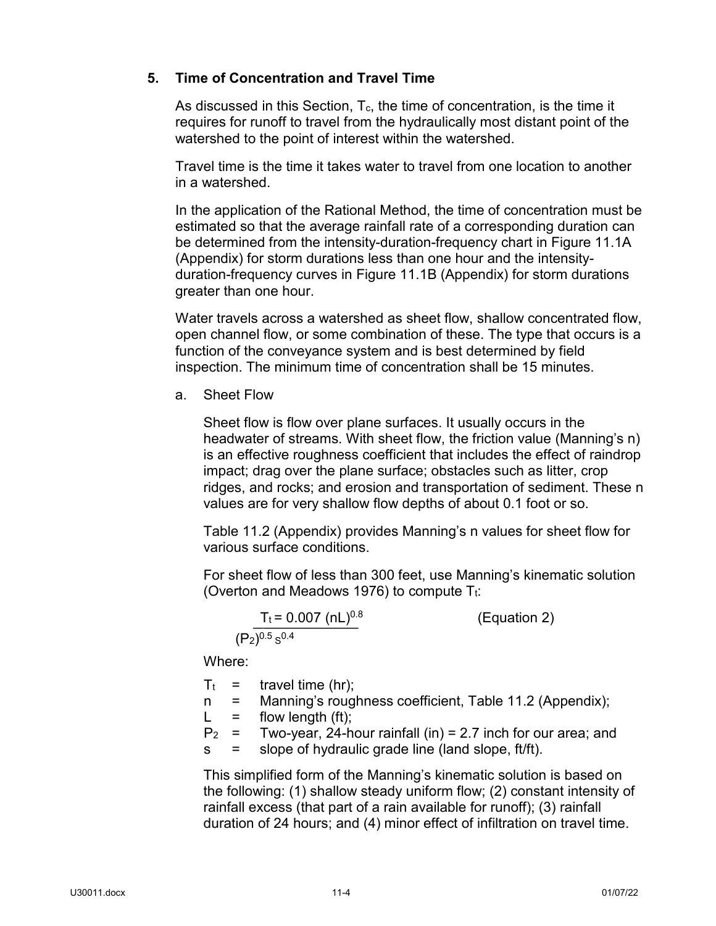# **5. Time of Concentration and Travel Time**

As discussed in this Section,  $T_c$ , the time of concentration, is the time it requires for runoff to travel from the hydraulically most distant point of the watershed to the point of interest within the watershed.

Travel time is the time it takes water to travel from one location to another in a watershed.

In the application of the Rational Method, the time of concentration must be estimated so that the average rainfall rate of a corresponding duration can be determined from the intensity-duration-frequency chart in Figure 11.1A (Appendix) for storm durations less than one hour and the intensityduration-frequency curves in Figure 11.1B (Appendix) for storm durations greater than one hour.

Water travels across a watershed as sheet flow, shallow concentrated flow, open channel flow, or some combination of these. The type that occurs is a function of the conveyance system and is best determined by field inspection. The minimum time of concentration shall be 15 minutes.

a. Sheet Flow

Sheet flow is flow over plane surfaces. It usually occurs in the headwater of streams. With sheet flow, the friction value (Manning's n) is an effective roughness coefficient that includes the effect of raindrop impact; drag over the plane surface; obstacles such as litter, crop ridges, and rocks; and erosion and transportation of sediment. These n values are for very shallow flow depths of about 0.1 foot or so.

Table 11.2 (Appendix) provides Manning's n values for sheet flow for various surface conditions.

For sheet flow of less than 300 feet, use Manning's kinematic solution (Overton and Meadows 1976) to compute  $T_t$ :

$$
\frac{T_t = 0.007 \text{ (nL)}^{0.8}}{(P_2)^{0.5} \text{ s}^{0.4}}
$$
 (Equation 2)

Where:

 $T_t$  = travel time (hr);

- n = Manning's roughness coefficient, Table 11.2 (Appendix);
- $L =$  flow length (ft);

 $P_2$  = Two-year, 24-hour rainfall (in) = 2.7 inch for our area; and

s = slope of hydraulic grade line (land slope, ft/ft).

This simplified form of the Manning's kinematic solution is based on the following: (1) shallow steady uniform flow; (2) constant intensity of rainfall excess (that part of a rain available for runoff); (3) rainfall duration of 24 hours; and (4) minor effect of infiltration on travel time.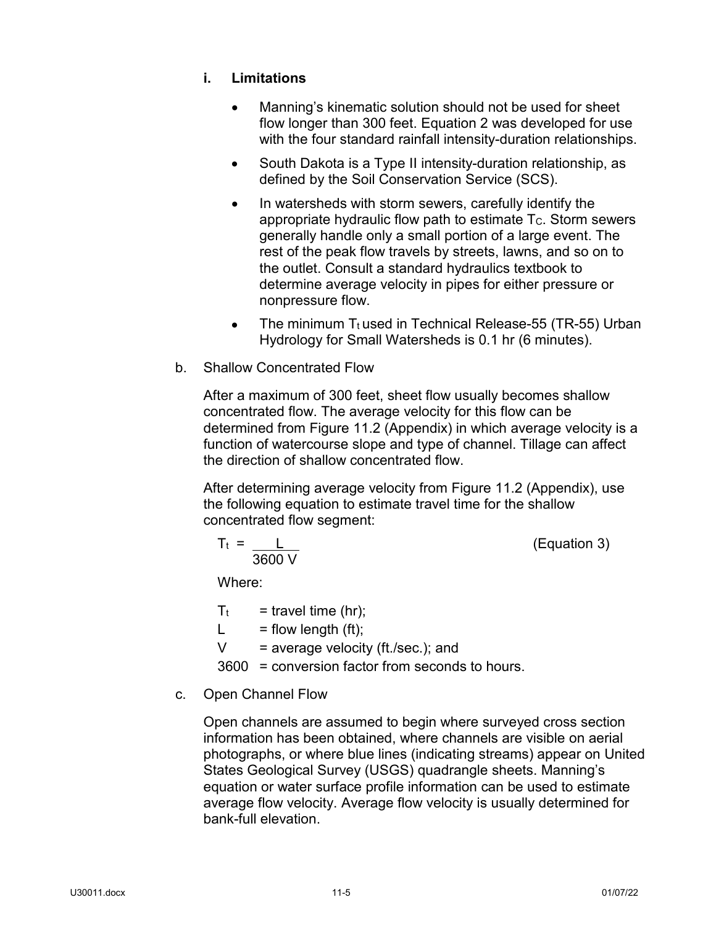# **i. Limitations**

- Manning's kinematic solution should not be used for sheet flow longer than 300 feet. Equation 2 was developed for use with the four standard rainfall intensity-duration relationships.
- South Dakota is a Type II intensity-duration relationship, as defined by the Soil Conservation Service (SCS).
- In watersheds with storm sewers, carefully identify the appropriate hydraulic flow path to estimate  $T_c$ . Storm sewers generally handle only a small portion of a large event. The rest of the peak flow travels by streets, lawns, and so on to the outlet. Consult a standard hydraulics textbook to determine average velocity in pipes for either pressure or nonpressure flow.
- The minimum  $T_t$  used in Technical Release-55 (TR-55) Urban Hydrology for Small Watersheds is 0.1 hr (6 minutes).
- b. Shallow Concentrated Flow

After a maximum of 300 feet, sheet flow usually becomes shallow concentrated flow. The average velocity for this flow can be determined from Figure 11.2 (Appendix) in which average velocity is a function of watercourse slope and type of channel. Tillage can affect the direction of shallow concentrated flow.

After determining average velocity from Figure 11.2 (Appendix), use the following equation to estimate travel time for the shallow concentrated flow segment:

$$
T_t = \frac{L}{3600 \text{ V}}
$$

 $(Equation 3)$ 

Where:

- $T_t$  = travel time (hr);
- $L =$  flow length (ft);
- $V = average velocity (ft./sec.); and$

3600 = conversion factor from seconds to hours.

# c. Open Channel Flow

Open channels are assumed to begin where surveyed cross section information has been obtained, where channels are visible on aerial photographs, or where blue lines (indicating streams) appear on United States Geological Survey (USGS) quadrangle sheets. Manning's equation or water surface profile information can be used to estimate average flow velocity. Average flow velocity is usually determined for bank-full elevation.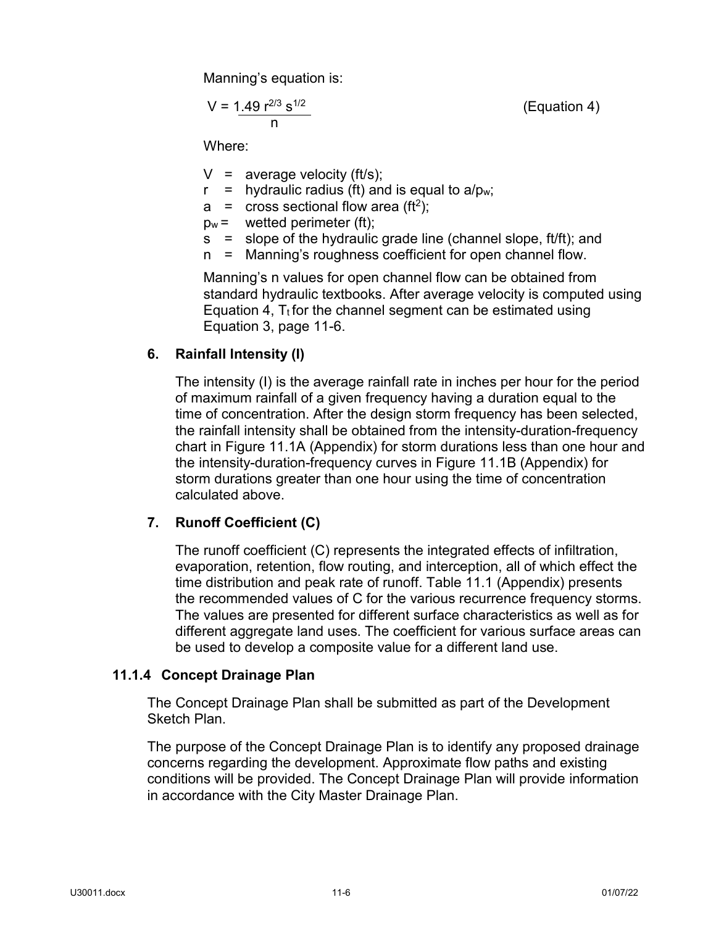Manning's equation is:

$$
V = 1.49 r^{2/3} s^{1/2}
$$
 (Equation 4)

Where:

- $V =$  average velocity (ft/s);
- $r =$  hydraulic radius (ft) and is equal to a/pw;
- $a = \csc$  sectional flow area (ft<sup>2</sup>);
- $p_w =$  wetted perimeter (ft);
- s = slope of the hydraulic grade line (channel slope, ft/ft); and
- n = Manning's roughness coefficient for open channel flow.

Manning's n values for open channel flow can be obtained from standard hydraulic textbooks. After average velocity is computed using Equation 4,  $T_t$  for the channel segment can be estimated using Equation 3, page 11-6.

## **6. Rainfall Intensity (I)**

The intensity (I) is the average rainfall rate in inches per hour for the period of maximum rainfall of a given frequency having a duration equal to the time of concentration. After the design storm frequency has been selected, the rainfall intensity shall be obtained from the intensity-duration-frequency chart in Figure 11.1A (Appendix) for storm durations less than one hour and the intensity-duration-frequency curves in Figure 11.1B (Appendix) for storm durations greater than one hour using the time of concentration calculated above.

# **7. Runoff Coefficient (C)**

The runoff coefficient (C) represents the integrated effects of infiltration, evaporation, retention, flow routing, and interception, all of which effect the time distribution and peak rate of runoff. Table 11.1 (Appendix) presents the recommended values of C for the various recurrence frequency storms. The values are presented for different surface characteristics as well as for different aggregate land uses. The coefficient for various surface areas can be used to develop a composite value for a different land use.

## <span id="page-8-0"></span>**11.1.4 Concept Drainage Plan**

The Concept Drainage Plan shall be submitted as part of the Development Sketch Plan.

The purpose of the Concept Drainage Plan is to identify any proposed drainage concerns regarding the development. Approximate flow paths and existing conditions will be provided. The Concept Drainage Plan will provide information in accordance with the City Master Drainage Plan.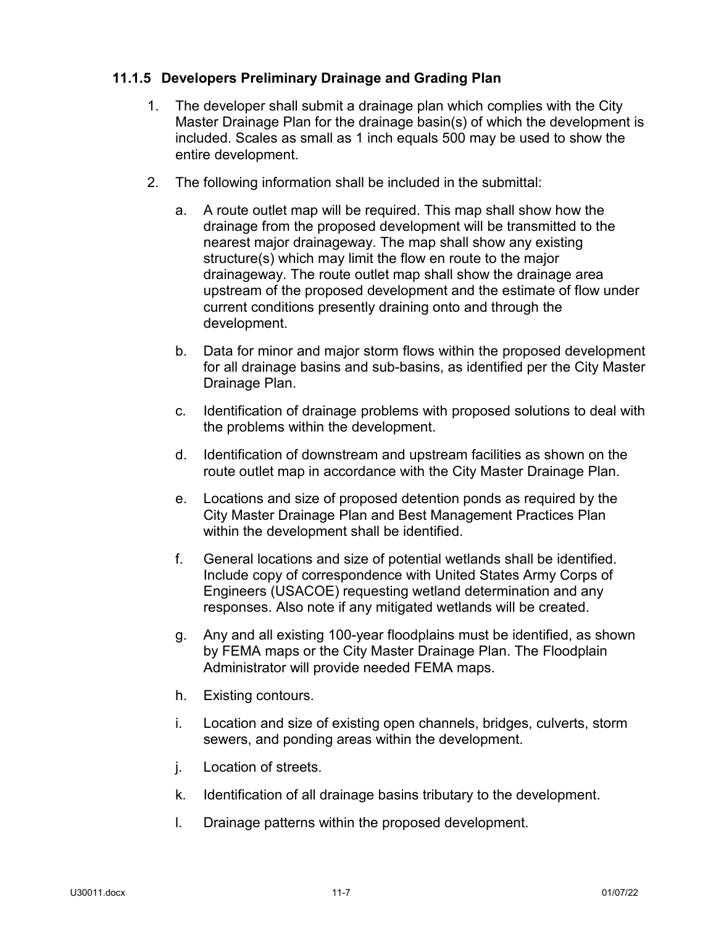# <span id="page-9-0"></span>**11.1.5 Developers Preliminary Drainage and Grading Plan**

- 1. The developer shall submit a drainage plan which complies with the City Master Drainage Plan for the drainage basin(s) of which the development is included. Scales as small as 1 inch equals 500 may be used to show the entire development.
- 2. The following information shall be included in the submittal:
	- a. A route outlet map will be required. This map shall show how the drainage from the proposed development will be transmitted to the nearest major drainageway. The map shall show any existing structure(s) which may limit the flow en route to the major drainageway. The route outlet map shall show the drainage area upstream of the proposed development and the estimate of flow under current conditions presently draining onto and through the development.
	- b. Data for minor and major storm flows within the proposed development for all drainage basins and sub-basins, as identified per the City Master Drainage Plan.
	- c. Identification of drainage problems with proposed solutions to deal with the problems within the development.
	- d. Identification of downstream and upstream facilities as shown on the route outlet map in accordance with the City Master Drainage Plan.
	- e. Locations and size of proposed detention ponds as required by the City Master Drainage Plan and Best Management Practices Plan within the development shall be identified.
	- f. General locations and size of potential wetlands shall be identified. Include copy of correspondence with United States Army Corps of Engineers (USACOE) requesting wetland determination and any responses. Also note if any mitigated wetlands will be created.
	- g. Any and all existing 100-year floodplains must be identified, as shown by FEMA maps or the City Master Drainage Plan. The Floodplain Administrator will provide needed FEMA maps.
	- h. Existing contours.
	- i. Location and size of existing open channels, bridges, culverts, storm sewers, and ponding areas within the development.
	- j. Location of streets.
	- k. Identification of all drainage basins tributary to the development.
	- l. Drainage patterns within the proposed development.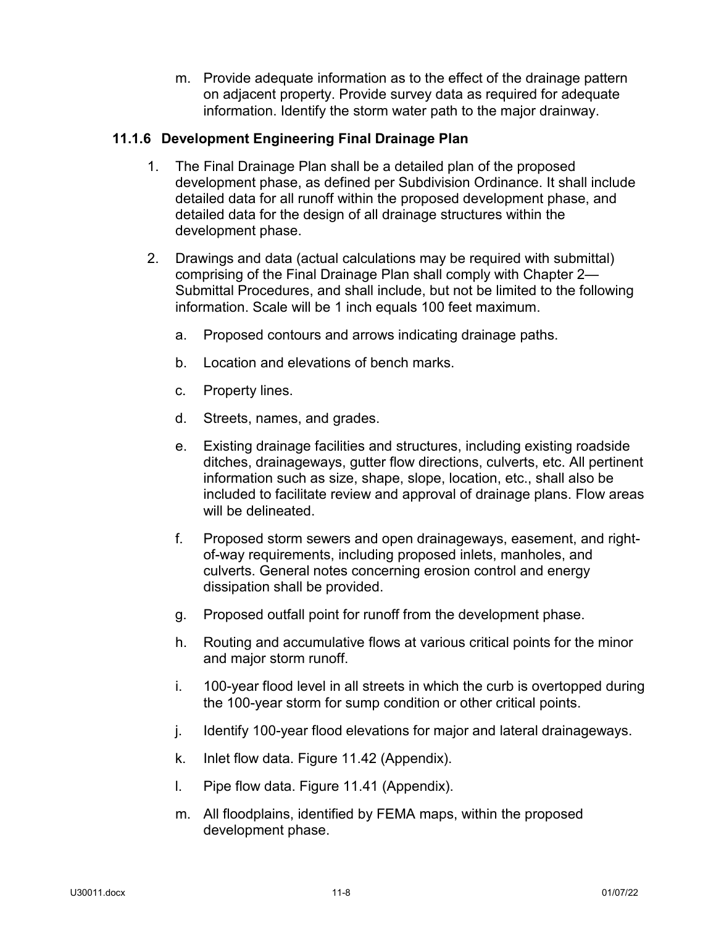m. Provide adequate information as to the effect of the drainage pattern on adjacent property. Provide survey data as required for adequate information. Identify the storm water path to the major drainway.

## <span id="page-10-0"></span>**11.1.6 Development Engineering Final Drainage Plan**

- 1. The Final Drainage Plan shall be a detailed plan of the proposed development phase, as defined per Subdivision Ordinance. It shall include detailed data for all runoff within the proposed development phase, and detailed data for the design of all drainage structures within the development phase.
- 2. Drawings and data (actual calculations may be required with submittal) comprising of the Final Drainage Plan shall comply with Chapter 2— Submittal Procedures, and shall include, but not be limited to the following information. Scale will be 1 inch equals 100 feet maximum.
	- a. Proposed contours and arrows indicating drainage paths.
	- b. Location and elevations of bench marks.
	- c. Property lines.
	- d. Streets, names, and grades.
	- e. Existing drainage facilities and structures, including existing roadside ditches, drainageways, gutter flow directions, culverts, etc. All pertinent information such as size, shape, slope, location, etc., shall also be included to facilitate review and approval of drainage plans. Flow areas will be delineated.
	- f. Proposed storm sewers and open drainageways, easement, and rightof-way requirements, including proposed inlets, manholes, and culverts. General notes concerning erosion control and energy dissipation shall be provided.
	- g. Proposed outfall point for runoff from the development phase.
	- h. Routing and accumulative flows at various critical points for the minor and major storm runoff.
	- i. 100-year flood level in all streets in which the curb is overtopped during the 100-year storm for sump condition or other critical points.
	- j. Identify 100-year flood elevations for major and lateral drainageways.
	- k. Inlet flow data. Figure 11.42 (Appendix).
	- l. Pipe flow data. Figure 11.41 (Appendix).
	- m. All floodplains, identified by FEMA maps, within the proposed development phase.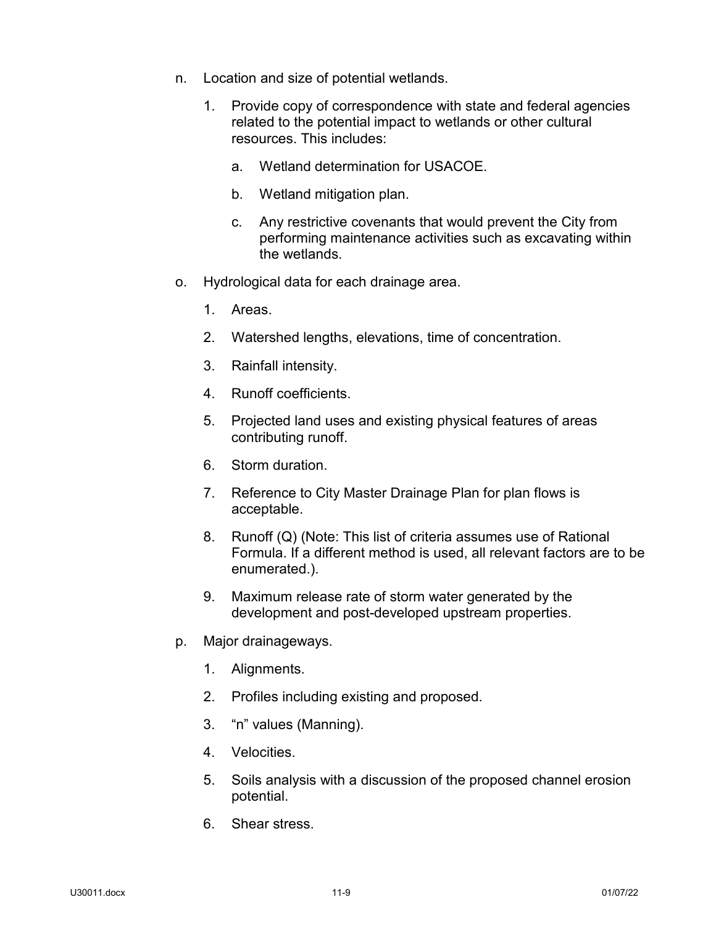- n. Location and size of potential wetlands.
	- 1. Provide copy of correspondence with state and federal agencies related to the potential impact to wetlands or other cultural resources. This includes:
		- a. Wetland determination for USACOE.
		- b. Wetland mitigation plan.
		- c. Any restrictive covenants that would prevent the City from performing maintenance activities such as excavating within the wetlands.
- o. Hydrological data for each drainage area.
	- 1. Areas.
	- 2. Watershed lengths, elevations, time of concentration.
	- 3. Rainfall intensity.
	- 4. Runoff coefficients.
	- 5. Projected land uses and existing physical features of areas contributing runoff.
	- 6. Storm duration.
	- 7. Reference to City Master Drainage Plan for plan flows is acceptable.
	- 8. Runoff (Q) (Note: This list of criteria assumes use of Rational Formula. If a different method is used, all relevant factors are to be enumerated.).
	- 9. Maximum release rate of storm water generated by the development and post-developed upstream properties.
- p. Major drainageways.
	- 1. Alignments.
	- 2. Profiles including existing and proposed.
	- 3. "n" values (Manning).
	- 4. Velocities.
	- 5. Soils analysis with a discussion of the proposed channel erosion potential.
	- 6. Shear stress.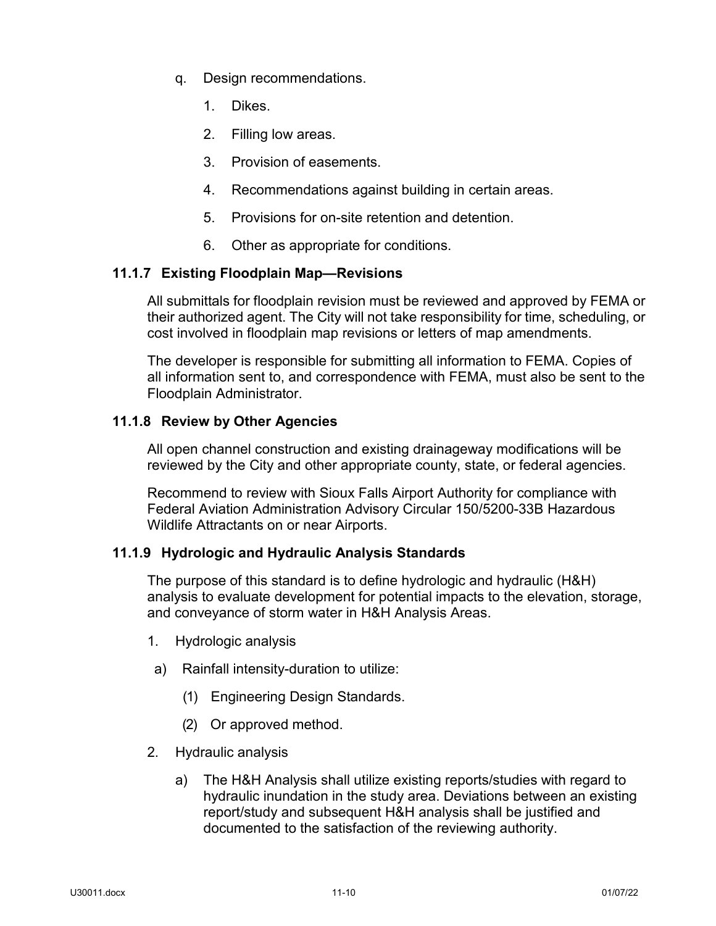- q. Design recommendations.
	- 1. Dikes.
	- 2. Filling low areas.
	- 3. Provision of easements.
	- 4. Recommendations against building in certain areas.
	- 5. Provisions for on-site retention and detention.
	- 6. Other as appropriate for conditions.

## <span id="page-12-0"></span>**11.1.7 Existing Floodplain Map—Revisions**

All submittals for floodplain revision must be reviewed and approved by FEMA or their authorized agent. The City will not take responsibility for time, scheduling, or cost involved in floodplain map revisions or letters of map amendments.

The developer is responsible for submitting all information to FEMA. Copies of all information sent to, and correspondence with FEMA, must also be sent to the Floodplain Administrator.

## <span id="page-12-1"></span>**11.1.8 Review by Other Agencies**

All open channel construction and existing drainageway modifications will be reviewed by the City and other appropriate county, state, or federal agencies.

Recommend to review with Sioux Falls Airport Authority for compliance with Federal Aviation Administration Advisory Circular 150/5200-33B Hazardous Wildlife Attractants on or near Airports.

## <span id="page-12-2"></span>**11.1.9 Hydrologic and Hydraulic Analysis Standards**

The purpose of this standard is to define hydrologic and hydraulic (H&H) analysis to evaluate development for potential impacts to the elevation, storage, and conveyance of storm water in H&H Analysis Areas.

- 1. Hydrologic analysis
- a) Rainfall intensity-duration to utilize:
	- (1) Engineering Design Standards.
	- (2) Or approved method.
- 2. Hydraulic analysis
	- a) The H&H Analysis shall utilize existing reports/studies with regard to hydraulic inundation in the study area. Deviations between an existing report/study and subsequent H&H analysis shall be justified and documented to the satisfaction of the reviewing authority.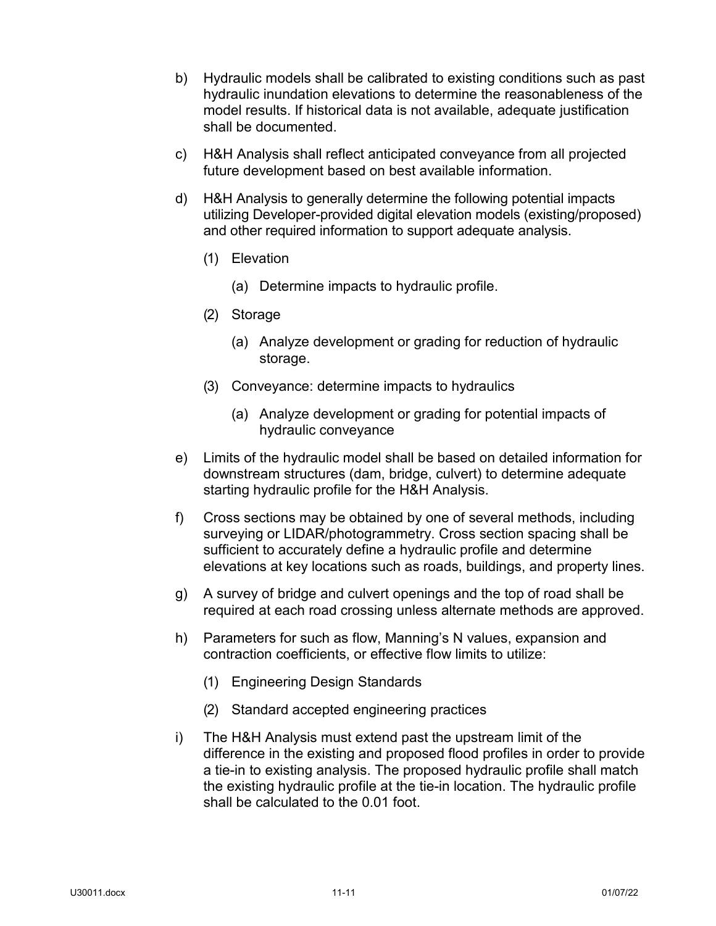- b) Hydraulic models shall be calibrated to existing conditions such as past hydraulic inundation elevations to determine the reasonableness of the model results. If historical data is not available, adequate justification shall be documented.
- c) H&H Analysis shall reflect anticipated conveyance from all projected future development based on best available information.
- d) H&H Analysis to generally determine the following potential impacts utilizing Developer-provided digital elevation models (existing/proposed) and other required information to support adequate analysis.
	- (1) Elevation
		- (a) Determine impacts to hydraulic profile.
	- (2) Storage
		- (a) Analyze development or grading for reduction of hydraulic storage.
	- (3) Conveyance: determine impacts to hydraulics
		- (a) Analyze development or grading for potential impacts of hydraulic conveyance
- e) Limits of the hydraulic model shall be based on detailed information for downstream structures (dam, bridge, culvert) to determine adequate starting hydraulic profile for the H&H Analysis.
- f) Cross sections may be obtained by one of several methods, including surveying or LIDAR/photogrammetry. Cross section spacing shall be sufficient to accurately define a hydraulic profile and determine elevations at key locations such as roads, buildings, and property lines.
- g) A survey of bridge and culvert openings and the top of road shall be required at each road crossing unless alternate methods are approved.
- h) Parameters for such as flow, Manning's N values, expansion and contraction coefficients, or effective flow limits to utilize:
	- (1) Engineering Design Standards
	- (2) Standard accepted engineering practices
- i) The H&H Analysis must extend past the upstream limit of the difference in the existing and proposed flood profiles in order to provide a tie-in to existing analysis. The proposed hydraulic profile shall match the existing hydraulic profile at the tie-in location. The hydraulic profile shall be calculated to the 0.01 foot.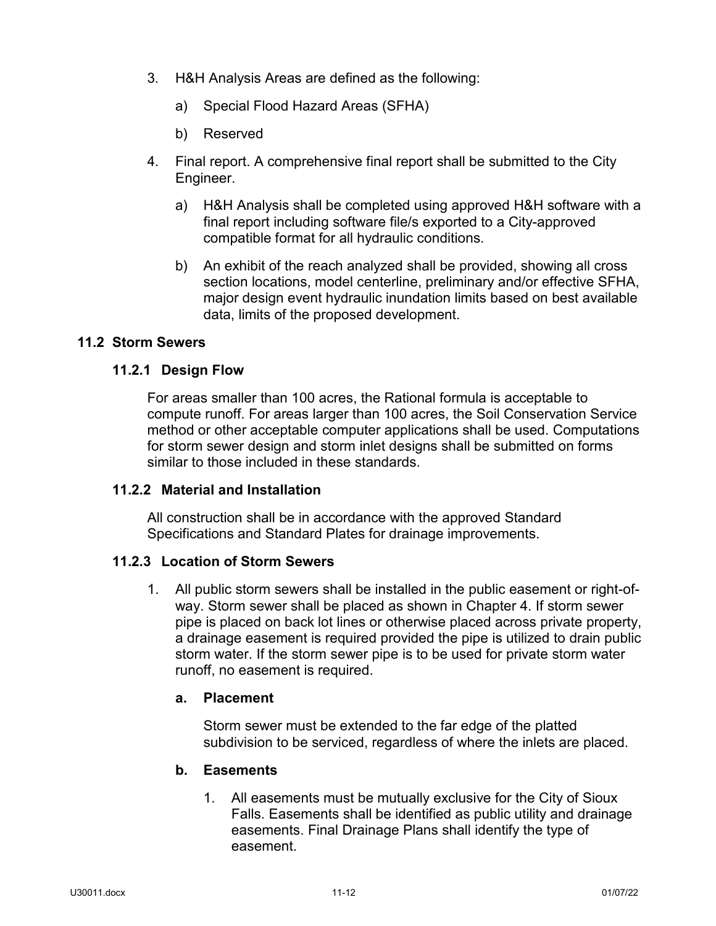- 3. H&H Analysis Areas are defined as the following:
	- a) Special Flood Hazard Areas (SFHA)
	- b) Reserved
- 4. Final report. A comprehensive final report shall be submitted to the City Engineer.
	- a) H&H Analysis shall be completed using approved H&H software with a final report including software file/s exported to a City-approved compatible format for all hydraulic conditions.
	- b) An exhibit of the reach analyzed shall be provided, showing all cross section locations, model centerline, preliminary and/or effective SFHA, major design event hydraulic inundation limits based on best available data, limits of the proposed development.

## <span id="page-14-1"></span><span id="page-14-0"></span>**11.2 Storm Sewers**

## **11.2.1 Design Flow**

For areas smaller than 100 acres, the Rational formula is acceptable to compute runoff. For areas larger than 100 acres, the Soil Conservation Service method or other acceptable computer applications shall be used. Computations for storm sewer design and storm inlet designs shall be submitted on forms similar to those included in these standards.

## <span id="page-14-2"></span>**11.2.2 Material and Installation**

All construction shall be in accordance with the approved Standard Specifications and Standard Plates for drainage improvements.

## <span id="page-14-3"></span>**11.2.3 Location of Storm Sewers**

1. All public storm sewers shall be installed in the public easement or right-ofway. Storm sewer shall be placed as shown in Chapter 4. If storm sewer pipe is placed on back lot lines or otherwise placed across private property, a drainage easement is required provided the pipe is utilized to drain public storm water. If the storm sewer pipe is to be used for private storm water runoff, no easement is required.

#### **a. Placement**

Storm sewer must be extended to the far edge of the platted subdivision to be serviced, regardless of where the inlets are placed.

## **b. Easements**

1. All easements must be mutually exclusive for the City of Sioux Falls. Easements shall be identified as public utility and drainage easements. Final Drainage Plans shall identify the type of easement.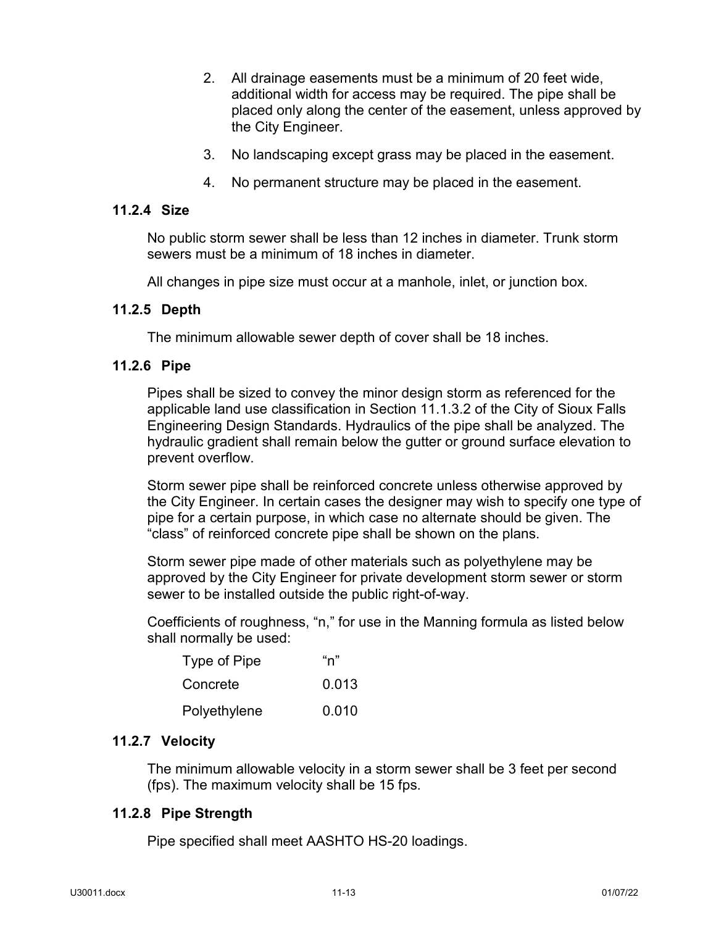- 2. All drainage easements must be a minimum of 20 feet wide, additional width for access may be required. The pipe shall be placed only along the center of the easement, unless approved by the City Engineer.
- 3. No landscaping except grass may be placed in the easement.
- 4. No permanent structure may be placed in the easement.

#### <span id="page-15-0"></span>**11.2.4 Size**

No public storm sewer shall be less than 12 inches in diameter. Trunk storm sewers must be a minimum of 18 inches in diameter.

All changes in pipe size must occur at a manhole, inlet, or junction box.

#### <span id="page-15-1"></span>**11.2.5 Depth**

The minimum allowable sewer depth of cover shall be 18 inches.

#### <span id="page-15-2"></span>**11.2.6 Pipe**

Pipes shall be sized to convey the minor design storm as referenced for the applicable land use classification in Section 11.1.3.2 of the City of Sioux Falls Engineering Design Standards. Hydraulics of the pipe shall be analyzed. The hydraulic gradient shall remain below the gutter or ground surface elevation to prevent overflow.

Storm sewer pipe shall be reinforced concrete unless otherwise approved by the City Engineer. In certain cases the designer may wish to specify one type of pipe for a certain purpose, in which case no alternate should be given. The "class" of reinforced concrete pipe shall be shown on the plans.

Storm sewer pipe made of other materials such as polyethylene may be approved by the City Engineer for private development storm sewer or storm sewer to be installed outside the public right-of-way.

Coefficients of roughness, "n," for use in the Manning formula as listed below shall normally be used:

| Type of Pipe | "n"   |
|--------------|-------|
| Concrete     | 0.013 |
| Polyethylene | 0.010 |

#### <span id="page-15-3"></span>**11.2.7 Velocity**

The minimum allowable velocity in a storm sewer shall be 3 feet per second (fps). The maximum velocity shall be 15 fps.

#### <span id="page-15-4"></span>**11.2.8 Pipe Strength**

Pipe specified shall meet AASHTO HS-20 loadings.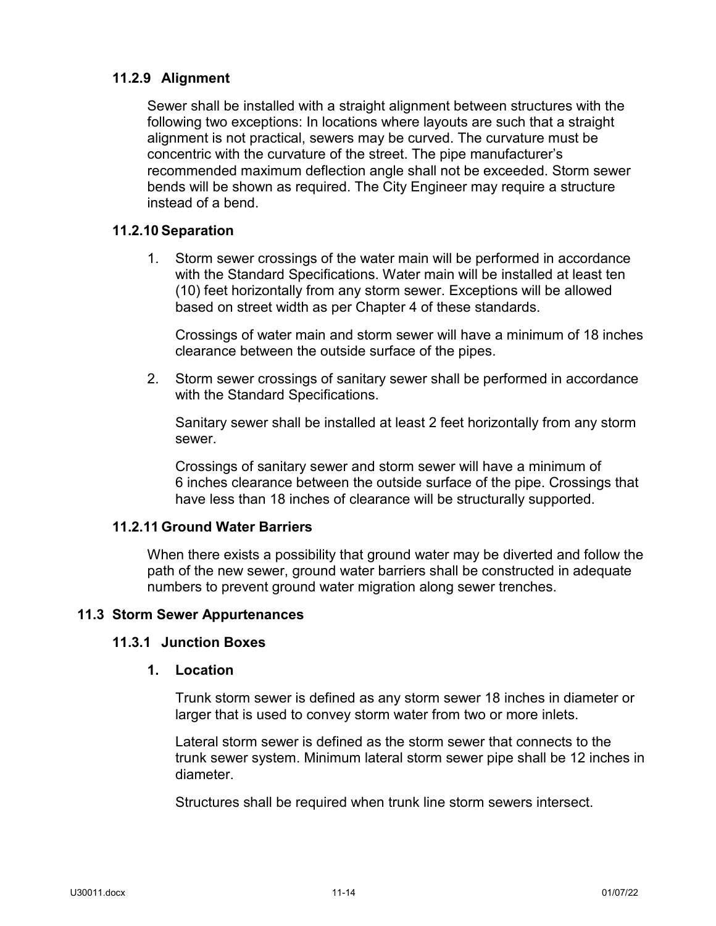## <span id="page-16-0"></span>**11.2.9 Alignment**

Sewer shall be installed with a straight alignment between structures with the following two exceptions: In locations where layouts are such that a straight alignment is not practical, sewers may be curved. The curvature must be concentric with the curvature of the street. The pipe manufacturer's recommended maximum deflection angle shall not be exceeded. Storm sewer bends will be shown as required. The City Engineer may require a structure instead of a bend.

## <span id="page-16-1"></span>**11.2.10 Separation**

1. Storm sewer crossings of the water main will be performed in accordance with the Standard Specifications. Water main will be installed at least ten (10) feet horizontally from any storm sewer. Exceptions will be allowed based on street width as per Chapter 4 of these standards.

Crossings of water main and storm sewer will have a minimum of 18 inches clearance between the outside surface of the pipes.

2. Storm sewer crossings of sanitary sewer shall be performed in accordance with the Standard Specifications.

Sanitary sewer shall be installed at least 2 feet horizontally from any storm sewer.

Crossings of sanitary sewer and storm sewer will have a minimum of 6 inches clearance between the outside surface of the pipe. Crossings that have less than 18 inches of clearance will be structurally supported.

## <span id="page-16-2"></span>**11.2.11 Ground Water Barriers**

When there exists a possibility that ground water may be diverted and follow the path of the new sewer, ground water barriers shall be constructed in adequate numbers to prevent ground water migration along sewer trenches.

## <span id="page-16-4"></span><span id="page-16-3"></span>**11.3 Storm Sewer Appurtenances**

#### **11.3.1 Junction Boxes**

#### **1. Location**

Trunk storm sewer is defined as any storm sewer 18 inches in diameter or larger that is used to convey storm water from two or more inlets.

Lateral storm sewer is defined as the storm sewer that connects to the trunk sewer system. Minimum lateral storm sewer pipe shall be 12 inches in diameter.

Structures shall be required when trunk line storm sewers intersect.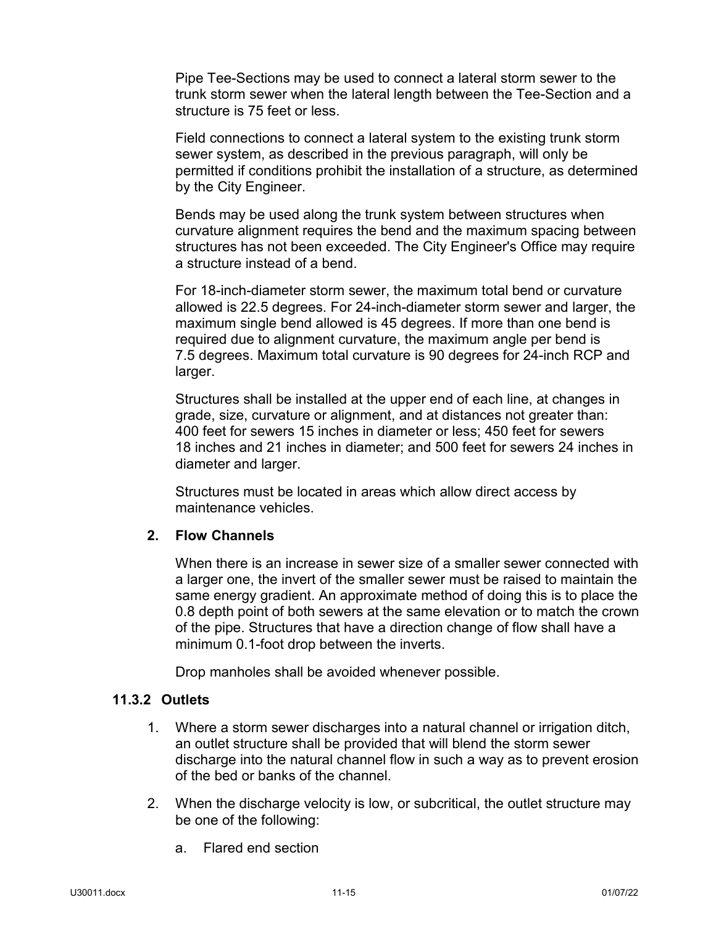Pipe Tee-Sections may be used to connect a lateral storm sewer to the trunk storm sewer when the lateral length between the Tee-Section and a structure is 75 feet or less.

Field connections to connect a lateral system to the existing trunk storm sewer system, as described in the previous paragraph, will only be permitted if conditions prohibit the installation of a structure, as determined by the City Engineer.

Bends may be used along the trunk system between structures when curvature alignment requires the bend and the maximum spacing between structures has not been exceeded. The City Engineer's Office may require a structure instead of a bend.

For 18-inch-diameter storm sewer, the maximum total bend or curvature allowed is 22.5 degrees. For 24-inch-diameter storm sewer and larger, the maximum single bend allowed is 45 degrees. If more than one bend is required due to alignment curvature, the maximum angle per bend is 7.5 degrees. Maximum total curvature is 90 degrees for 24-inch RCP and larger.

Structures shall be installed at the upper end of each line, at changes in grade, size, curvature or alignment, and at distances not greater than: 400 feet for sewers 15 inches in diameter or less; 450 feet for sewers 18 inches and 21 inches in diameter; and 500 feet for sewers 24 inches in diameter and larger.

Structures must be located in areas which allow direct access by maintenance vehicles.

## **2. Flow Channels**

When there is an increase in sewer size of a smaller sewer connected with a larger one, the invert of the smaller sewer must be raised to maintain the same energy gradient. An approximate method of doing this is to place the 0.8 depth point of both sewers at the same elevation or to match the crown of the pipe. Structures that have a direction change of flow shall have a minimum 0.1-foot drop between the inverts.

Drop manholes shall be avoided whenever possible.

## <span id="page-17-0"></span>**11.3.2 Outlets**

- 1. Where a storm sewer discharges into a natural channel or irrigation ditch, an outlet structure shall be provided that will blend the storm sewer discharge into the natural channel flow in such a way as to prevent erosion of the bed or banks of the channel.
- 2. When the discharge velocity is low, or subcritical, the outlet structure may be one of the following:
	- a. Flared end section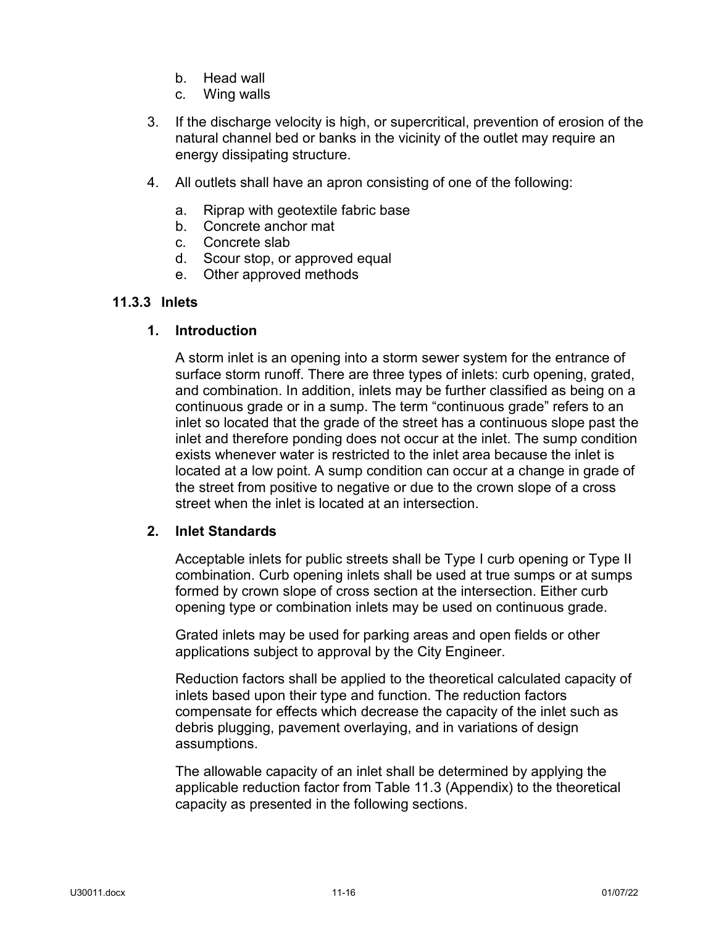- b. Head wall
- c. Wing walls
- 3. If the discharge velocity is high, or supercritical, prevention of erosion of the natural channel bed or banks in the vicinity of the outlet may require an energy dissipating structure.
- 4. All outlets shall have an apron consisting of one of the following:
	- a. Riprap with geotextile fabric base
	- b. Concrete anchor mat
	- c. Concrete slab
	- d. Scour stop, or approved equal
	- e. Other approved methods

## <span id="page-18-0"></span>**11.3.3 Inlets**

## **1. Introduction**

A storm inlet is an opening into a storm sewer system for the entrance of surface storm runoff. There are three types of inlets: curb opening, grated, and combination. In addition, inlets may be further classified as being on a continuous grade or in a sump. The term "continuous grade" refers to an inlet so located that the grade of the street has a continuous slope past the inlet and therefore ponding does not occur at the inlet. The sump condition exists whenever water is restricted to the inlet area because the inlet is located at a low point. A sump condition can occur at a change in grade of the street from positive to negative or due to the crown slope of a cross street when the inlet is located at an intersection.

## **2. Inlet Standards**

Acceptable inlets for public streets shall be Type I curb opening or Type II combination. Curb opening inlets shall be used at true sumps or at sumps formed by crown slope of cross section at the intersection. Either curb opening type or combination inlets may be used on continuous grade.

Grated inlets may be used for parking areas and open fields or other applications subject to approval by the City Engineer.

Reduction factors shall be applied to the theoretical calculated capacity of inlets based upon their type and function. The reduction factors compensate for effects which decrease the capacity of the inlet such as debris plugging, pavement overlaying, and in variations of design assumptions.

The allowable capacity of an inlet shall be determined by applying the applicable reduction factor from Table 11.3 (Appendix) to the theoretical capacity as presented in the following sections.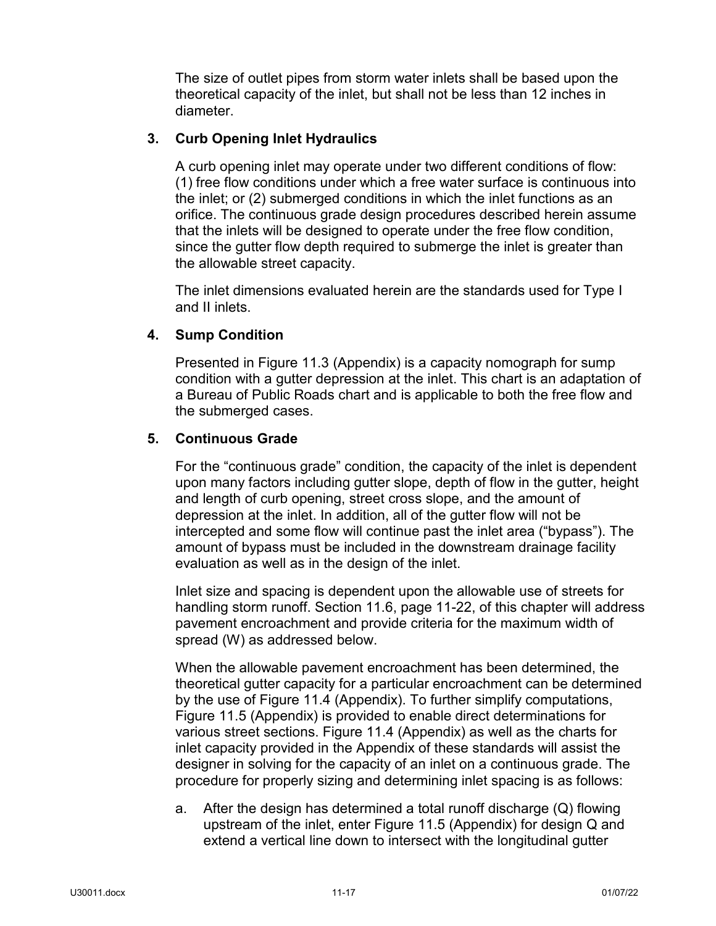The size of outlet pipes from storm water inlets shall be based upon the theoretical capacity of the inlet, but shall not be less than 12 inches in diameter.

## **3. Curb Opening Inlet Hydraulics**

A curb opening inlet may operate under two different conditions of flow: (1) free flow conditions under which a free water surface is continuous into the inlet; or (2) submerged conditions in which the inlet functions as an orifice. The continuous grade design procedures described herein assume that the inlets will be designed to operate under the free flow condition, since the gutter flow depth required to submerge the inlet is greater than the allowable street capacity.

The inlet dimensions evaluated herein are the standards used for Type I and II inlets.

## **4. Sump Condition**

Presented in Figure 11.3 (Appendix) is a capacity nomograph for sump condition with a gutter depression at the inlet. This chart is an adaptation of a Bureau of Public Roads chart and is applicable to both the free flow and the submerged cases.

## **5. Continuous Grade**

For the "continuous grade" condition, the capacity of the inlet is dependent upon many factors including gutter slope, depth of flow in the gutter, height and length of curb opening, street cross slope, and the amount of depression at the inlet. In addition, all of the gutter flow will not be intercepted and some flow will continue past the inlet area ("bypass"). The amount of bypass must be included in the downstream drainage facility evaluation as well as in the design of the inlet.

Inlet size and spacing is dependent upon the allowable use of streets for handling storm runoff. Section 11.6, page 11-22, of this chapter will address pavement encroachment and provide criteria for the maximum width of spread (W) as addressed below.

When the allowable pavement encroachment has been determined, the theoretical gutter capacity for a particular encroachment can be determined by the use of Figure 11.4 (Appendix). To further simplify computations, Figure 11.5 (Appendix) is provided to enable direct determinations for various street sections. Figure 11.4 (Appendix) as well as the charts for inlet capacity provided in the Appendix of these standards will assist the designer in solving for the capacity of an inlet on a continuous grade. The procedure for properly sizing and determining inlet spacing is as follows:

a. After the design has determined a total runoff discharge (Q) flowing upstream of the inlet, enter Figure 11.5 (Appendix) for design Q and extend a vertical line down to intersect with the longitudinal gutter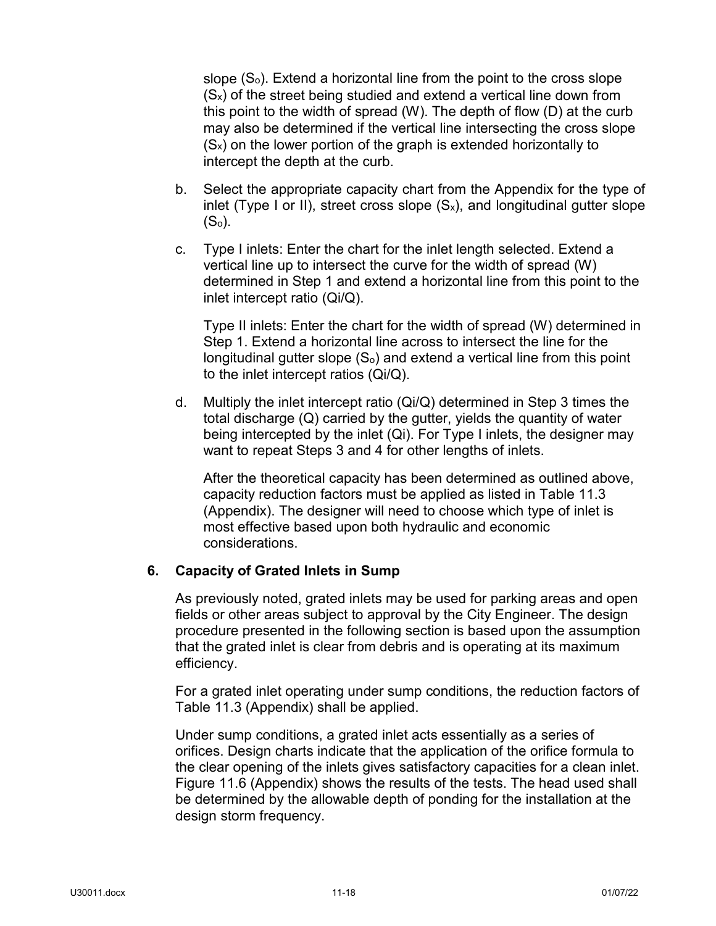slope  $(S<sub>o</sub>)$ . Extend a horizontal line from the point to the cross slope  $(S_x)$  of the street being studied and extend a vertical line down from this point to the width of spread (W). The depth of flow (D) at the curb may also be determined if the vertical line intersecting the cross slope  $(S_x)$  on the lower portion of the graph is extended horizontally to intercept the depth at the curb.

- b. Select the appropriate capacity chart from the Appendix for the type of inlet (Type I or II), street cross slope  $(S_x)$ , and longitudinal gutter slope  $(S<sub>o</sub>)$ .
- c. Type I inlets: Enter the chart for the inlet length selected. Extend a vertical line up to intersect the curve for the width of spread (W) determined in Step 1 and extend a horizontal line from this point to the inlet intercept ratio (Qi/Q).

Type II inlets: Enter the chart for the width of spread (W) determined in Step 1. Extend a horizontal line across to intersect the line for the longitudinal gutter slope  $(S<sub>o</sub>)$  and extend a vertical line from this point to the inlet intercept ratios (Qi/Q).

d. Multiply the inlet intercept ratio  $(Qi/Q)$  determined in Step 3 times the total discharge (Q) carried by the gutter, yields the quantity of water being intercepted by the inlet (Qi). For Type I inlets, the designer may want to repeat Steps 3 and 4 for other lengths of inlets.

After the theoretical capacity has been determined as outlined above, capacity reduction factors must be applied as listed in Table 11.3 (Appendix). The designer will need to choose which type of inlet is most effective based upon both hydraulic and economic considerations.

## **6. Capacity of Grated Inlets in Sump**

As previously noted, grated inlets may be used for parking areas and open fields or other areas subject to approval by the City Engineer. The design procedure presented in the following section is based upon the assumption that the grated inlet is clear from debris and is operating at its maximum efficiency.

For a grated inlet operating under sump conditions, the reduction factors of Table 11.3 (Appendix) shall be applied.

Under sump conditions, a grated inlet acts essentially as a series of orifices. Design charts indicate that the application of the orifice formula to the clear opening of the inlets gives satisfactory capacities for a clean inlet. Figure 11.6 (Appendix) shows the results of the tests. The head used shall be determined by the allowable depth of ponding for the installation at the design storm frequency.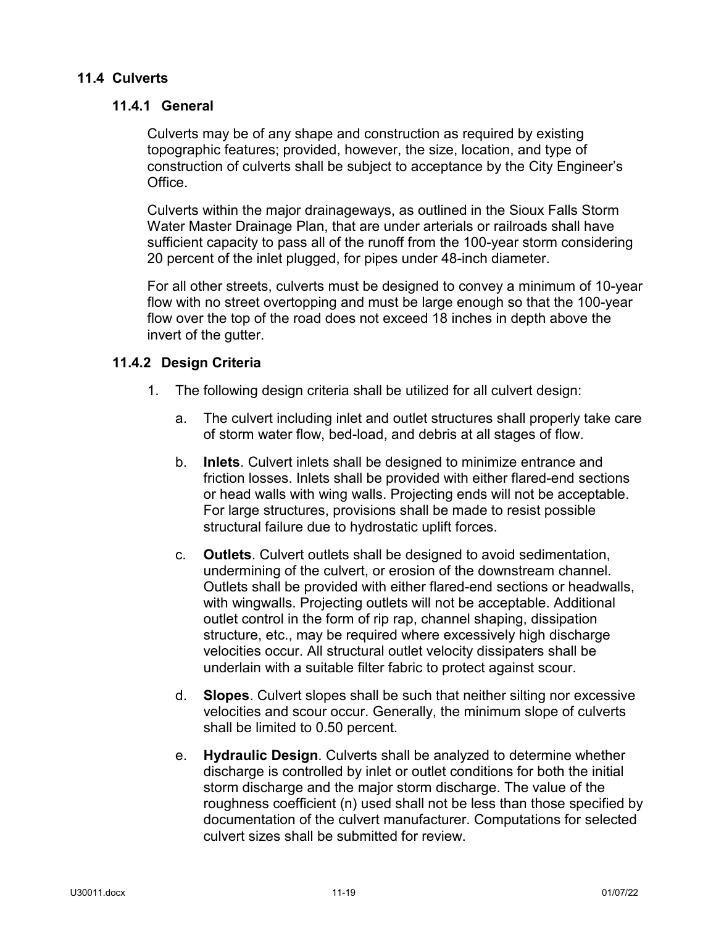## <span id="page-21-1"></span><span id="page-21-0"></span>**11.4 Culverts**

## **11.4.1 General**

Culverts may be of any shape and construction as required by existing topographic features; provided, however, the size, location, and type of construction of culverts shall be subject to acceptance by the City Engineer's Office.

Culverts within the major drainageways, as outlined in the Sioux Falls Storm Water Master Drainage Plan, that are under arterials or railroads shall have sufficient capacity to pass all of the runoff from the 100-year storm considering 20 percent of the inlet plugged, for pipes under 48-inch diameter.

For all other streets, culverts must be designed to convey a minimum of 10-year flow with no street overtopping and must be large enough so that the 100-year flow over the top of the road does not exceed 18 inches in depth above the invert of the gutter.

## <span id="page-21-2"></span>**11.4.2 Design Criteria**

- 1. The following design criteria shall be utilized for all culvert design:
	- a. The culvert including inlet and outlet structures shall properly take care of storm water flow, bed-load, and debris at all stages of flow.
	- b. **Inlets**. Culvert inlets shall be designed to minimize entrance and friction losses. Inlets shall be provided with either flared-end sections or head walls with wing walls. Projecting ends will not be acceptable. For large structures, provisions shall be made to resist possible structural failure due to hydrostatic uplift forces.
	- c. **Outlets**. Culvert outlets shall be designed to avoid sedimentation, undermining of the culvert, or erosion of the downstream channel. Outlets shall be provided with either flared-end sections or headwalls, with wingwalls. Projecting outlets will not be acceptable. Additional outlet control in the form of rip rap, channel shaping, dissipation structure, etc., may be required where excessively high discharge velocities occur. All structural outlet velocity dissipaters shall be underlain with a suitable filter fabric to protect against scour.
	- d. **Slopes**. Culvert slopes shall be such that neither silting nor excessive velocities and scour occur. Generally, the minimum slope of culverts shall be limited to 0.50 percent.
	- e. **Hydraulic Design**. Culverts shall be analyzed to determine whether discharge is controlled by inlet or outlet conditions for both the initial storm discharge and the major storm discharge. The value of the roughness coefficient (n) used shall not be less than those specified by documentation of the culvert manufacturer. Computations for selected culvert sizes shall be submitted for review.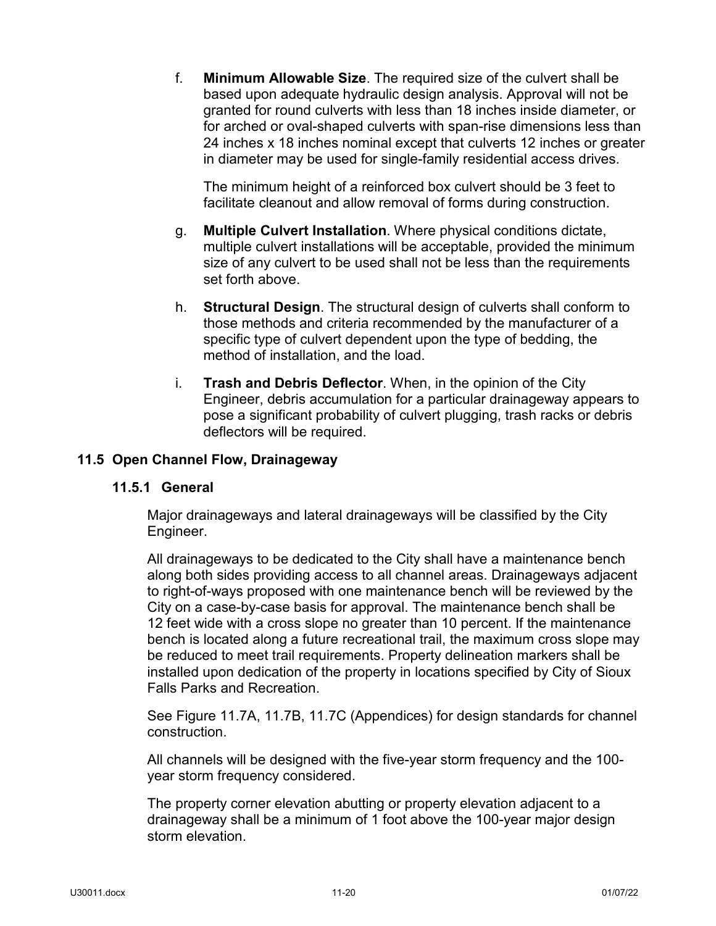f. **Minimum Allowable Size**. The required size of the culvert shall be based upon adequate hydraulic design analysis. Approval will not be granted for round culverts with less than 18 inches inside diameter, or for arched or oval-shaped culverts with span-rise dimensions less than 24 inches x 18 inches nominal except that culverts 12 inches or greater in diameter may be used for single-family residential access drives.

The minimum height of a reinforced box culvert should be 3 feet to facilitate cleanout and allow removal of forms during construction.

- g. **Multiple Culvert Installation**. Where physical conditions dictate, multiple culvert installations will be acceptable, provided the minimum size of any culvert to be used shall not be less than the requirements set forth above.
- h. **Structural Design**. The structural design of culverts shall conform to those methods and criteria recommended by the manufacturer of a specific type of culvert dependent upon the type of bedding, the method of installation, and the load.
- i. **Trash and Debris Deflector**. When, in the opinion of the City Engineer, debris accumulation for a particular drainageway appears to pose a significant probability of culvert plugging, trash racks or debris deflectors will be required.

## <span id="page-22-1"></span><span id="page-22-0"></span>**11.5 Open Channel Flow, Drainageway**

#### **11.5.1 General**

Major drainageways and lateral drainageways will be classified by the City Engineer.

All drainageways to be dedicated to the City shall have a maintenance bench along both sides providing access to all channel areas. Drainageways adjacent to right-of-ways proposed with one maintenance bench will be reviewed by the City on a case-by-case basis for approval. The maintenance bench shall be 12 feet wide with a cross slope no greater than 10 percent. If the maintenance bench is located along a future recreational trail, the maximum cross slope may be reduced to meet trail requirements. Property delineation markers shall be installed upon dedication of the property in locations specified by City of Sioux Falls Parks and Recreation.

See Figure 11.7A, 11.7B, 11.7C (Appendices) for design standards for channel construction.

All channels will be designed with the five-year storm frequency and the 100 year storm frequency considered.

The property corner elevation abutting or property elevation adjacent to a drainageway shall be a minimum of 1 foot above the 100-year major design storm elevation.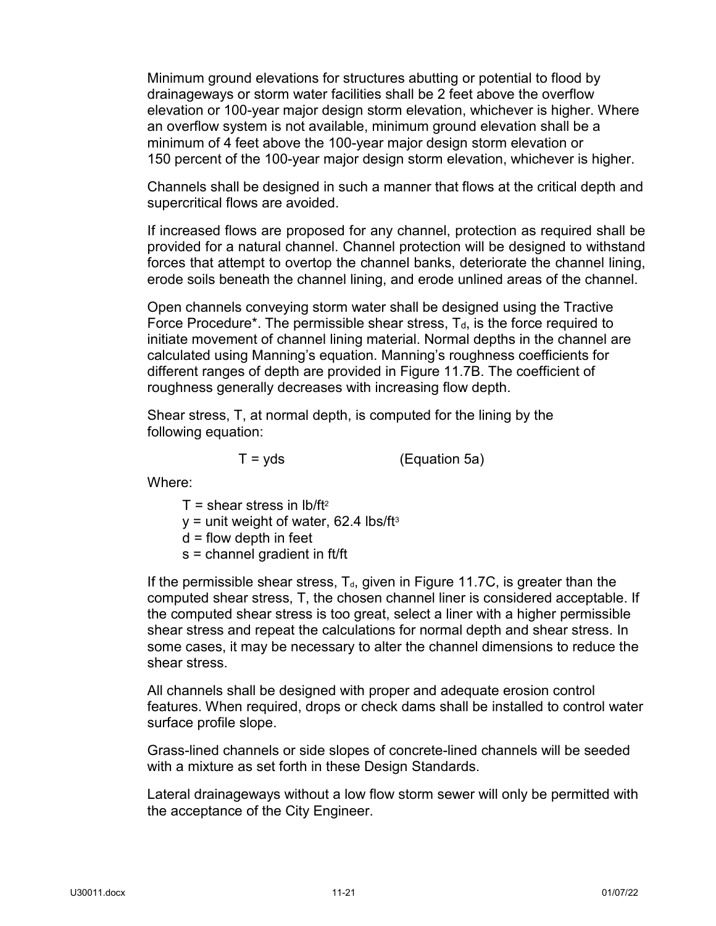Minimum ground elevations for structures abutting or potential to flood by drainageways or storm water facilities shall be 2 feet above the overflow elevation or 100-year major design storm elevation, whichever is higher. Where an overflow system is not available, minimum ground elevation shall be a minimum of 4 feet above the 100-year major design storm elevation or 150 percent of the 100-year major design storm elevation, whichever is higher.

Channels shall be designed in such a manner that flows at the critical depth and supercritical flows are avoided.

If increased flows are proposed for any channel, protection as required shall be provided for a natural channel. Channel protection will be designed to withstand forces that attempt to overtop the channel banks, deteriorate the channel lining, erode soils beneath the channel lining, and erode unlined areas of the channel.

Open channels conveying storm water shall be designed using the Tractive Force Procedure<sup>\*</sup>. The permissible shear stress,  $T<sub>d</sub>$ , is the force required to initiate movement of channel lining material. Normal depths in the channel are calculated using Manning's equation. Manning's roughness coefficients for different ranges of depth are provided in Figure 11.7B. The coefficient of roughness generally decreases with increasing flow depth.

Shear stress, T, at normal depth, is computed for the lining by the following equation:

 $T = vds$  (Equation 5a)

Where:

- $T =$  shear stress in  $lb/ft^2$
- $y =$  unit weight of water, 62.4 lbs/ft<sup>3</sup>
- $d =$  flow depth in feet
- s = channel gradient in ft/ft

If the permissible shear stress,  $T<sub>d</sub>$ , given in Figure 11.7C, is greater than the computed shear stress, T, the chosen channel liner is considered acceptable. If the computed shear stress is too great, select a liner with a higher permissible shear stress and repeat the calculations for normal depth and shear stress. In some cases, it may be necessary to alter the channel dimensions to reduce the shear stress.

All channels shall be designed with proper and adequate erosion control features. When required, drops or check dams shall be installed to control water surface profile slope.

Grass-lined channels or side slopes of concrete-lined channels will be seeded with a mixture as set forth in these Design Standards.

Lateral drainageways without a low flow storm sewer will only be permitted with the acceptance of the City Engineer.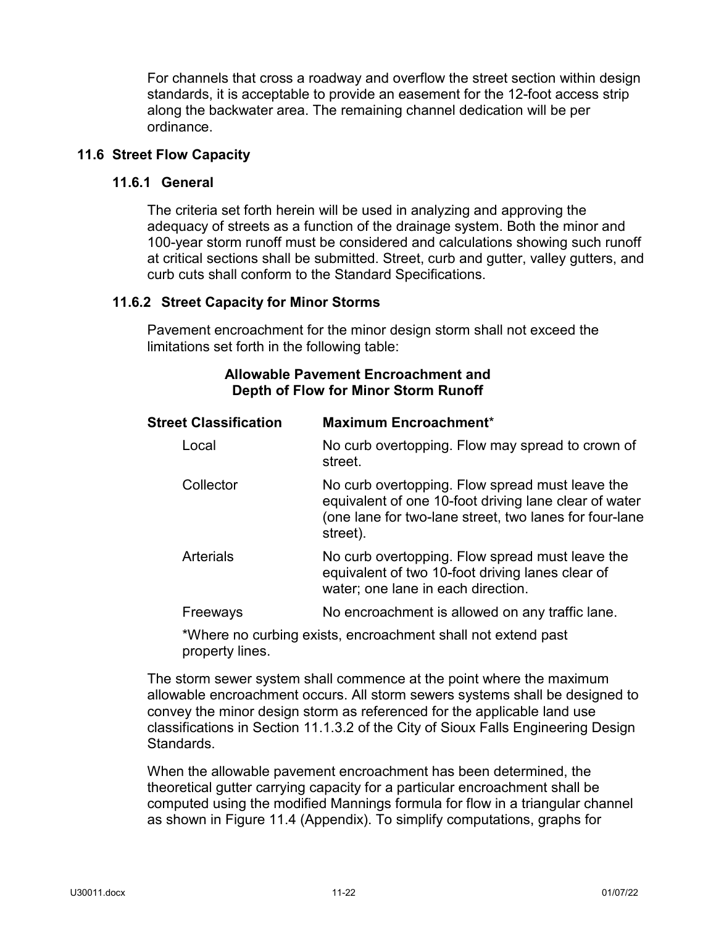For channels that cross a roadway and overflow the street section within design standards, it is acceptable to provide an easement for the 12-foot access strip along the backwater area. The remaining channel dedication will be per ordinance.

## <span id="page-24-1"></span><span id="page-24-0"></span>**11.6 Street Flow Capacity**

#### **11.6.1 General**

The criteria set forth herein will be used in analyzing and approving the adequacy of streets as a function of the drainage system. Both the minor and 100-year storm runoff must be considered and calculations showing such runoff at critical sections shall be submitted. Street, curb and gutter, valley gutters, and curb cuts shall conform to the Standard Specifications.

#### <span id="page-24-2"></span>**11.6.2 Street Capacity for Minor Storms**

Pavement encroachment for the minor design storm shall not exceed the limitations set forth in the following table:

### **Allowable Pavement Encroachment and Depth of Flow for Minor Storm Runoff**

| <b>Street Classification</b> | Maximum Encroachment*                                                                                                                                                          |
|------------------------------|--------------------------------------------------------------------------------------------------------------------------------------------------------------------------------|
| Local                        | No curb overtopping. Flow may spread to crown of<br>street.                                                                                                                    |
| Collector                    | No curb overtopping. Flow spread must leave the<br>equivalent of one 10-foot driving lane clear of water<br>(one lane for two-lane street, two lanes for four-lane<br>street). |
| <b>Arterials</b>             | No curb overtopping. Flow spread must leave the<br>equivalent of two 10-foot driving lanes clear of<br>water; one lane in each direction.                                      |
| Freeways                     | No encroachment is allowed on any traffic lane.                                                                                                                                |
|                              | *Mbore no qurbing oviete, energeshment aboll not ovtand neet                                                                                                                   |

Where no curbing exists, encroachment shall not extend past property lines.

The storm sewer system shall commence at the point where the maximum allowable encroachment occurs. All storm sewers systems shall be designed to convey the minor design storm as referenced for the applicable land use classifications in Section 11.1.3.2 of the City of Sioux Falls Engineering Design Standards.

When the allowable pavement encroachment has been determined, the theoretical gutter carrying capacity for a particular encroachment shall be computed using the modified Mannings formula for flow in a triangular channel as shown in Figure 11.4 (Appendix). To simplify computations, graphs for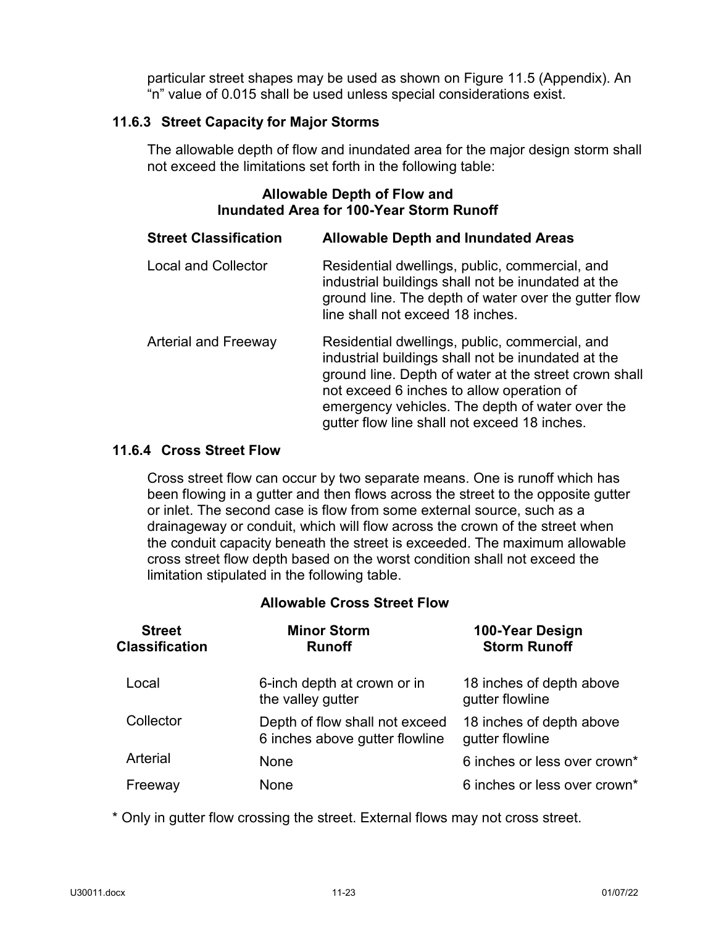particular street shapes may be used as shown on Figure 11.5 (Appendix). An "n" value of 0.015 shall be used unless special considerations exist.

## <span id="page-25-0"></span>**11.6.3 Street Capacity for Major Storms**

The allowable depth of flow and inundated area for the major design storm shall not exceed the limitations set forth in the following table:

## **Allowable Depth of Flow and Inundated Area for 100-Year Storm Runoff**

| <b>Street Classification</b> | <b>Allowable Depth and Inundated Areas</b>                                                                                                                                                                                                                                                                    |
|------------------------------|---------------------------------------------------------------------------------------------------------------------------------------------------------------------------------------------------------------------------------------------------------------------------------------------------------------|
| <b>Local and Collector</b>   | Residential dwellings, public, commercial, and<br>industrial buildings shall not be inundated at the<br>ground line. The depth of water over the gutter flow<br>line shall not exceed 18 inches.                                                                                                              |
| <b>Arterial and Freeway</b>  | Residential dwellings, public, commercial, and<br>industrial buildings shall not be inundated at the<br>ground line. Depth of water at the street crown shall<br>not exceed 6 inches to allow operation of<br>emergency vehicles. The depth of water over the<br>gutter flow line shall not exceed 18 inches. |

## <span id="page-25-1"></span>**11.6.4 Cross Street Flow**

Cross street flow can occur by two separate means. One is runoff which has been flowing in a gutter and then flows across the street to the opposite gutter or inlet. The second case is flow from some external source, such as a drainageway or conduit, which will flow across the crown of the street when the conduit capacity beneath the street is exceeded. The maximum allowable cross street flow depth based on the worst condition shall not exceed the limitation stipulated in the following table.

## **Allowable Cross Street Flow**

| <b>Street</b><br>Classification | <b>Minor Storm</b><br><b>Runoff</b>                              | 100-Year Design<br><b>Storm Runoff</b>      |
|---------------------------------|------------------------------------------------------------------|---------------------------------------------|
| Local                           | 6-inch depth at crown or in<br>the valley gutter                 | 18 inches of depth above<br>gutter flowline |
| Collector                       | Depth of flow shall not exceed<br>6 inches above gutter flowline | 18 inches of depth above<br>gutter flowline |
| Arterial                        | None                                                             | 6 inches or less over crown*                |
| Freeway                         | None                                                             | 6 inches or less over crown*                |

\* Only in gutter flow crossing the street. External flows may not cross street.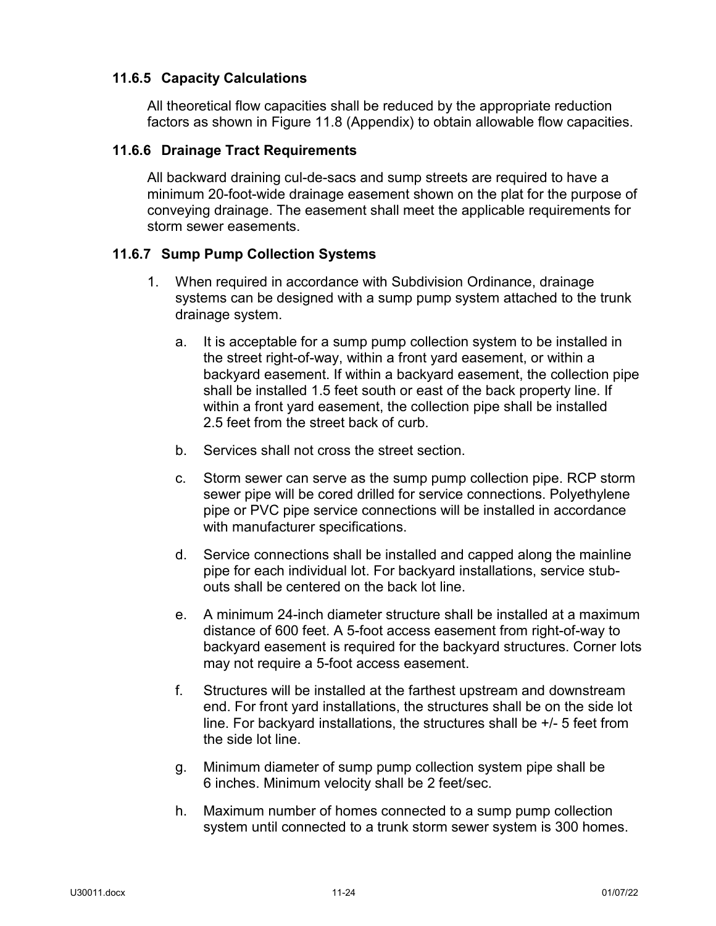## <span id="page-26-0"></span>**11.6.5 Capacity Calculations**

All theoretical flow capacities shall be reduced by the appropriate reduction factors as shown in Figure 11.8 (Appendix) to obtain allowable flow capacities.

## <span id="page-26-1"></span>**11.6.6 Drainage Tract Requirements**

All backward draining cul-de-sacs and sump streets are required to have a minimum 20-foot-wide drainage easement shown on the plat for the purpose of conveying drainage. The easement shall meet the applicable requirements for storm sewer easements.

## <span id="page-26-2"></span>**11.6.7 Sump Pump Collection Systems**

- 1. When required in accordance with Subdivision Ordinance, drainage systems can be designed with a sump pump system attached to the trunk drainage system.
	- a. It is acceptable for a sump pump collection system to be installed in the street right-of-way, within a front yard easement, or within a backyard easement. If within a backyard easement, the collection pipe shall be installed 1.5 feet south or east of the back property line. If within a front yard easement, the collection pipe shall be installed 2.5 feet from the street back of curb.
	- b. Services shall not cross the street section.
	- c. Storm sewer can serve as the sump pump collection pipe. RCP storm sewer pipe will be cored drilled for service connections. Polyethylene pipe or PVC pipe service connections will be installed in accordance with manufacturer specifications.
	- d. Service connections shall be installed and capped along the mainline pipe for each individual lot. For backyard installations, service stubouts shall be centered on the back lot line.
	- e. A minimum 24-inch diameter structure shall be installed at a maximum distance of 600 feet. A 5-foot access easement from right-of-way to backyard easement is required for the backyard structures. Corner lots may not require a 5-foot access easement.
	- f. Structures will be installed at the farthest upstream and downstream end. For front yard installations, the structures shall be on the side lot line. For backyard installations, the structures shall be +/- 5 feet from the side lot line.
	- g. Minimum diameter of sump pump collection system pipe shall be 6 inches. Minimum velocity shall be 2 feet/sec.
	- h. Maximum number of homes connected to a sump pump collection system until connected to a trunk storm sewer system is 300 homes.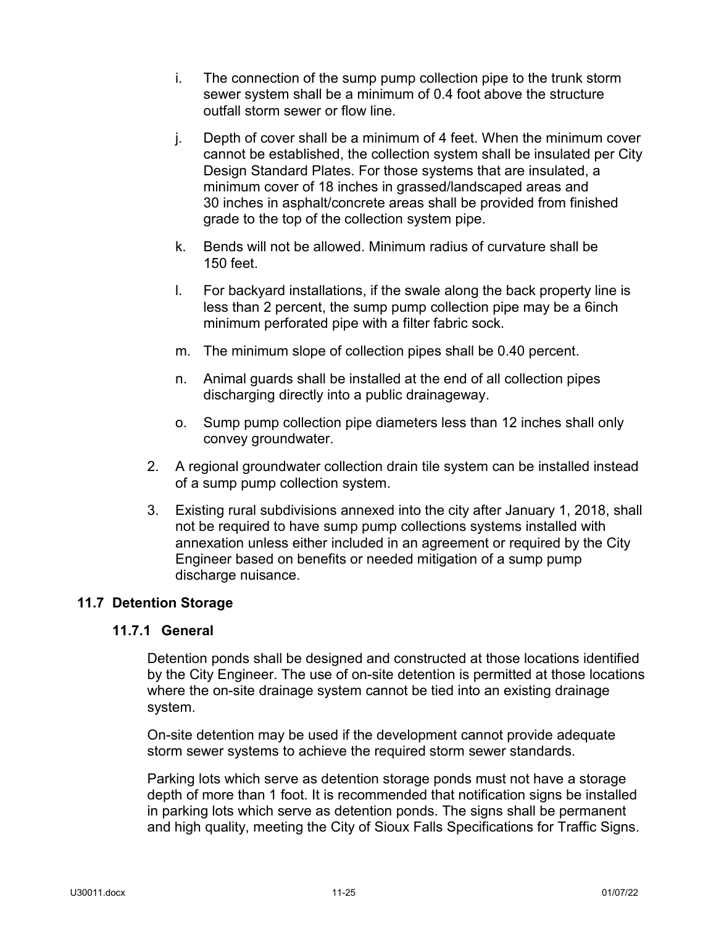- i. The connection of the sump pump collection pipe to the trunk storm sewer system shall be a minimum of 0.4 foot above the structure outfall storm sewer or flow line.
- j. Depth of cover shall be a minimum of 4 feet. When the minimum cover cannot be established, the collection system shall be insulated per City Design Standard Plates. For those systems that are insulated, a minimum cover of 18 inches in grassed/landscaped areas and 30 inches in asphalt/concrete areas shall be provided from finished grade to the top of the collection system pipe.
- k. Bends will not be allowed. Minimum radius of curvature shall be 150 feet.
- l. For backyard installations, if the swale along the back property line is less than 2 percent, the sump pump collection pipe may be a 6inch minimum perforated pipe with a filter fabric sock.
- m. The minimum slope of collection pipes shall be 0.40 percent.
- n. Animal guards shall be installed at the end of all collection pipes discharging directly into a public drainageway.
- o. Sump pump collection pipe diameters less than 12 inches shall only convey groundwater.
- 2. A regional groundwater collection drain tile system can be installed instead of a sump pump collection system.
- 3. Existing rural subdivisions annexed into the city after January 1, 2018, shall not be required to have sump pump collections systems installed with annexation unless either included in an agreement or required by the City Engineer based on benefits or needed mitigation of a sump pump discharge nuisance.

## <span id="page-27-1"></span><span id="page-27-0"></span>**11.7 Detention Storage**

#### **11.7.1 General**

Detention ponds shall be designed and constructed at those locations identified by the City Engineer. The use of on-site detention is permitted at those locations where the on-site drainage system cannot be tied into an existing drainage system.

On-site detention may be used if the development cannot provide adequate storm sewer systems to achieve the required storm sewer standards.

Parking lots which serve as detention storage ponds must not have a storage depth of more than 1 foot. It is recommended that notification signs be installed in parking lots which serve as detention ponds. The signs shall be permanent and high quality, meeting the City of Sioux Falls Specifications for Traffic Signs.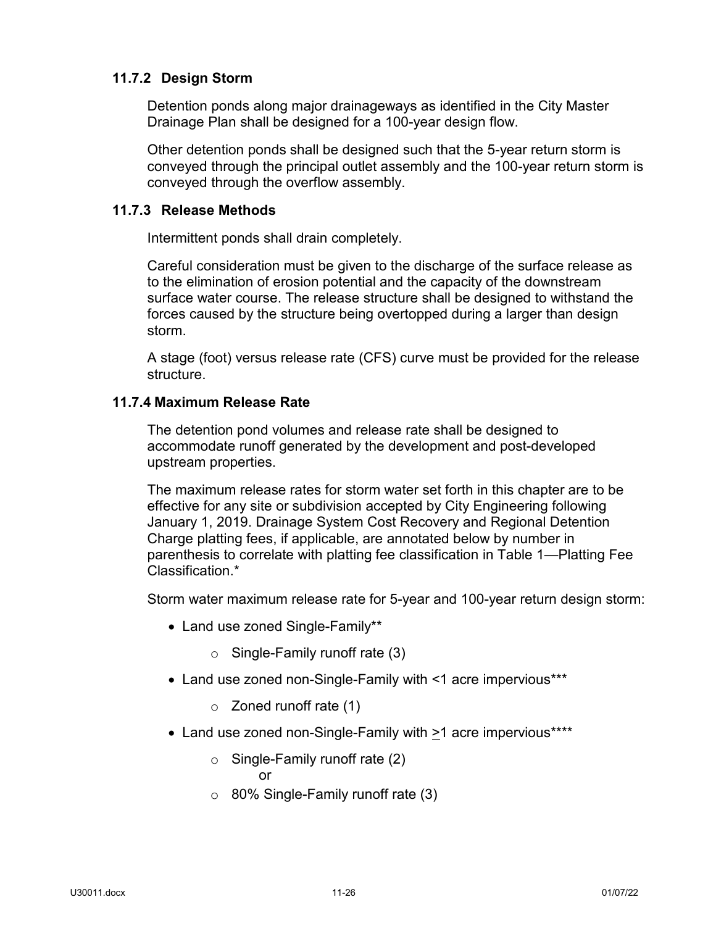## <span id="page-28-0"></span>**11.7.2 Design Storm**

Detention ponds along major drainageways as identified in the City Master Drainage Plan shall be designed for a 100-year design flow.

Other detention ponds shall be designed such that the 5-year return storm is conveyed through the principal outlet assembly and the 100-year return storm is conveyed through the overflow assembly.

## <span id="page-28-1"></span>**11.7.3 Release Methods**

Intermittent ponds shall drain completely.

Careful consideration must be given to the discharge of the surface release as to the elimination of erosion potential and the capacity of the downstream surface water course. The release structure shall be designed to withstand the forces caused by the structure being overtopped during a larger than design storm.

A stage (foot) versus release rate (CFS) curve must be provided for the release structure.

## <span id="page-28-2"></span>**11.7.4 Maximum Release Rate**

The detention pond volumes and release rate shall be designed to accommodate runoff generated by the development and post-developed upstream properties.

The maximum release rates for storm water set forth in this chapter are to be effective for any site or subdivision accepted by City Engineering following January 1, 2019. Drainage System Cost Recovery and Regional Detention Charge platting fees, if applicable, are annotated below by number in parenthesis to correlate with platting fee classification in Table 1—Platting Fee Classification.\*

Storm water maximum release rate for 5-year and 100-year return design storm:

- Land use zoned Single-Family\*\*
	- $\circ$  Single-Family runoff rate (3)
- Land use zoned non-Single-Family with <1 acre impervious\*\*\*
	- o Zoned runoff rate (1)
- Land use zoned non-Single-Family with  $\geq 1$  acre impervious\*\*\*\*
	- o Single-Family runoff rate (2)

or

 $\circ$  80% Single-Family runoff rate (3)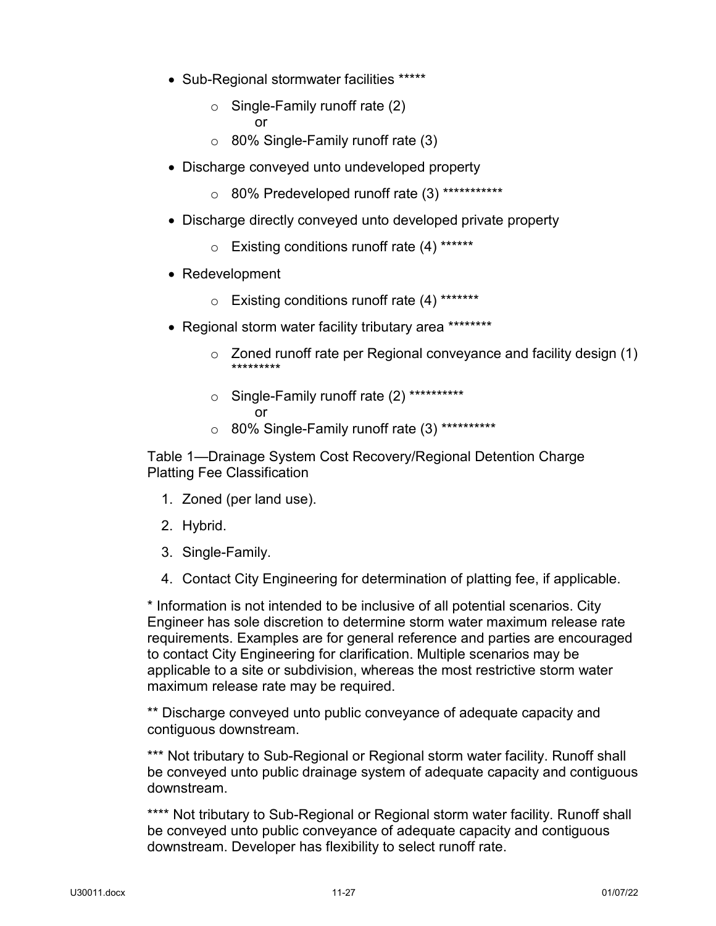- Sub-Regional stormwater facilities \*\*\*\*\*
	- o Single-Family runoff rate (2) or
	- $\circ$  80% Single-Family runoff rate (3)
- Discharge conveyed unto undeveloped property
	- o 80% Predeveloped runoff rate (3) \*\*\*\*\*\*\*\*\*\*\*
- Discharge directly conveyed unto developed private property
	- o Existing conditions runoff rate (4) \*\*\*\*\*\*
- Redevelopment
	- o Existing conditions runoff rate (4) \*\*\*\*\*\*\*
- Regional storm water facility tributary area \*\*\*\*\*\*\*\*
	- o Zoned runoff rate per Regional conveyance and facility design (1) \*\*\*\*\*\*\*\*\*
	- o Single-Family runoff rate (2) \*\*\*\*\*\*\*\*\*\* or
	- o 80% Single-Family runoff rate (3) \*\*\*\*\*\*\*\*\*\*

Table 1—Drainage System Cost Recovery/Regional Detention Charge Platting Fee Classification

- 1. Zoned (per land use).
- 2. Hybrid.
- 3. Single-Family.
- 4. Contact City Engineering for determination of platting fee, if applicable.

\* Information is not intended to be inclusive of all potential scenarios. City Engineer has sole discretion to determine storm water maximum release rate requirements. Examples are for general reference and parties are encouraged to contact City Engineering for clarification. Multiple scenarios may be applicable to a site or subdivision, whereas the most restrictive storm water maximum release rate may be required.

\*\* Discharge conveyed unto public conveyance of adequate capacity and contiguous downstream.

\*\*\* Not tributary to Sub-Regional or Regional storm water facility. Runoff shall be conveyed unto public drainage system of adequate capacity and contiguous downstream.

\*\*\*\* Not tributary to Sub-Regional or Regional storm water facility. Runoff shall be conveyed unto public conveyance of adequate capacity and contiguous downstream. Developer has flexibility to select runoff rate.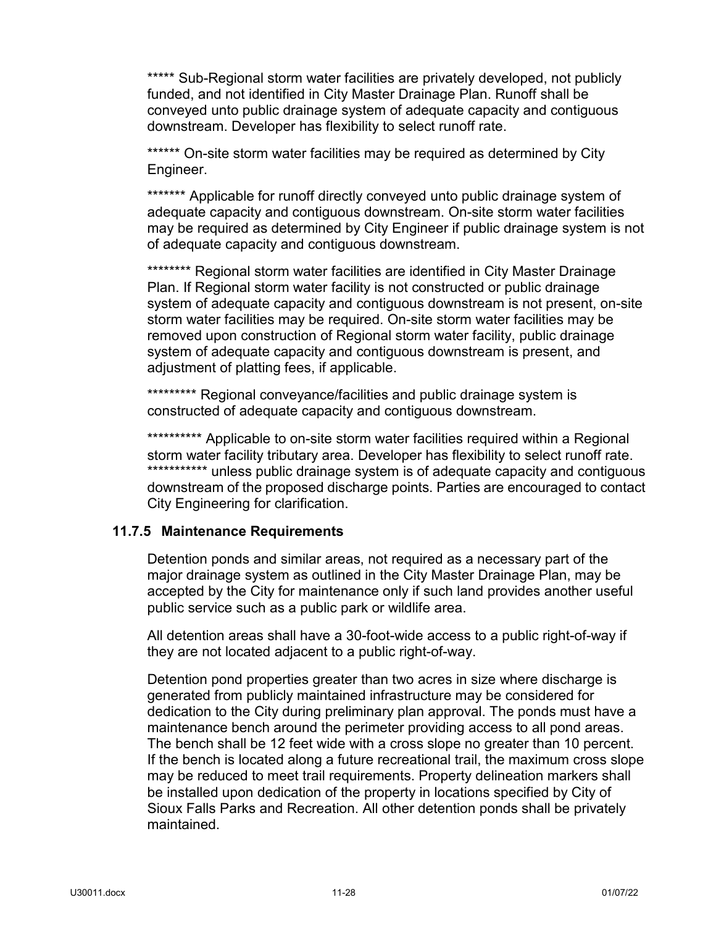\*\*\*\*\* Sub-Regional storm water facilities are privately developed, not publicly funded, and not identified in City Master Drainage Plan. Runoff shall be conveyed unto public drainage system of adequate capacity and contiguous downstream. Developer has flexibility to select runoff rate.

\*\*\*\*\*\* On-site storm water facilities may be required as determined by City Engineer.

\*\*\*\*\*\*\* Applicable for runoff directly conveyed unto public drainage system of adequate capacity and contiguous downstream. On-site storm water facilities may be required as determined by City Engineer if public drainage system is not of adequate capacity and contiguous downstream.

\*\*\*\*\*\*\*\* Regional storm water facilities are identified in City Master Drainage Plan. If Regional storm water facility is not constructed or public drainage system of adequate capacity and contiguous downstream is not present, on-site storm water facilities may be required. On-site storm water facilities may be removed upon construction of Regional storm water facility, public drainage system of adequate capacity and contiguous downstream is present, and adjustment of platting fees, if applicable.

\*\*\*\*\*\*\*\*\*\* Regional conveyance/facilities and public drainage system is constructed of adequate capacity and contiguous downstream.

\*\*\*\*\*\*\*\*\*\* Applicable to on-site storm water facilities required within a Regional storm water facility tributary area. Developer has flexibility to select runoff rate. \*\*\*\*\*\*\*\*\*\*\*\* unless public drainage system is of adequate capacity and contiguous downstream of the proposed discharge points. Parties are encouraged to contact City Engineering for clarification.

## <span id="page-30-0"></span>**11.7.5 Maintenance Requirements**

Detention ponds and similar areas, not required as a necessary part of the major drainage system as outlined in the City Master Drainage Plan, may be accepted by the City for maintenance only if such land provides another useful public service such as a public park or wildlife area.

All detention areas shall have a 30-foot-wide access to a public right-of-way if they are not located adjacent to a public right-of-way.

Detention pond properties greater than two acres in size where discharge is generated from publicly maintained infrastructure may be considered for dedication to the City during preliminary plan approval. The ponds must have a maintenance bench around the perimeter providing access to all pond areas. The bench shall be 12 feet wide with a cross slope no greater than 10 percent. If the bench is located along a future recreational trail, the maximum cross slope may be reduced to meet trail requirements. Property delineation markers shall be installed upon dedication of the property in locations specified by City of Sioux Falls Parks and Recreation. All other detention ponds shall be privately maintained.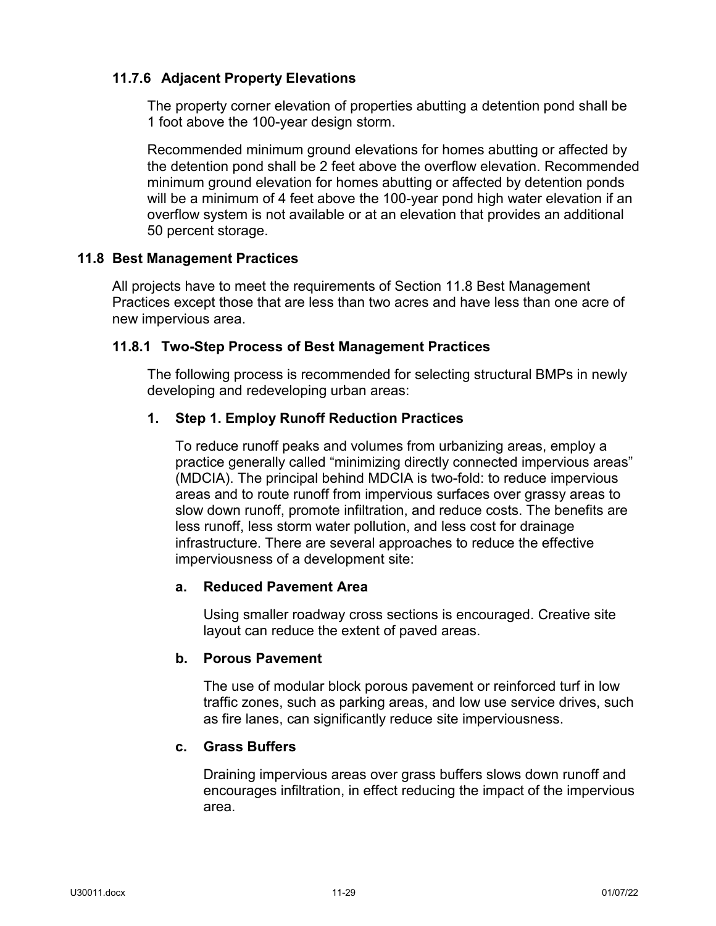## <span id="page-31-0"></span>**11.7.6 Adjacent Property Elevations**

The property corner elevation of properties abutting a detention pond shall be 1 foot above the 100-year design storm.

Recommended minimum ground elevations for homes abutting or affected by the detention pond shall be 2 feet above the overflow elevation. Recommended minimum ground elevation for homes abutting or affected by detention ponds will be a minimum of 4 feet above the 100-year pond high water elevation if an overflow system is not available or at an elevation that provides an additional 50 percent storage.

## <span id="page-31-1"></span>**11.8 Best Management Practices**

All projects have to meet the requirements of Section 11.8 Best Management Practices except those that are less than two acres and have less than one acre of new impervious area.

## <span id="page-31-2"></span>**11.8.1 Two-Step Process of Best Management Practices**

The following process is recommended for selecting structural BMPs in newly developing and redeveloping urban areas:

## **1. Step 1. Employ Runoff Reduction Practices**

To reduce runoff peaks and volumes from urbanizing areas, employ a practice generally called "minimizing directly connected impervious areas" (MDCIA). The principal behind MDCIA is two-fold: to reduce impervious areas and to route runoff from impervious surfaces over grassy areas to slow down runoff, promote infiltration, and reduce costs. The benefits are less runoff, less storm water pollution, and less cost for drainage infrastructure. There are several approaches to reduce the effective imperviousness of a development site:

## **a. Reduced Pavement Area**

Using smaller roadway cross sections is encouraged. Creative site layout can reduce the extent of paved areas.

## **b. Porous Pavement**

The use of modular block porous pavement or reinforced turf in low traffic zones, such as parking areas, and low use service drives, such as fire lanes, can significantly reduce site imperviousness.

## **c. Grass Buffers**

Draining impervious areas over grass buffers slows down runoff and encourages infiltration, in effect reducing the impact of the impervious area.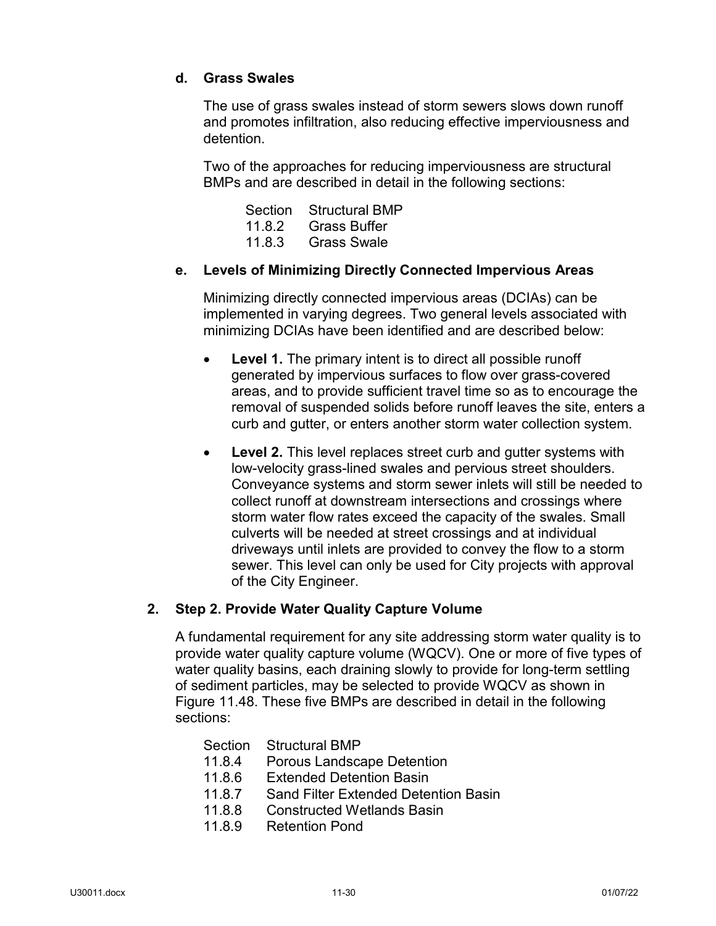## **d. Grass Swales**

The use of grass swales instead of storm sewers slows down runoff and promotes infiltration, also reducing effective imperviousness and detention.

Two of the approaches for reducing imperviousness are structural BMPs and are described in detail in the following sections:

| Section | <b>Structural BMP</b> |
|---------|-----------------------|
| 11.8.2  | <b>Grass Buffer</b>   |
| 11.8.3  | <b>Grass Swale</b>    |

## **e. Levels of Minimizing Directly Connected Impervious Areas**

Minimizing directly connected impervious areas (DCIAs) can be implemented in varying degrees. Two general levels associated with minimizing DCIAs have been identified and are described below:

- **Level 1.** The primary intent is to direct all possible runoff generated by impervious surfaces to flow over grass-covered areas, and to provide sufficient travel time so as to encourage the removal of suspended solids before runoff leaves the site, enters a curb and gutter, or enters another storm water collection system.
- **Level 2.** This level replaces street curb and gutter systems with low-velocity grass-lined swales and pervious street shoulders. Conveyance systems and storm sewer inlets will still be needed to collect runoff at downstream intersections and crossings where storm water flow rates exceed the capacity of the swales. Small culverts will be needed at street crossings and at individual driveways until inlets are provided to convey the flow to a storm sewer. This level can only be used for City projects with approval of the City Engineer.

## **2. Step 2. Provide Water Quality Capture Volume**

A fundamental requirement for any site addressing storm water quality is to provide water quality capture volume (WQCV). One or more of five types of water quality basins, each draining slowly to provide for long-term settling of sediment particles, may be selected to provide WQCV as shown in Figure 11.48. These five BMPs are described in detail in the following sections:

Section Structural BMP

- 11.8.4 Porous Landscape Detention
- 11.8.6 Extended Detention Basin
- 11.8.7 Sand Filter Extended Detention Basin
- 11.8.8 Constructed Wetlands Basin
- 11.8.9 Retention Pond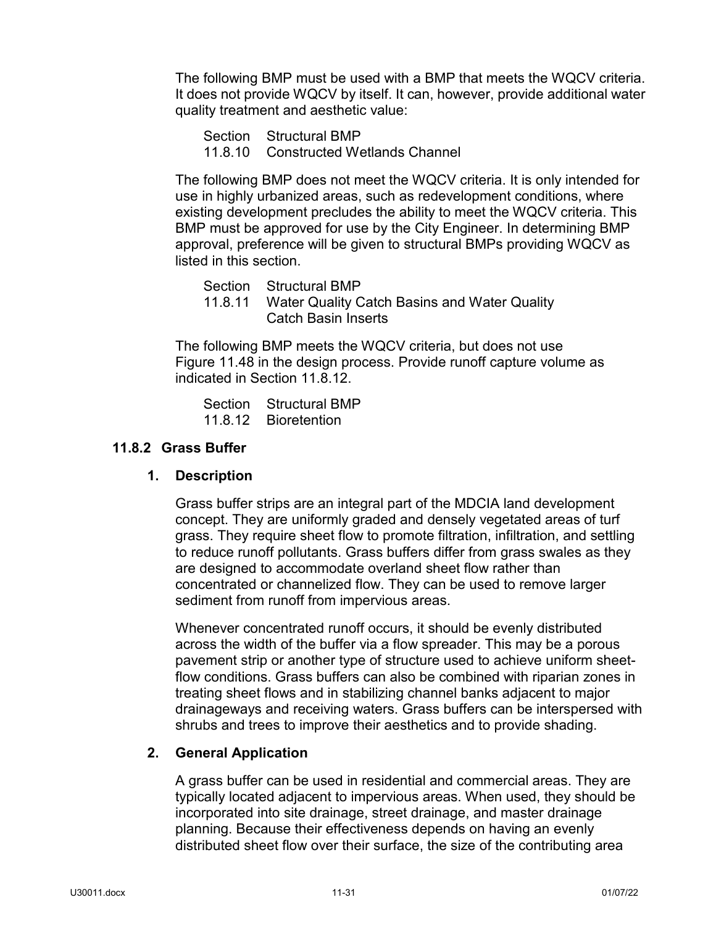The following BMP must be used with a BMP that meets the WQCV criteria. It does not provide WQCV by itself. It can, however, provide additional water quality treatment and aesthetic value:

- Section Structural BMP
- 11.8.10 Constructed Wetlands Channel

The following BMP does not meet the WQCV criteria. It is only intended for use in highly urbanized areas, such as redevelopment conditions, where existing development precludes the ability to meet the WQCV criteria. This BMP must be approved for use by the City Engineer. In determining BMP approval, preference will be given to structural BMPs providing WQCV as listed in this section.

Section Structural BMP

11.8.11 Water Quality Catch Basins and Water Quality Catch Basin Inserts

The following BMP meets the WQCV criteria, but does not use Figure 11.48 in the design process. Provide runoff capture volume as indicated in Section 11.8.12.

Section Structural BMP 11.8.12 Bioretention

#### <span id="page-33-0"></span>**11.8.2 Grass Buffer**

#### **1. Description**

Grass buffer strips are an integral part of the MDCIA land development concept. They are uniformly graded and densely vegetated areas of turf grass. They require sheet flow to promote filtration, infiltration, and settling to reduce runoff pollutants. Grass buffers differ from grass swales as they are designed to accommodate overland sheet flow rather than concentrated or channelized flow. They can be used to remove larger sediment from runoff from impervious areas.

Whenever concentrated runoff occurs, it should be evenly distributed across the width of the buffer via a flow spreader. This may be a porous pavement strip or another type of structure used to achieve uniform sheetflow conditions. Grass buffers can also be combined with riparian zones in treating sheet flows and in stabilizing channel banks adjacent to major drainageways and receiving waters. Grass buffers can be interspersed with shrubs and trees to improve their aesthetics and to provide shading.

#### **2. General Application**

A grass buffer can be used in residential and commercial areas. They are typically located adjacent to impervious areas. When used, they should be incorporated into site drainage, street drainage, and master drainage planning. Because their effectiveness depends on having an evenly distributed sheet flow over their surface, the size of the contributing area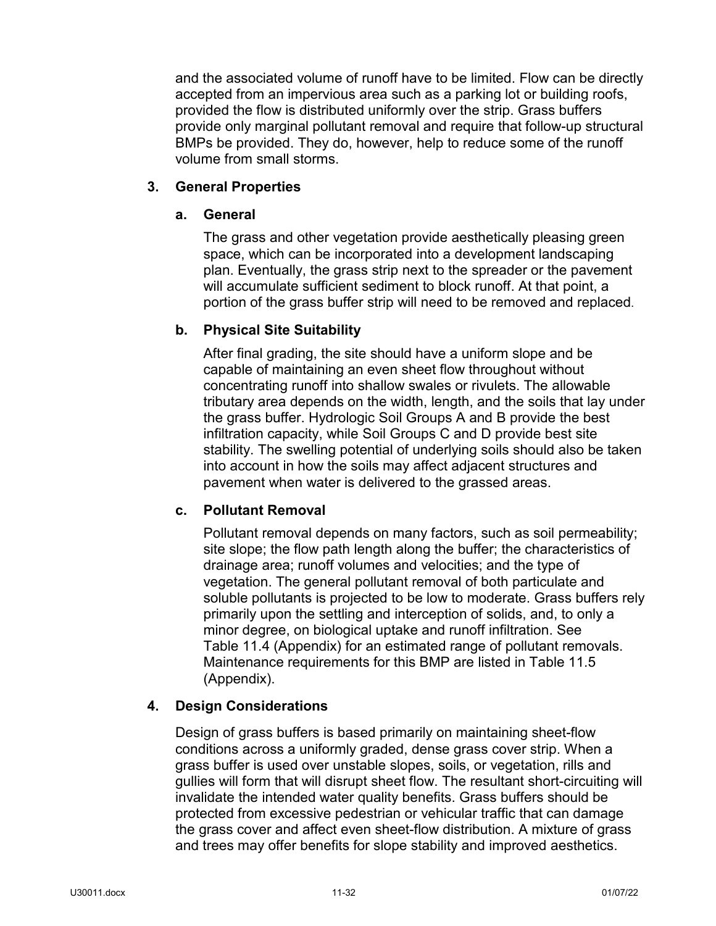and the associated volume of runoff have to be limited. Flow can be directly accepted from an impervious area such as a parking lot or building roofs, provided the flow is distributed uniformly over the strip. Grass buffers provide only marginal pollutant removal and require that follow-up structural BMPs be provided. They do, however, help to reduce some of the runoff volume from small storms.

## **3. General Properties**

#### **a. General**

The grass and other vegetation provide aesthetically pleasing green space, which can be incorporated into a development landscaping plan. Eventually, the grass strip next to the spreader or the pavement will accumulate sufficient sediment to block runoff. At that point, a portion of the grass buffer strip will need to be removed and replaced.

#### **b. Physical Site Suitability**

After final grading, the site should have a uniform slope and be capable of maintaining an even sheet flow throughout without concentrating runoff into shallow swales or rivulets. The allowable tributary area depends on the width, length, and the soils that lay under the grass buffer. Hydrologic Soil Groups A and B provide the best infiltration capacity, while Soil Groups C and D provide best site stability. The swelling potential of underlying soils should also be taken into account in how the soils may affect adjacent structures and pavement when water is delivered to the grassed areas.

## **c. Pollutant Removal**

Pollutant removal depends on many factors, such as soil permeability; site slope; the flow path length along the buffer; the characteristics of drainage area; runoff volumes and velocities; and the type of vegetation. The general pollutant removal of both particulate and soluble pollutants is projected to be low to moderate. Grass buffers rely primarily upon the settling and interception of solids, and, to only a minor degree, on biological uptake and runoff infiltration. See Table 11.4 (Appendix) for an estimated range of pollutant removals. Maintenance requirements for this BMP are listed in Table 11.5 (Appendix).

## **4. Design Considerations**

Design of grass buffers is based primarily on maintaining sheet-flow conditions across a uniformly graded, dense grass cover strip. When a grass buffer is used over unstable slopes, soils, or vegetation, rills and gullies will form that will disrupt sheet flow. The resultant short-circuiting will invalidate the intended water quality benefits. Grass buffers should be protected from excessive pedestrian or vehicular traffic that can damage the grass cover and affect even sheet-flow distribution. A mixture of grass and trees may offer benefits for slope stability and improved aesthetics.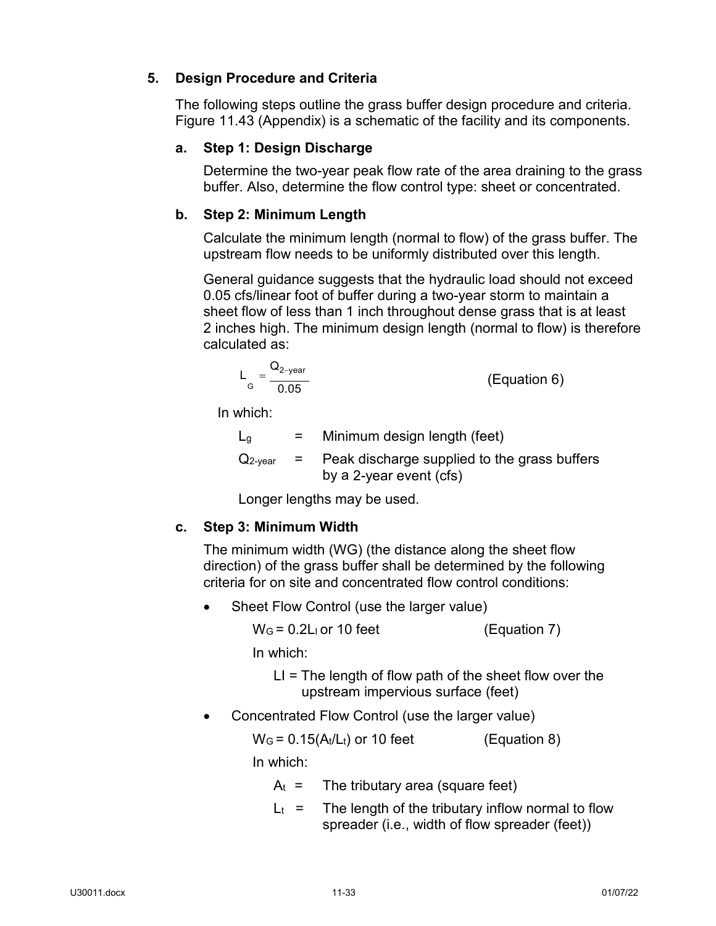# **5. Design Procedure and Criteria**

The following steps outline the grass buffer design procedure and criteria. Figure 11.43 (Appendix) is a schematic of the facility and its components.

# **a. Step 1: Design Discharge**

Determine the two-year peak flow rate of the area draining to the grass buffer. Also, determine the flow control type: sheet or concentrated.

# **b. Step 2: Minimum Length**

Calculate the minimum length (normal to flow) of the grass buffer. The upstream flow needs to be uniformly distributed over this length.

General guidance suggests that the hydraulic load should not exceed 0.05 cfs/linear foot of buffer during a two-year storm to maintain a sheet flow of less than 1 inch throughout dense grass that is at least 2 inches high. The minimum design length (normal to flow) is therefore calculated as:

$$
L_{\rm G} = \frac{Q_{\rm 2-year}}{0.05}
$$
 (Equation 6)

In which:

| $L_q$               | $=$     | Minimum design length (feet)                                            |
|---------------------|---------|-------------------------------------------------------------------------|
| $Q_{2\text{-year}}$ | $=$ $-$ | Peak discharge supplied to the grass buffers<br>by a 2-year event (cfs) |

Longer lengths may be used.

# **c. Step 3: Minimum Width**

The minimum width (WG) (the distance along the sheet flow direction) of the grass buffer shall be determined by the following criteria for on site and concentrated flow control conditions:

• Sheet Flow Control (use the larger value)

 $W<sub>G</sub> = 0.2L<sub>I</sub>$  or 10 feet (Equation 7)

In which:

LI = The length of flow path of the sheet flow over the upstream impervious surface (feet)

• Concentrated Flow Control (use the larger value)

 $W<sub>G</sub> = 0.15(A<sub>t</sub>/L<sub>t</sub>)$  or 10 feet (Equation 8)

In which:

 $A_t$  = The tributary area (square feet)

 $L_t$  = The length of the tributary inflow normal to flow spreader (i.e., width of flow spreader (feet))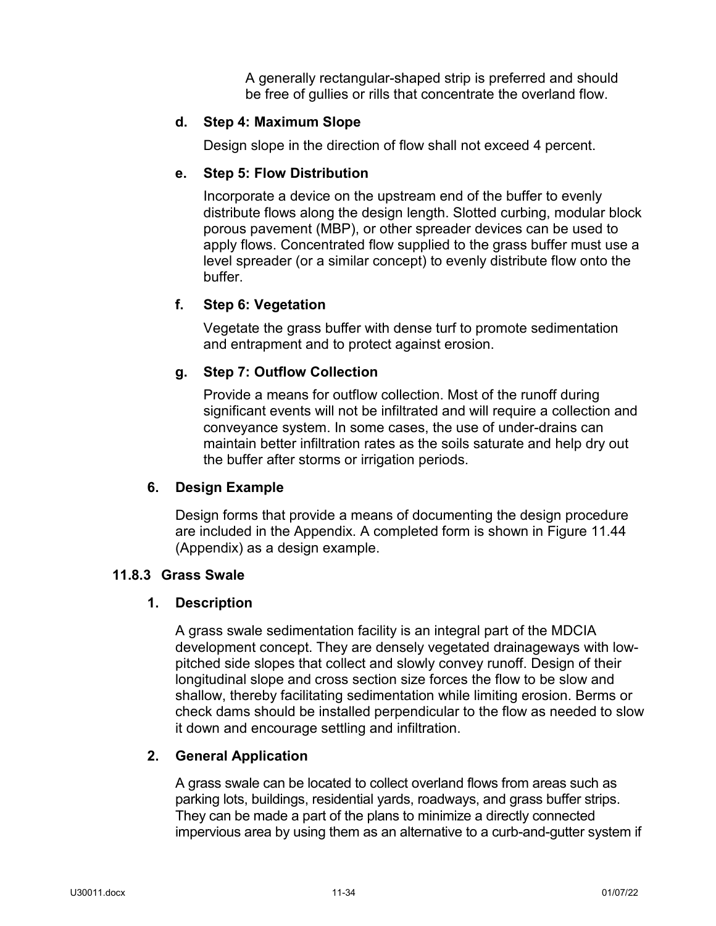A generally rectangular-shaped strip is preferred and should be free of gullies or rills that concentrate the overland flow.

### **d. Step 4: Maximum Slope**

Design slope in the direction of flow shall not exceed 4 percent.

### **e. Step 5: Flow Distribution**

Incorporate a device on the upstream end of the buffer to evenly distribute flows along the design length. Slotted curbing, modular block porous pavement (MBP), or other spreader devices can be used to apply flows. Concentrated flow supplied to the grass buffer must use a level spreader (or a similar concept) to evenly distribute flow onto the buffer.

### **f. Step 6: Vegetation**

Vegetate the grass buffer with dense turf to promote sedimentation and entrapment and to protect against erosion.

### **g. Step 7: Outflow Collection**

Provide a means for outflow collection. Most of the runoff during significant events will not be infiltrated and will require a collection and conveyance system. In some cases, the use of under-drains can maintain better infiltration rates as the soils saturate and help dry out the buffer after storms or irrigation periods.

### **6. Design Example**

Design forms that provide a means of documenting the design procedure are included in the Appendix. A completed form is shown in Figure 11.44 (Appendix) as a design example.

### **11.8.3 Grass Swale**

#### **1. Description**

A grass swale sedimentation facility is an integral part of the MDCIA development concept. They are densely vegetated drainageways with lowpitched side slopes that collect and slowly convey runoff. Design of their longitudinal slope and cross section size forces the flow to be slow and shallow, thereby facilitating sedimentation while limiting erosion. Berms or check dams should be installed perpendicular to the flow as needed to slow it down and encourage settling and infiltration.

#### **2. General Application**

A grass swale can be located to collect overland flows from areas such as parking lots, buildings, residential yards, roadways, and grass buffer strips. They can be made a part of the plans to minimize a directly connected impervious area by using them as an alternative to a curb-and-gutter system if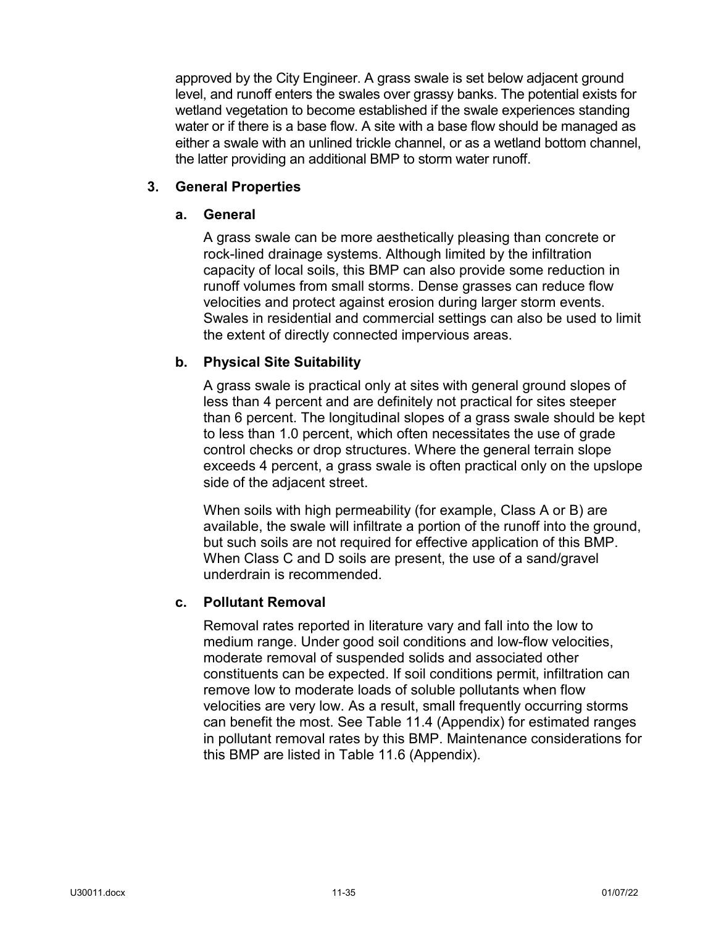approved by the City Engineer. A grass swale is set below adjacent ground level, and runoff enters the swales over grassy banks. The potential exists for wetland vegetation to become established if the swale experiences standing water or if there is a base flow. A site with a base flow should be managed as either a swale with an unlined trickle channel, or as a wetland bottom channel, the latter providing an additional BMP to storm water runoff.

### **3. General Properties**

### **a. General**

A grass swale can be more aesthetically pleasing than concrete or rock-lined drainage systems. Although limited by the infiltration capacity of local soils, this BMP can also provide some reduction in runoff volumes from small storms. Dense grasses can reduce flow velocities and protect against erosion during larger storm events. Swales in residential and commercial settings can also be used to limit the extent of directly connected impervious areas.

## **b. Physical Site Suitability**

A grass swale is practical only at sites with general ground slopes of less than 4 percent and are definitely not practical for sites steeper than 6 percent. The longitudinal slopes of a grass swale should be kept to less than 1.0 percent, which often necessitates the use of grade control checks or drop structures. Where the general terrain slope exceeds 4 percent, a grass swale is often practical only on the upslope side of the adjacent street.

When soils with high permeability (for example, Class A or B) are available, the swale will infiltrate a portion of the runoff into the ground, but such soils are not required for effective application of this BMP. When Class C and D soils are present, the use of a sand/gravel underdrain is recommended.

### **c. Pollutant Removal**

Removal rates reported in literature vary and fall into the low to medium range. Under good soil conditions and low-flow velocities, moderate removal of suspended solids and associated other constituents can be expected. If soil conditions permit, infiltration can remove low to moderate loads of soluble pollutants when flow velocities are very low. As a result, small frequently occurring storms can benefit the most. See Table 11.4 (Appendix) for estimated ranges in pollutant removal rates by this BMP. Maintenance considerations for this BMP are listed in Table 11.6 (Appendix).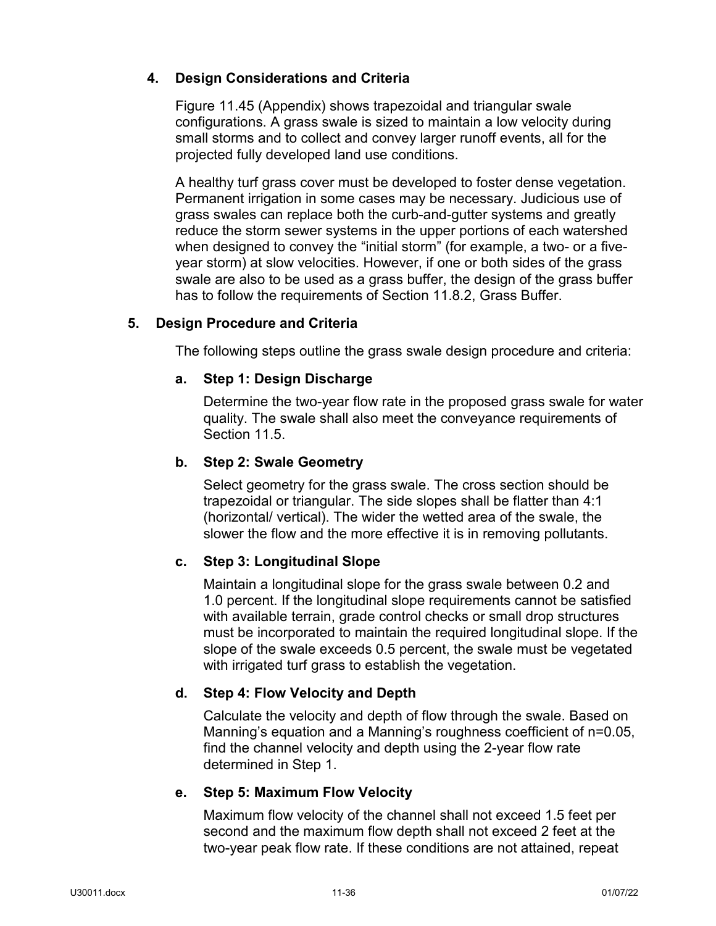# **4. Design Considerations and Criteria**

Figure 11.45 (Appendix) shows trapezoidal and triangular swale configurations. A grass swale is sized to maintain a low velocity during small storms and to collect and convey larger runoff events, all for the projected fully developed land use conditions.

A healthy turf grass cover must be developed to foster dense vegetation. Permanent irrigation in some cases may be necessary. Judicious use of grass swales can replace both the curb-and-gutter systems and greatly reduce the storm sewer systems in the upper portions of each watershed when designed to convey the "initial storm" (for example, a two- or a fiveyear storm) at slow velocities. However, if one or both sides of the grass swale are also to be used as a grass buffer, the design of the grass buffer has to follow the requirements of Section 11.8.2, Grass Buffer.

# **5. Design Procedure and Criteria**

The following steps outline the grass swale design procedure and criteria:

# **a. Step 1: Design Discharge**

Determine the two-year flow rate in the proposed grass swale for water quality. The swale shall also meet the conveyance requirements of Section 11.5.

# **b. Step 2: Swale Geometry**

Select geometry for the grass swale. The cross section should be trapezoidal or triangular. The side slopes shall be flatter than 4:1 (horizontal/ vertical). The wider the wetted area of the swale, the slower the flow and the more effective it is in removing pollutants.

# **c. Step 3: Longitudinal Slope**

Maintain a longitudinal slope for the grass swale between 0.2 and 1.0 percent. If the longitudinal slope requirements cannot be satisfied with available terrain, grade control checks or small drop structures must be incorporated to maintain the required longitudinal slope. If the slope of the swale exceeds 0.5 percent, the swale must be vegetated with irrigated turf grass to establish the vegetation.

# **d. Step 4: Flow Velocity and Depth**

Calculate the velocity and depth of flow through the swale. Based on Manning's equation and a Manning's roughness coefficient of n=0.05, find the channel velocity and depth using the 2-year flow rate determined in Step 1.

# **e. Step 5: Maximum Flow Velocity**

Maximum flow velocity of the channel shall not exceed 1.5 feet per second and the maximum flow depth shall not exceed 2 feet at the two-year peak flow rate. If these conditions are not attained, repeat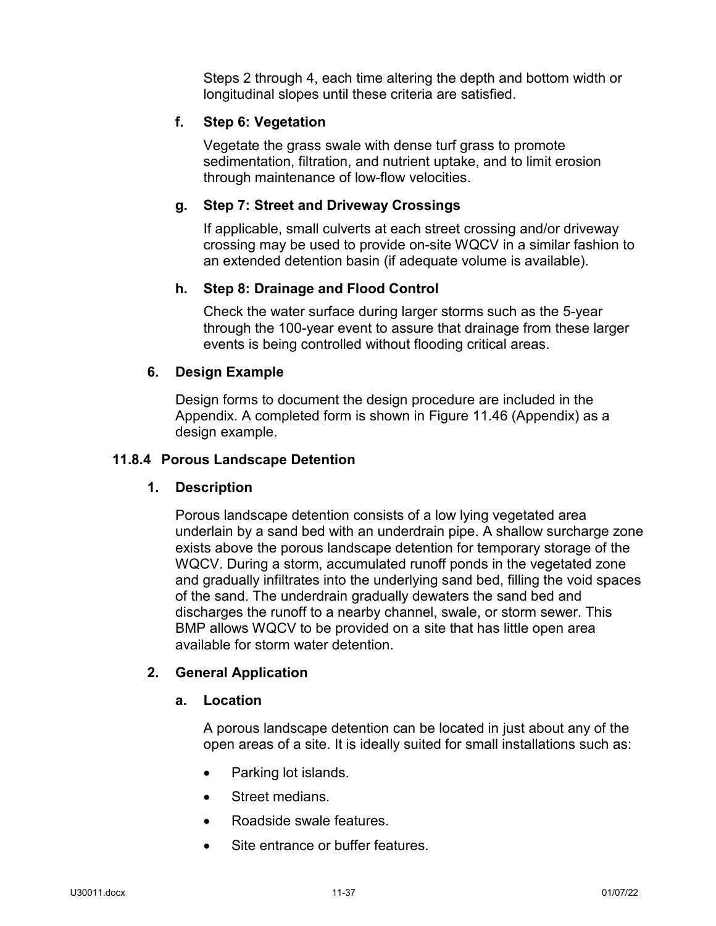Steps 2 through 4, each time altering the depth and bottom width or longitudinal slopes until these criteria are satisfied.

### **f. Step 6: Vegetation**

Vegetate the grass swale with dense turf grass to promote sedimentation, filtration, and nutrient uptake, and to limit erosion through maintenance of low-flow velocities.

### **g. Step 7: Street and Driveway Crossings**

If applicable, small culverts at each street crossing and/or driveway crossing may be used to provide on-site WQCV in a similar fashion to an extended detention basin (if adequate volume is available).

### **h. Step 8: Drainage and Flood Control**

Check the water surface during larger storms such as the 5-year through the 100-year event to assure that drainage from these larger events is being controlled without flooding critical areas.

### **6. Design Example**

Design forms to document the design procedure are included in the Appendix. A completed form is shown in Figure 11.46 (Appendix) as a design example.

#### **11.8.4 Porous Landscape Detention**

#### **1. Description**

Porous landscape detention consists of a low lying vegetated area underlain by a sand bed with an underdrain pipe. A shallow surcharge zone exists above the porous landscape detention for temporary storage of the WQCV. During a storm, accumulated runoff ponds in the vegetated zone and gradually infiltrates into the underlying sand bed, filling the void spaces of the sand. The underdrain gradually dewaters the sand bed and discharges the runoff to a nearby channel, swale, or storm sewer. This BMP allows WQCV to be provided on a site that has little open area available for storm water detention.

#### **2. General Application**

#### **a. Location**

A porous landscape detention can be located in just about any of the open areas of a site. It is ideally suited for small installations such as:

- Parking lot islands.
- Street medians.
- Roadside swale features.
- Site entrance or buffer features.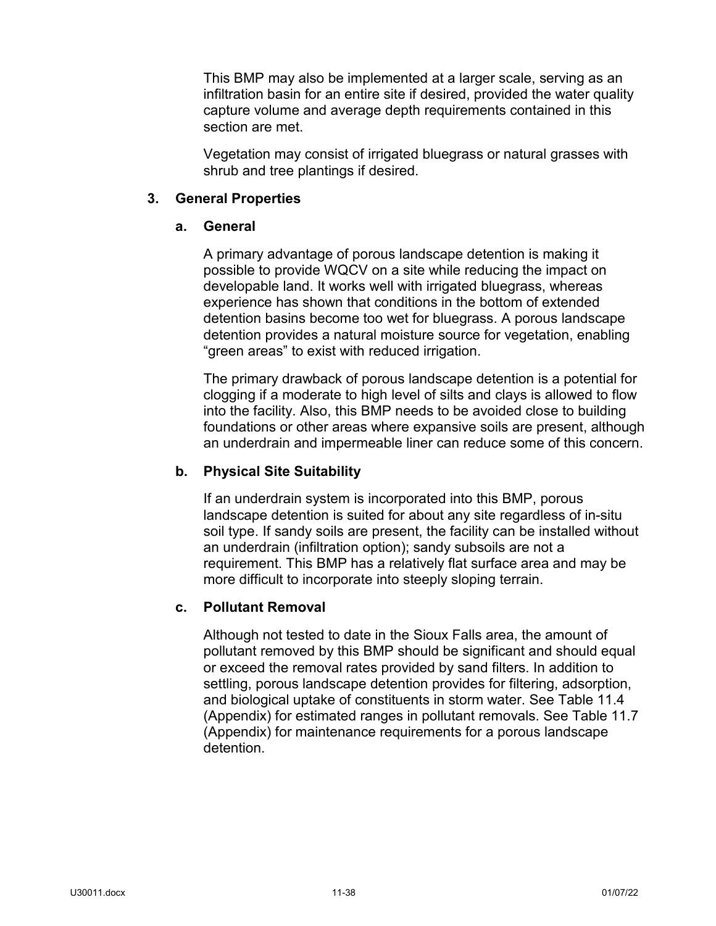This BMP may also be implemented at a larger scale, serving as an infiltration basin for an entire site if desired, provided the water quality capture volume and average depth requirements contained in this section are met.

Vegetation may consist of irrigated bluegrass or natural grasses with shrub and tree plantings if desired.

### **3. General Properties**

### **a. General**

A primary advantage of porous landscape detention is making it possible to provide WQCV on a site while reducing the impact on developable land. It works well with irrigated bluegrass, whereas experience has shown that conditions in the bottom of extended detention basins become too wet for bluegrass. A porous landscape detention provides a natural moisture source for vegetation, enabling "green areas" to exist with reduced irrigation.

The primary drawback of porous landscape detention is a potential for clogging if a moderate to high level of silts and clays is allowed to flow into the facility. Also, this BMP needs to be avoided close to building foundations or other areas where expansive soils are present, although an underdrain and impermeable liner can reduce some of this concern.

### **b. Physical Site Suitability**

If an underdrain system is incorporated into this BMP, porous landscape detention is suited for about any site regardless of in-situ soil type. If sandy soils are present, the facility can be installed without an underdrain (infiltration option); sandy subsoils are not a requirement. This BMP has a relatively flat surface area and may be more difficult to incorporate into steeply sloping terrain.

### **c. Pollutant Removal**

Although not tested to date in the Sioux Falls area, the amount of pollutant removed by this BMP should be significant and should equal or exceed the removal rates provided by sand filters. In addition to settling, porous landscape detention provides for filtering, adsorption, and biological uptake of constituents in storm water. See Table 11.4 (Appendix) for estimated ranges in pollutant removals. See Table 11.7 (Appendix) for maintenance requirements for a porous landscape detention.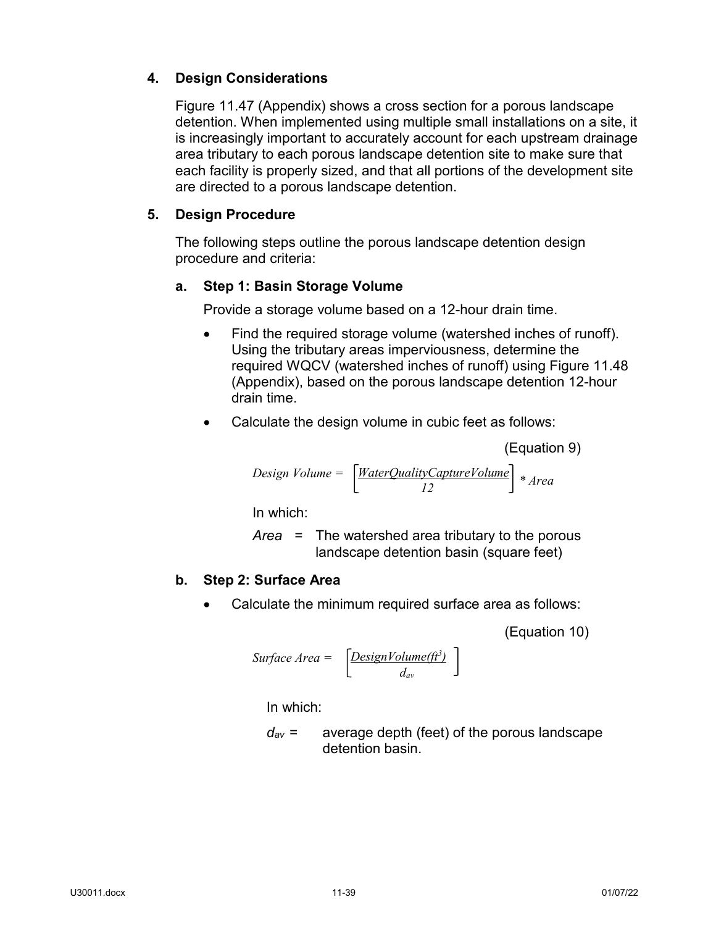# **4. Design Considerations**

Figure 11.47 (Appendix) shows a cross section for a porous landscape detention. When implemented using multiple small installations on a site, it is increasingly important to accurately account for each upstream drainage area tributary to each porous landscape detention site to make sure that each facility is properly sized, and that all portions of the development site are directed to a porous landscape detention.

# **5. Design Procedure**

The following steps outline the porous landscape detention design procedure and criteria:

## **a. Step 1: Basin Storage Volume**

Provide a storage volume based on a 12-hour drain time.

- Find the required storage volume (watershed inches of runoff). Using the tributary areas imperviousness, determine the required WQCV (watershed inches of runoff) using Figure 11.48 (Appendix), based on the porous landscape detention 12-hour drain time.
- Calculate the design volume in cubic feet as follows:

(Equation 9)

$$
Design Volume = \left[\frac{WaterQualityCaptureVolume}{12}\right] * Area
$$

In which:

*Area* = The watershed area tributary to the porous landscape detention basin (square feet)

### **b. Step 2: Surface Area**

• Calculate the minimum required surface area as follows:

(Equation 10)

Surface Area = 
$$
\left[ \frac{DesignVolume(\hat{\mu}^3)}{d_{av}} \right]
$$

In which:

*dav* = average depth (feet) of the porous landscape detention basin.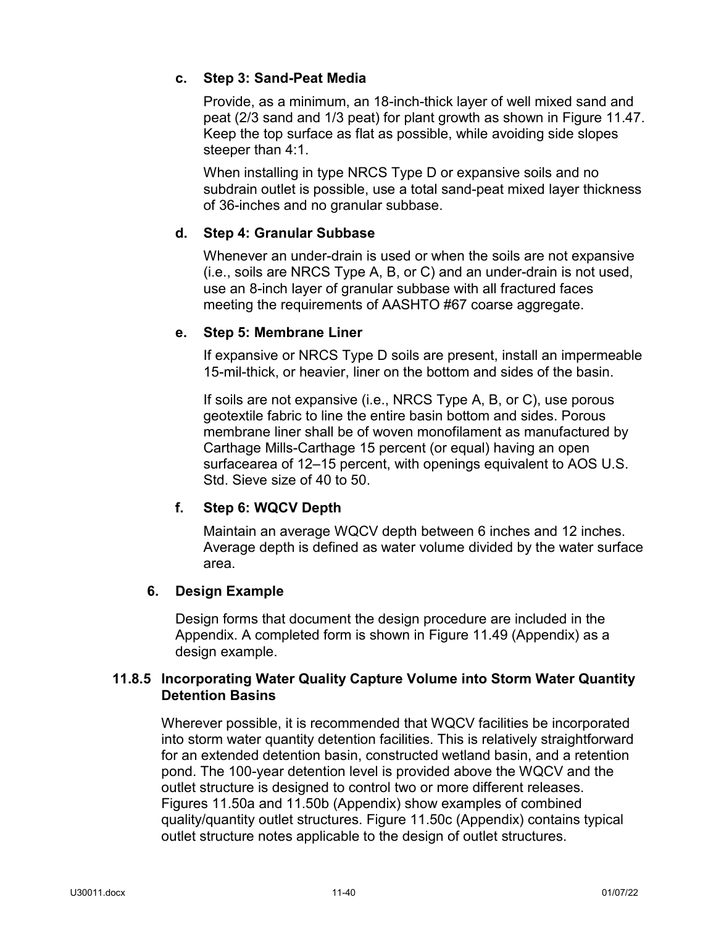## **c. Step 3: Sand-Peat Media**

Provide, as a minimum, an 18-inch-thick layer of well mixed sand and peat (2/3 sand and 1/3 peat) for plant growth as shown in Figure 11.47. Keep the top surface as flat as possible, while avoiding side slopes steeper than 4:1.

When installing in type NRCS Type D or expansive soils and no subdrain outlet is possible, use a total sand-peat mixed layer thickness of 36-inches and no granular subbase.

## **d. Step 4: Granular Subbase**

Whenever an under-drain is used or when the soils are not expansive (i.e., soils are NRCS Type A, B, or C) and an under-drain is not used, use an 8-inch layer of granular subbase with all fractured faces meeting the requirements of AASHTO #67 coarse aggregate.

### **e. Step 5: Membrane Liner**

If expansive or NRCS Type D soils are present, install an impermeable 15-mil-thick, or heavier, liner on the bottom and sides of the basin.

If soils are not expansive (i.e., NRCS Type A, B, or C), use porous geotextile fabric to line the entire basin bottom and sides. Porous membrane liner shall be of woven monofilament as manufactured by Carthage Mills-Carthage 15 percent (or equal) having an open surfacearea of 12–15 percent, with openings equivalent to AOS U.S. Std. Sieve size of 40 to 50.

# **f. Step 6: WQCV Depth**

Maintain an average WQCV depth between 6 inches and 12 inches. Average depth is defined as water volume divided by the water surface area.

### **6. Design Example**

Design forms that document the design procedure are included in the Appendix. A completed form is shown in Figure 11.49 (Appendix) as a design example.

## **11.8.5 Incorporating Water Quality Capture Volume into Storm Water Quantity Detention Basins**

Wherever possible, it is recommended that WQCV facilities be incorporated into storm water quantity detention facilities. This is relatively straightforward for an extended detention basin, constructed wetland basin, and a retention pond. The 100-year detention level is provided above the WQCV and the outlet structure is designed to control two or more different releases. Figures 11.50a and 11.50b (Appendix) show examples of combined quality/quantity outlet structures. Figure 11.50c (Appendix) contains typical outlet structure notes applicable to the design of outlet structures.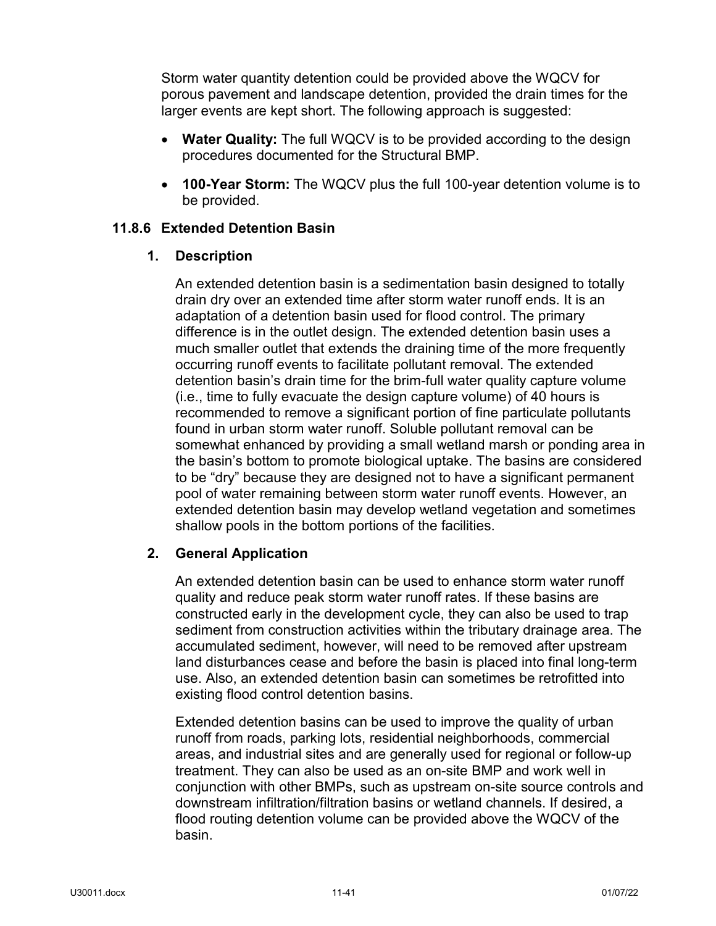Storm water quantity detention could be provided above the WQCV for porous pavement and landscape detention, provided the drain times for the larger events are kept short. The following approach is suggested:

- **Water Quality:** The full WQCV is to be provided according to the design procedures documented for the Structural BMP.
- **100-Year Storm:** The WQCV plus the full 100-year detention volume is to be provided.

### **11.8.6 Extended Detention Basin**

### **1. Description**

An extended detention basin is a sedimentation basin designed to totally drain dry over an extended time after storm water runoff ends. It is an adaptation of a detention basin used for flood control. The primary difference is in the outlet design. The extended detention basin uses a much smaller outlet that extends the draining time of the more frequently occurring runoff events to facilitate pollutant removal. The extended detention basin's drain time for the brim-full water quality capture volume (i.e., time to fully evacuate the design capture volume) of 40 hours is recommended to remove a significant portion of fine particulate pollutants found in urban storm water runoff. Soluble pollutant removal can be somewhat enhanced by providing a small wetland marsh or ponding area in the basin's bottom to promote biological uptake. The basins are considered to be "dry" because they are designed not to have a significant permanent pool of water remaining between storm water runoff events. However, an extended detention basin may develop wetland vegetation and sometimes shallow pools in the bottom portions of the facilities.

### **2. General Application**

An extended detention basin can be used to enhance storm water runoff quality and reduce peak storm water runoff rates. If these basins are constructed early in the development cycle, they can also be used to trap sediment from construction activities within the tributary drainage area. The accumulated sediment, however, will need to be removed after upstream land disturbances cease and before the basin is placed into final long-term use. Also, an extended detention basin can sometimes be retrofitted into existing flood control detention basins.

Extended detention basins can be used to improve the quality of urban runoff from roads, parking lots, residential neighborhoods, commercial areas, and industrial sites and are generally used for regional or follow-up treatment. They can also be used as an on-site BMP and work well in conjunction with other BMPs, such as upstream on-site source controls and downstream infiltration/filtration basins or wetland channels. If desired, a flood routing detention volume can be provided above the WQCV of the basin.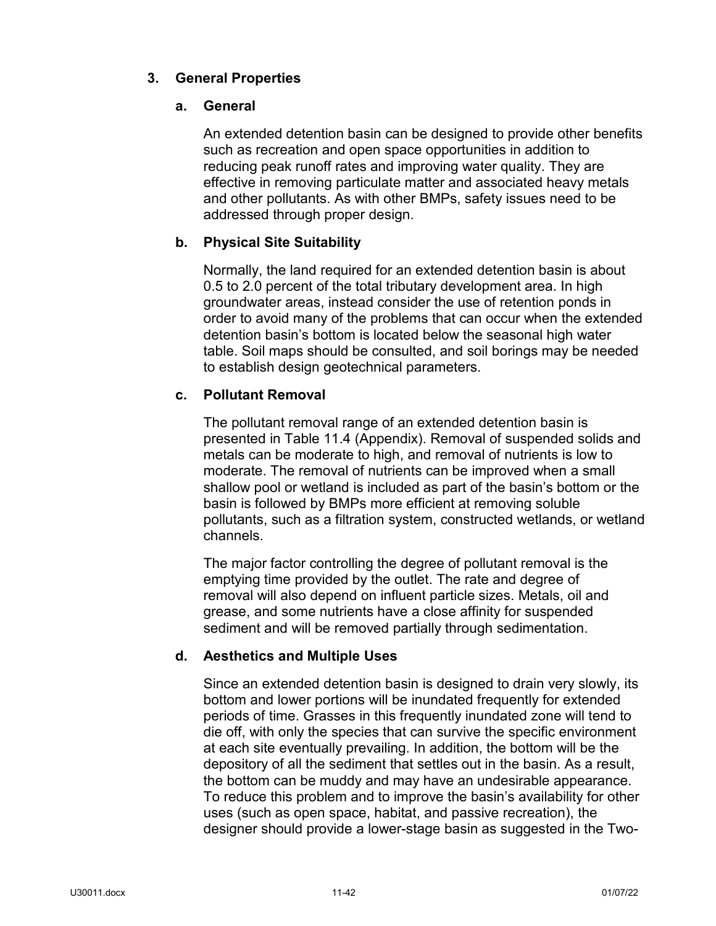# **3. General Properties**

# **a. General**

An extended detention basin can be designed to provide other benefits such as recreation and open space opportunities in addition to reducing peak runoff rates and improving water quality. They are effective in removing particulate matter and associated heavy metals and other pollutants. As with other BMPs, safety issues need to be addressed through proper design.

## **b. Physical Site Suitability**

Normally, the land required for an extended detention basin is about 0.5 to 2.0 percent of the total tributary development area. In high groundwater areas, instead consider the use of retention ponds in order to avoid many of the problems that can occur when the extended detention basin's bottom is located below the seasonal high water table. Soil maps should be consulted, and soil borings may be needed to establish design geotechnical parameters.

# **c. Pollutant Removal**

The pollutant removal range of an extended detention basin is presented in Table 11.4 (Appendix). Removal of suspended solids and metals can be moderate to high, and removal of nutrients is low to moderate. The removal of nutrients can be improved when a small shallow pool or wetland is included as part of the basin's bottom or the basin is followed by BMPs more efficient at removing soluble pollutants, such as a filtration system, constructed wetlands, or wetland channels.

The major factor controlling the degree of pollutant removal is the emptying time provided by the outlet. The rate and degree of removal will also depend on influent particle sizes. Metals, oil and grease, and some nutrients have a close affinity for suspended sediment and will be removed partially through sedimentation.

# **d. Aesthetics and Multiple Uses**

Since an extended detention basin is designed to drain very slowly, its bottom and lower portions will be inundated frequently for extended periods of time. Grasses in this frequently inundated zone will tend to die off, with only the species that can survive the specific environment at each site eventually prevailing. In addition, the bottom will be the depository of all the sediment that settles out in the basin. As a result, the bottom can be muddy and may have an undesirable appearance. To reduce this problem and to improve the basin's availability for other uses (such as open space, habitat, and passive recreation), the designer should provide a lower-stage basin as suggested in the Two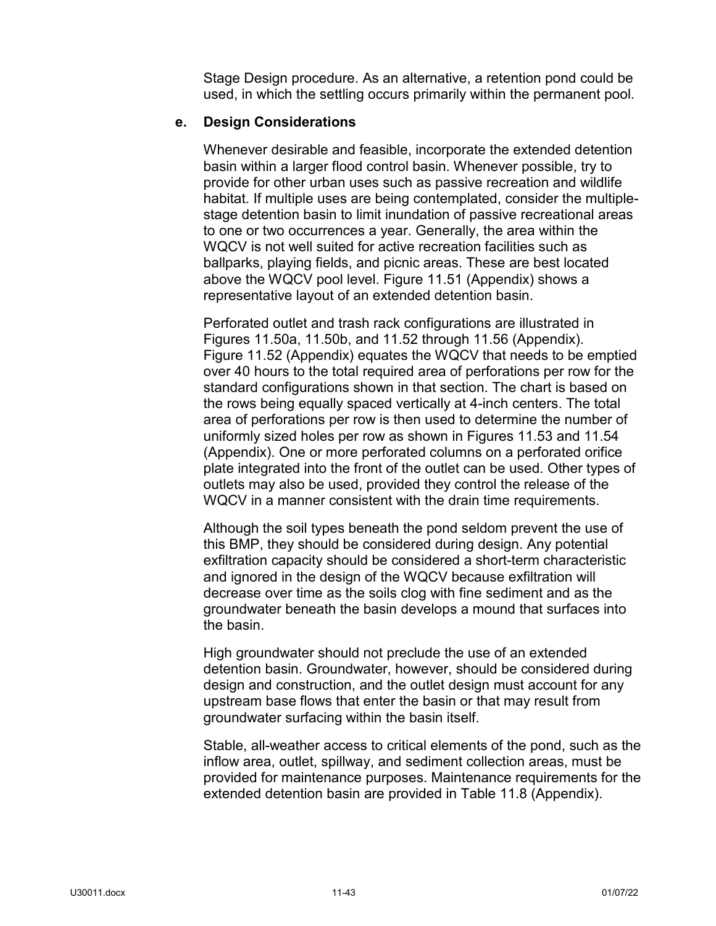Stage Design procedure. As an alternative, a retention pond could be used, in which the settling occurs primarily within the permanent pool.

### **e. Design Considerations**

Whenever desirable and feasible, incorporate the extended detention basin within a larger flood control basin. Whenever possible, try to provide for other urban uses such as passive recreation and wildlife habitat. If multiple uses are being contemplated, consider the multiplestage detention basin to limit inundation of passive recreational areas to one or two occurrences a year. Generally, the area within the WQCV is not well suited for active recreation facilities such as ballparks, playing fields, and picnic areas. These are best located above the WQCV pool level. Figure 11.51 (Appendix) shows a representative layout of an extended detention basin.

Perforated outlet and trash rack configurations are illustrated in Figures 11.50a, 11.50b, and 11.52 through 11.56 (Appendix). Figure 11.52 (Appendix) equates the WQCV that needs to be emptied over 40 hours to the total required area of perforations per row for the standard configurations shown in that section. The chart is based on the rows being equally spaced vertically at 4-inch centers. The total area of perforations per row is then used to determine the number of uniformly sized holes per row as shown in Figures 11.53 and 11.54 (Appendix). One or more perforated columns on a perforated orifice plate integrated into the front of the outlet can be used. Other types of outlets may also be used, provided they control the release of the WQCV in a manner consistent with the drain time requirements.

Although the soil types beneath the pond seldom prevent the use of this BMP, they should be considered during design. Any potential exfiltration capacity should be considered a short-term characteristic and ignored in the design of the WQCV because exfiltration will decrease over time as the soils clog with fine sediment and as the groundwater beneath the basin develops a mound that surfaces into the basin.

High groundwater should not preclude the use of an extended detention basin. Groundwater, however, should be considered during design and construction, and the outlet design must account for any upstream base flows that enter the basin or that may result from groundwater surfacing within the basin itself.

Stable, all-weather access to critical elements of the pond, such as the inflow area, outlet, spillway, and sediment collection areas, must be provided for maintenance purposes. Maintenance requirements for the extended detention basin are provided in Table 11.8 (Appendix).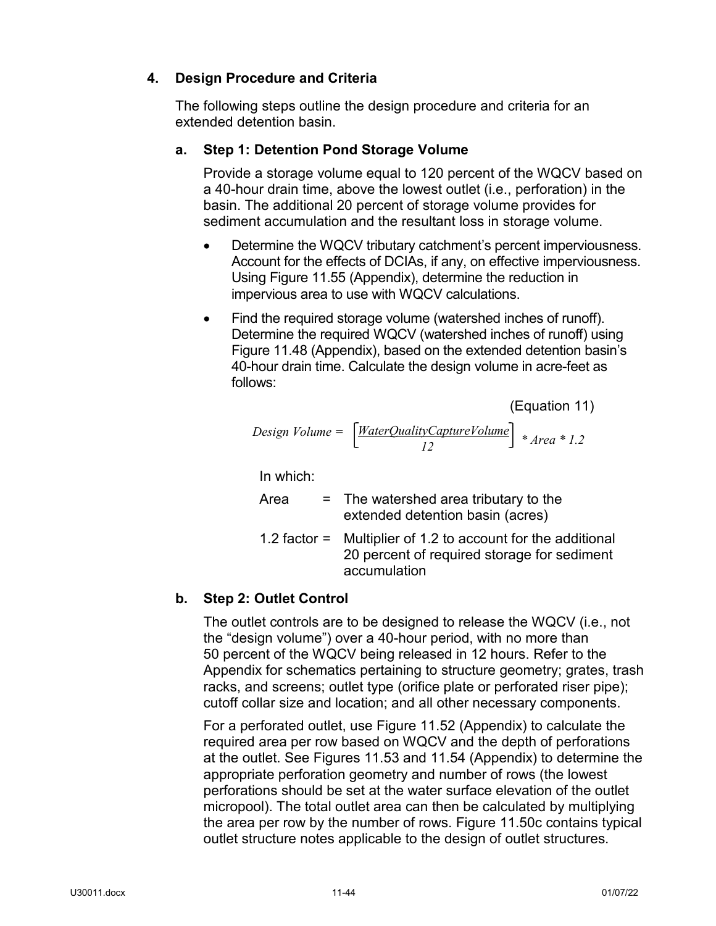# **4. Design Procedure and Criteria**

The following steps outline the design procedure and criteria for an extended detention basin.

# **a. Step 1: Detention Pond Storage Volume**

Provide a storage volume equal to 120 percent of the WQCV based on a 40-hour drain time, above the lowest outlet (i.e., perforation) in the basin. The additional 20 percent of storage volume provides for sediment accumulation and the resultant loss in storage volume.

- Determine the WQCV tributary catchment's percent imperviousness. Account for the effects of DCIAs, if any, on effective imperviousness. Using Figure 11.55 (Appendix), determine the reduction in impervious area to use with WQCV calculations.
- Find the required storage volume (watershed inches of runoff). Determine the required WQCV (watershed inches of runoff) using Figure 11.48 (Appendix), based on the extended detention basin's 40-hour drain time. Calculate the design volume in acre-feet as follows:

(Equation 11)

Design Volume =

\n
$$
\left[ \frac{WaterQualityCaptureVolume}{12} \right] * Area * 1.2
$$

In which:

| Area | $=$ The watershed area tributary to the<br>extended detention basin (acres)                                   |
|------|---------------------------------------------------------------------------------------------------------------|
|      | 1.2 factor $=$ Multiplier of 1.2 to account for the additional<br>20 percent of required storage for sediment |

accumulation

# **b. Step 2: Outlet Control**

The outlet controls are to be designed to release the WQCV (i.e., not the "design volume") over a 40-hour period, with no more than 50 percent of the WQCV being released in 12 hours. Refer to the Appendix for schematics pertaining to structure geometry; grates, trash racks, and screens; outlet type (orifice plate or perforated riser pipe); cutoff collar size and location; and all other necessary components.

For a perforated outlet, use Figure 11.52 (Appendix) to calculate the required area per row based on WQCV and the depth of perforations at the outlet. See Figures 11.53 and 11.54 (Appendix) to determine the appropriate perforation geometry and number of rows (the lowest perforations should be set at the water surface elevation of the outlet micropool). The total outlet area can then be calculated by multiplying the area per row by the number of rows. Figure 11.50c contains typical outlet structure notes applicable to the design of outlet structures.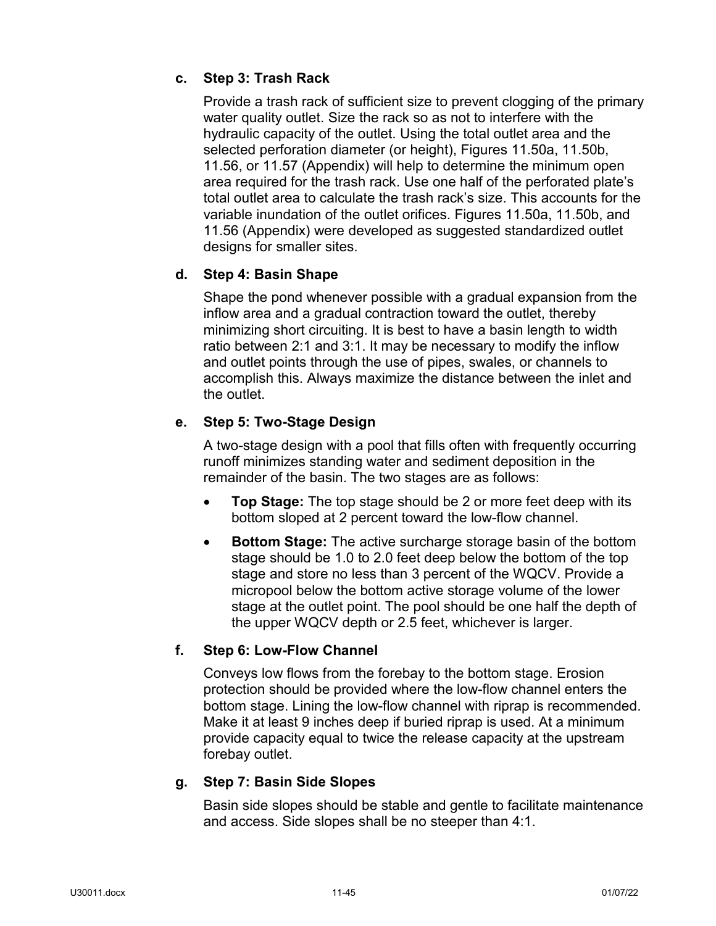# **c. Step 3: Trash Rack**

Provide a trash rack of sufficient size to prevent clogging of the primary water quality outlet. Size the rack so as not to interfere with the hydraulic capacity of the outlet. Using the total outlet area and the selected perforation diameter (or height), Figures 11.50a, 11.50b, 11.56, or 11.57 (Appendix) will help to determine the minimum open area required for the trash rack. Use one half of the perforated plate's total outlet area to calculate the trash rack's size. This accounts for the variable inundation of the outlet orifices. Figures 11.50a, 11.50b, and 11.56 (Appendix) were developed as suggested standardized outlet designs for smaller sites.

# **d. Step 4: Basin Shape**

Shape the pond whenever possible with a gradual expansion from the inflow area and a gradual contraction toward the outlet, thereby minimizing short circuiting. It is best to have a basin length to width ratio between 2:1 and 3:1. It may be necessary to modify the inflow and outlet points through the use of pipes, swales, or channels to accomplish this. Always maximize the distance between the inlet and the outlet.

# **e. Step 5: Two-Stage Design**

A two-stage design with a pool that fills often with frequently occurring runoff minimizes standing water and sediment deposition in the remainder of the basin. The two stages are as follows:

- **Top Stage:** The top stage should be 2 or more feet deep with its bottom sloped at 2 percent toward the low-flow channel.
- **Bottom Stage:** The active surcharge storage basin of the bottom stage should be 1.0 to 2.0 feet deep below the bottom of the top stage and store no less than 3 percent of the WQCV. Provide a micropool below the bottom active storage volume of the lower stage at the outlet point. The pool should be one half the depth of the upper WQCV depth or 2.5 feet, whichever is larger.

# **f. Step 6: Low-Flow Channel**

Conveys low flows from the forebay to the bottom stage. Erosion protection should be provided where the low-flow channel enters the bottom stage. Lining the low-flow channel with riprap is recommended. Make it at least 9 inches deep if buried riprap is used. At a minimum provide capacity equal to twice the release capacity at the upstream forebay outlet.

### **g. Step 7: Basin Side Slopes**

Basin side slopes should be stable and gentle to facilitate maintenance and access. Side slopes shall be no steeper than 4:1.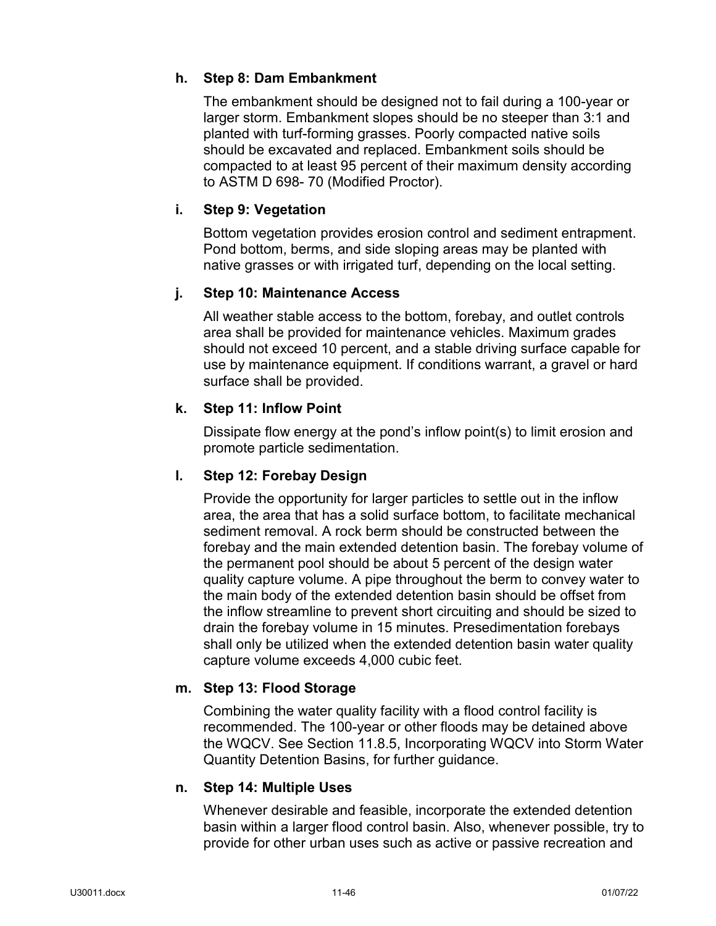# **h. Step 8: Dam Embankment**

The embankment should be designed not to fail during a 100-year or larger storm. Embankment slopes should be no steeper than 3:1 and planted with turf-forming grasses. Poorly compacted native soils should be excavated and replaced. Embankment soils should be compacted to at least 95 percent of their maximum density according to ASTM D 698- 70 (Modified Proctor).

## **i. Step 9: Vegetation**

Bottom vegetation provides erosion control and sediment entrapment. Pond bottom, berms, and side sloping areas may be planted with native grasses or with irrigated turf, depending on the local setting.

### **j. Step 10: Maintenance Access**

All weather stable access to the bottom, forebay, and outlet controls area shall be provided for maintenance vehicles. Maximum grades should not exceed 10 percent, and a stable driving surface capable for use by maintenance equipment. If conditions warrant, a gravel or hard surface shall be provided.

### **k. Step 11: Inflow Point**

Dissipate flow energy at the pond's inflow point(s) to limit erosion and promote particle sedimentation.

### **l. Step 12: Forebay Design**

Provide the opportunity for larger particles to settle out in the inflow area, the area that has a solid surface bottom, to facilitate mechanical sediment removal. A rock berm should be constructed between the forebay and the main extended detention basin. The forebay volume of the permanent pool should be about 5 percent of the design water quality capture volume. A pipe throughout the berm to convey water to the main body of the extended detention basin should be offset from the inflow streamline to prevent short circuiting and should be sized to drain the forebay volume in 15 minutes. Presedimentation forebays shall only be utilized when the extended detention basin water quality capture volume exceeds 4,000 cubic feet.

### **m. Step 13: Flood Storage**

Combining the water quality facility with a flood control facility is recommended. The 100-year or other floods may be detained above the WQCV. See Section 11.8.5, Incorporating WQCV into Storm Water Quantity Detention Basins, for further guidance.

### **n. Step 14: Multiple Uses**

Whenever desirable and feasible, incorporate the extended detention basin within a larger flood control basin. Also, whenever possible, try to provide for other urban uses such as active or passive recreation and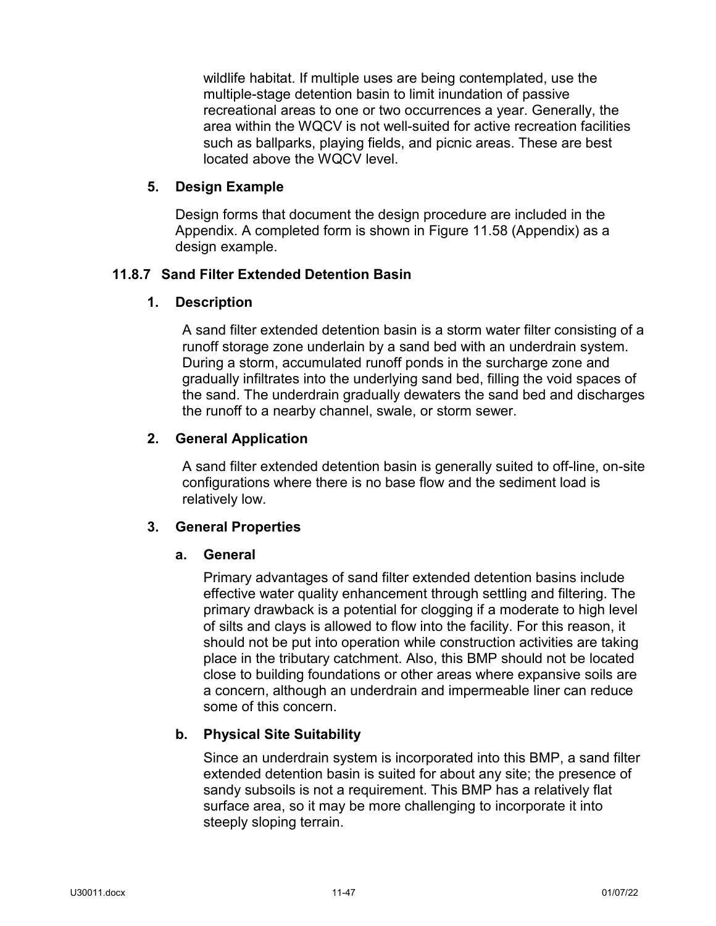wildlife habitat. If multiple uses are being contemplated, use the multiple-stage detention basin to limit inundation of passive recreational areas to one or two occurrences a year. Generally, the area within the WQCV is not well-suited for active recreation facilities such as ballparks, playing fields, and picnic areas. These are best located above the WQCV level.

### **5. Design Example**

Design forms that document the design procedure are included in the Appendix. A completed form is shown in Figure 11.58 (Appendix) as a design example.

### **11.8.7 Sand Filter Extended Detention Basin**

### **1. Description**

A sand filter extended detention basin is a storm water filter consisting of a runoff storage zone underlain by a sand bed with an underdrain system. During a storm, accumulated runoff ponds in the surcharge zone and gradually infiltrates into the underlying sand bed, filling the void spaces of the sand. The underdrain gradually dewaters the sand bed and discharges the runoff to a nearby channel, swale, or storm sewer.

### **2. General Application**

A sand filter extended detention basin is generally suited to off-line, on-site configurations where there is no base flow and the sediment load is relatively low.

### **3. General Properties**

#### **a. General**

Primary advantages of sand filter extended detention basins include effective water quality enhancement through settling and filtering. The primary drawback is a potential for clogging if a moderate to high level of silts and clays is allowed to flow into the facility. For this reason, it should not be put into operation while construction activities are taking place in the tributary catchment. Also, this BMP should not be located close to building foundations or other areas where expansive soils are a concern, although an underdrain and impermeable liner can reduce some of this concern.

### **b. Physical Site Suitability**

Since an underdrain system is incorporated into this BMP, a sand filter extended detention basin is suited for about any site; the presence of sandy subsoils is not a requirement. This BMP has a relatively flat surface area, so it may be more challenging to incorporate it into steeply sloping terrain.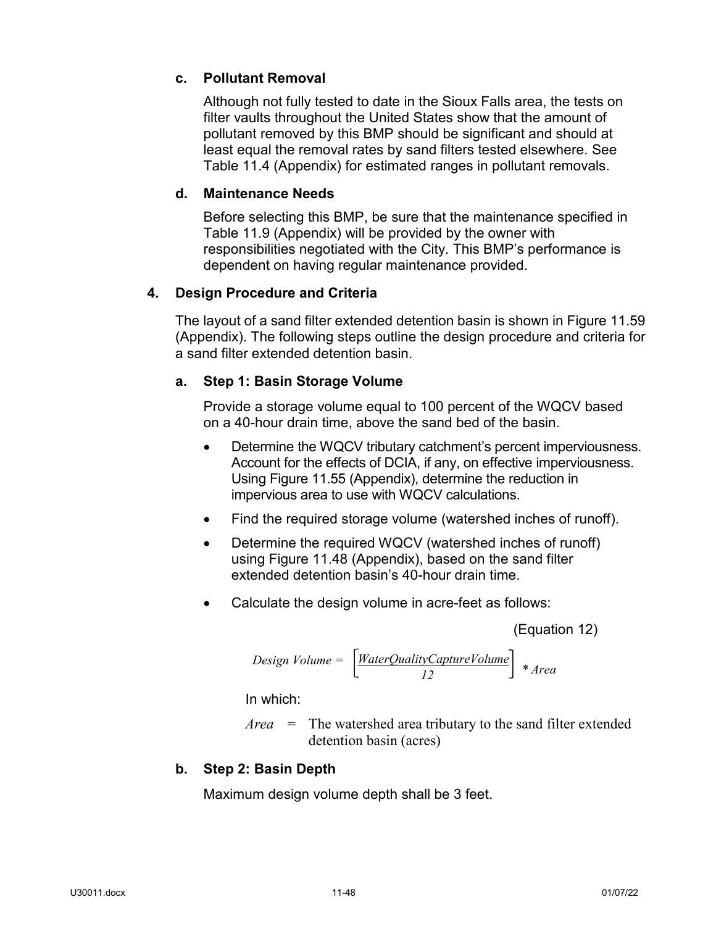# **c. Pollutant Removal**

Although not fully tested to date in the Sioux Falls area, the tests on filter vaults throughout the United States show that the amount of pollutant removed by this BMP should be significant and should at least equal the removal rates by sand filters tested elsewhere. See Table 11.4 (Appendix) for estimated ranges in pollutant removals.

## **d. Maintenance Needs**

Before selecting this BMP, be sure that the maintenance specified in Table 11.9 (Appendix) will be provided by the owner with responsibilities negotiated with the City. This BMP's performance is dependent on having regular maintenance provided.

## **4. Design Procedure and Criteria**

The layout of a sand filter extended detention basin is shown in Figure 11.59 (Appendix). The following steps outline the design procedure and criteria for a sand filter extended detention basin.

## **a. Step 1: Basin Storage Volume**

Provide a storage volume equal to 100 percent of the WQCV based on a 40-hour drain time, above the sand bed of the basin.

- Determine the WQCV tributary catchment's percent imperviousness. Account for the effects of DCIA, if any, on effective imperviousness. Using Figure 11.55 (Appendix), determine the reduction in impervious area to use with WQCV calculations.
- Find the required storage volume (watershed inches of runoff).
- Determine the required WQCV (watershed inches of runoff) using Figure 11.48 (Appendix), based on the sand filter extended detention basin's 40-hour drain time.
- Calculate the design volume in acre-feet as follows:

(Equation 12)

$$
Design Volume = \left[\frac{WaterQualityCaptureVolume}{12}\right] * Area
$$

In which:

*Area* = The watershed area tributary to the sand filter extended detention basin (acres)

# **b. Step 2: Basin Depth**

Maximum design volume depth shall be 3 feet.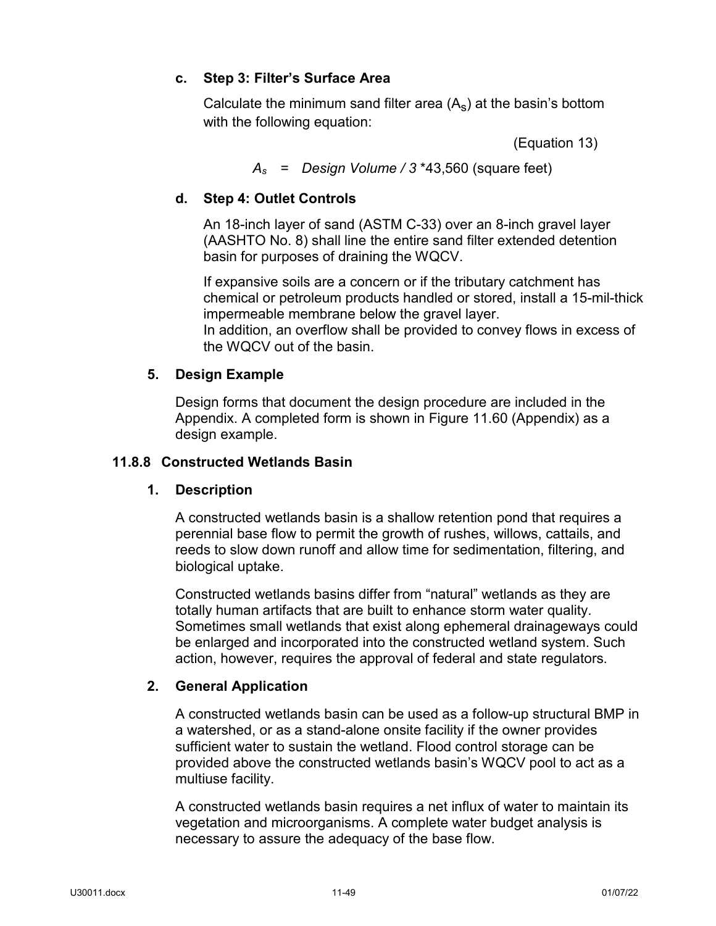## **c. Step 3: Filter's Surface Area**

Calculate the minimum sand filter area  $(A_s)$  at the basin's bottom with the following equation:

(Equation 13)

*As* = *Design Volume / 3* \*43,560 (square feet)

# **d. Step 4: Outlet Controls**

An 18-inch layer of sand (ASTM C-33) over an 8-inch gravel layer (AASHTO No. 8) shall line the entire sand filter extended detention basin for purposes of draining the WQCV.

If expansive soils are a concern or if the tributary catchment has chemical or petroleum products handled or stored, install a 15-mil-thick impermeable membrane below the gravel layer. In addition, an overflow shall be provided to convey flows in excess of the WQCV out of the basin.

## **5. Design Example**

Design forms that document the design procedure are included in the Appendix. A completed form is shown in Figure 11.60 (Appendix) as a design example.

### **11.8.8 Constructed Wetlands Basin**

### **1. Description**

A constructed wetlands basin is a shallow retention pond that requires a perennial base flow to permit the growth of rushes, willows, cattails, and reeds to slow down runoff and allow time for sedimentation, filtering, and biological uptake.

Constructed wetlands basins differ from "natural" wetlands as they are totally human artifacts that are built to enhance storm water quality. Sometimes small wetlands that exist along ephemeral drainageways could be enlarged and incorporated into the constructed wetland system. Such action, however, requires the approval of federal and state regulators.

# **2. General Application**

A constructed wetlands basin can be used as a follow-up structural BMP in a watershed, or as a stand-alone onsite facility if the owner provides sufficient water to sustain the wetland. Flood control storage can be provided above the constructed wetlands basin's WQCV pool to act as a multiuse facility.

A constructed wetlands basin requires a net influx of water to maintain its vegetation and microorganisms. A complete water budget analysis is necessary to assure the adequacy of the base flow.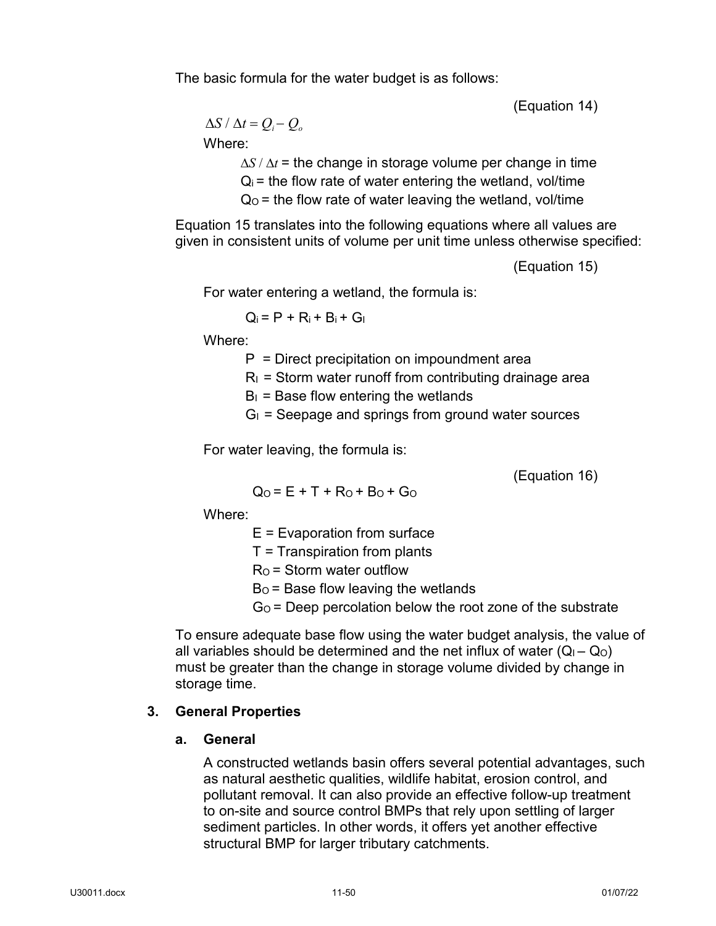The basic formula for the water budget is as follows:

(Equation 14)

 $\Delta S / \Delta t = Q_i - Q_o$ 

Where:

∆*S* / ∆*t* = the change in storage volume per change in time  $Q_i$  = the flow rate of water entering the wetland, vol/time  $Q<sub>0</sub>$  = the flow rate of water leaving the wetland, vol/time

Equation 15 translates into the following equations where all values are given in consistent units of volume per unit time unless otherwise specified:

(Equation 15)

For water entering a wetland, the formula is:

 $Q_i = P + R_i + B_i + G_i$ 

Where:

 $P =$  Direct precipitation on impoundment area

 $R<sub>l</sub>$  = Storm water runoff from contributing drainage area

 $B<sub>1</sub>$  = Base flow entering the wetlands

 $G_{I}$  = Seepage and springs from ground water sources

For water leaving, the formula is:

(Equation 16)

 $Q_0 = E + T + Ro + Bo + Go$ 

Where:

 $E =$  Evaporation from surface

 $T =$ Transpiration from plants

 $R<sub>O</sub>$  = Storm water outflow

 $Bo = Base$  flow leaving the wetlands

 $G<sub>0</sub>$  = Deep percolation below the root zone of the substrate

To ensure adequate base flow using the water budget analysis, the value of all variables should be determined and the net influx of water  $(Q_1 - Q_0)$ must be greater than the change in storage volume divided by change in storage time.

# **3. General Properties**

# **a. General**

A constructed wetlands basin offers several potential advantages, such as natural aesthetic qualities, wildlife habitat, erosion control, and pollutant removal. It can also provide an effective follow-up treatment to on-site and source control BMPs that rely upon settling of larger sediment particles. In other words, it offers yet another effective structural BMP for larger tributary catchments.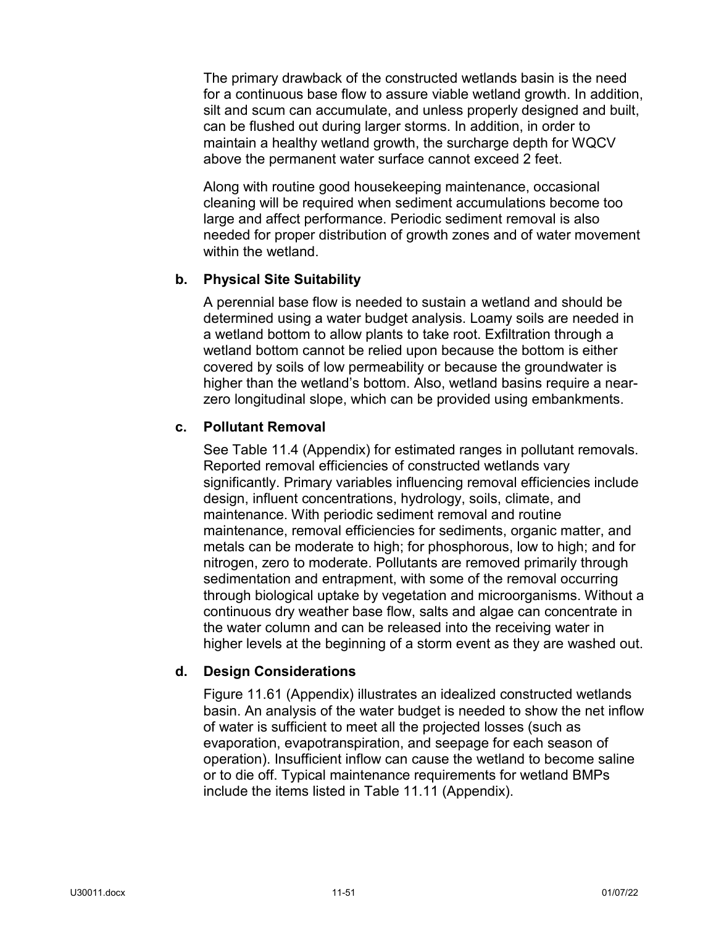The primary drawback of the constructed wetlands basin is the need for a continuous base flow to assure viable wetland growth. In addition, silt and scum can accumulate, and unless properly designed and built, can be flushed out during larger storms. In addition, in order to maintain a healthy wetland growth, the surcharge depth for WQCV above the permanent water surface cannot exceed 2 feet.

Along with routine good housekeeping maintenance, occasional cleaning will be required when sediment accumulations become too large and affect performance. Periodic sediment removal is also needed for proper distribution of growth zones and of water movement within the wetland.

### **b. Physical Site Suitability**

A perennial base flow is needed to sustain a wetland and should be determined using a water budget analysis. Loamy soils are needed in a wetland bottom to allow plants to take root. Exfiltration through a wetland bottom cannot be relied upon because the bottom is either covered by soils of low permeability or because the groundwater is higher than the wetland's bottom. Also, wetland basins require a nearzero longitudinal slope, which can be provided using embankments.

### **c. Pollutant Removal**

See Table 11.4 (Appendix) for estimated ranges in pollutant removals. Reported removal efficiencies of constructed wetlands vary significantly. Primary variables influencing removal efficiencies include design, influent concentrations, hydrology, soils, climate, and maintenance. With periodic sediment removal and routine maintenance, removal efficiencies for sediments, organic matter, and metals can be moderate to high; for phosphorous, low to high; and for nitrogen, zero to moderate. Pollutants are removed primarily through sedimentation and entrapment, with some of the removal occurring through biological uptake by vegetation and microorganisms. Without a continuous dry weather base flow, salts and algae can concentrate in the water column and can be released into the receiving water in higher levels at the beginning of a storm event as they are washed out.

### **d. Design Considerations**

Figure 11.61 (Appendix) illustrates an idealized constructed wetlands basin. An analysis of the water budget is needed to show the net inflow of water is sufficient to meet all the projected losses (such as evaporation, evapotranspiration, and seepage for each season of operation). Insufficient inflow can cause the wetland to become saline or to die off. Typical maintenance requirements for wetland BMPs include the items listed in Table 11.11 (Appendix).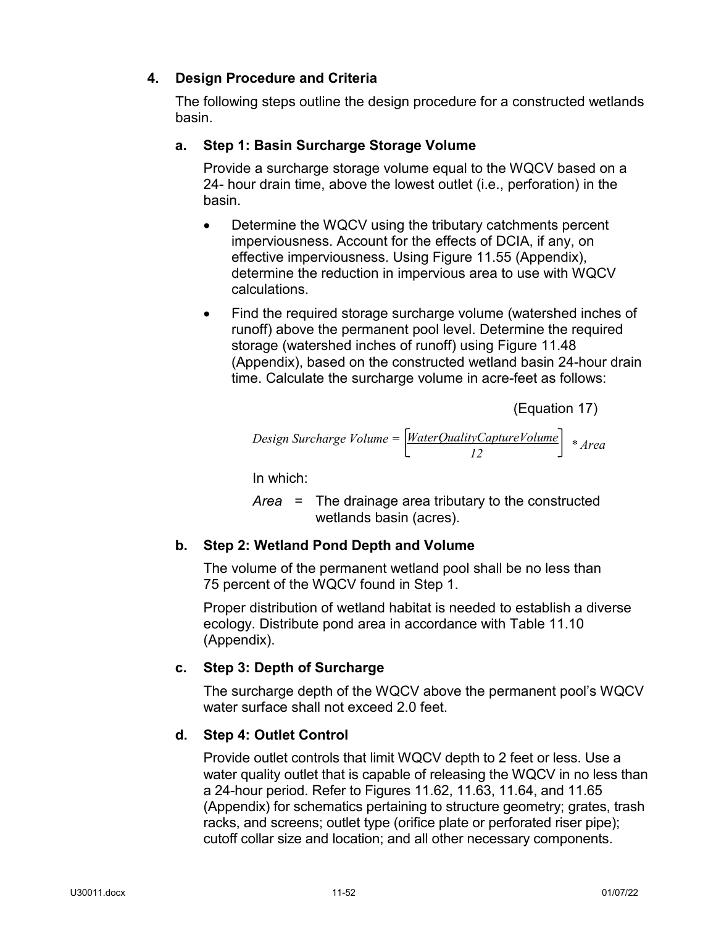# **4. Design Procedure and Criteria**

The following steps outline the design procedure for a constructed wetlands basin.

# **a. Step 1: Basin Surcharge Storage Volume**

Provide a surcharge storage volume equal to the WQCV based on a 24- hour drain time, above the lowest outlet (i.e., perforation) in the basin.

- Determine the WQCV using the tributary catchments percent imperviousness. Account for the effects of DCIA, if any, on effective imperviousness. Using Figure 11.55 (Appendix), determine the reduction in impervious area to use with WQCV calculations.
- Find the required storage surcharge volume (watershed inches of runoff) above the permanent pool level. Determine the required storage (watershed inches of runoff) using Figure 11.48 (Appendix), based on the constructed wetland basin 24-hour drain time. Calculate the surcharge volume in acre-feet as follows:

(Equation 17)

$$
Design Surface Volume = \left[\frac{WaterQualityCaptureVolume}{12}\right] * Area
$$

In which:

*Area* = The drainage area tributary to the constructed wetlands basin (acres).

# **b. Step 2: Wetland Pond Depth and Volume**

The volume of the permanent wetland pool shall be no less than 75 percent of the WQCV found in Step 1.

Proper distribution of wetland habitat is needed to establish a diverse ecology. Distribute pond area in accordance with Table 11.10 (Appendix).

# **c. Step 3: Depth of Surcharge**

The surcharge depth of the WQCV above the permanent pool's WQCV water surface shall not exceed 2.0 feet.

# **d. Step 4: Outlet Control**

Provide outlet controls that limit WQCV depth to 2 feet or less. Use a water quality outlet that is capable of releasing the WQCV in no less than a 24-hour period. Refer to Figures 11.62, 11.63, 11.64, and 11.65 (Appendix) for schematics pertaining to structure geometry; grates, trash racks, and screens; outlet type (orifice plate or perforated riser pipe); cutoff collar size and location; and all other necessary components.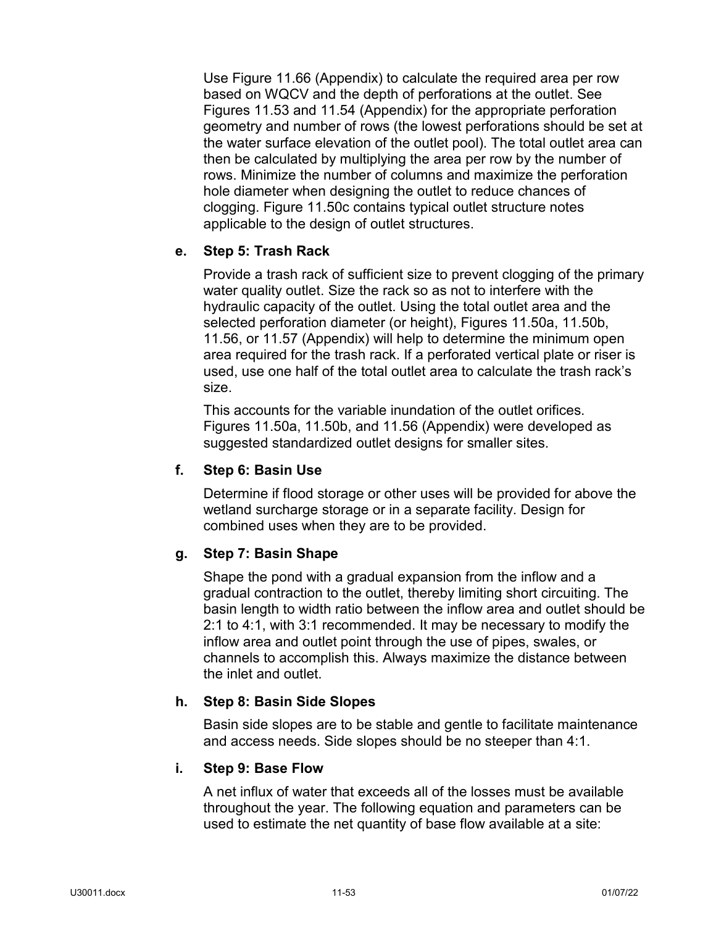Use Figure 11.66 (Appendix) to calculate the required area per row based on WQCV and the depth of perforations at the outlet. See Figures 11.53 and 11.54 (Appendix) for the appropriate perforation geometry and number of rows (the lowest perforations should be set at the water surface elevation of the outlet pool). The total outlet area can then be calculated by multiplying the area per row by the number of rows. Minimize the number of columns and maximize the perforation hole diameter when designing the outlet to reduce chances of clogging. Figure 11.50c contains typical outlet structure notes applicable to the design of outlet structures.

### **e. Step 5: Trash Rack**

Provide a trash rack of sufficient size to prevent clogging of the primary water quality outlet. Size the rack so as not to interfere with the hydraulic capacity of the outlet. Using the total outlet area and the selected perforation diameter (or height), Figures 11.50a, 11.50b, 11.56, or 11.57 (Appendix) will help to determine the minimum open area required for the trash rack. If a perforated vertical plate or riser is used, use one half of the total outlet area to calculate the trash rack's size.

This accounts for the variable inundation of the outlet orifices. Figures 11.50a, 11.50b, and 11.56 (Appendix) were developed as suggested standardized outlet designs for smaller sites.

### **f. Step 6: Basin Use**

Determine if flood storage or other uses will be provided for above the wetland surcharge storage or in a separate facility. Design for combined uses when they are to be provided.

#### **g. Step 7: Basin Shape**

Shape the pond with a gradual expansion from the inflow and a gradual contraction to the outlet, thereby limiting short circuiting. The basin length to width ratio between the inflow area and outlet should be 2:1 to 4:1, with 3:1 recommended. It may be necessary to modify the inflow area and outlet point through the use of pipes, swales, or channels to accomplish this. Always maximize the distance between the inlet and outlet.

#### **h. Step 8: Basin Side Slopes**

Basin side slopes are to be stable and gentle to facilitate maintenance and access needs. Side slopes should be no steeper than 4:1.

#### **i. Step 9: Base Flow**

A net influx of water that exceeds all of the losses must be available throughout the year. The following equation and parameters can be used to estimate the net quantity of base flow available at a site: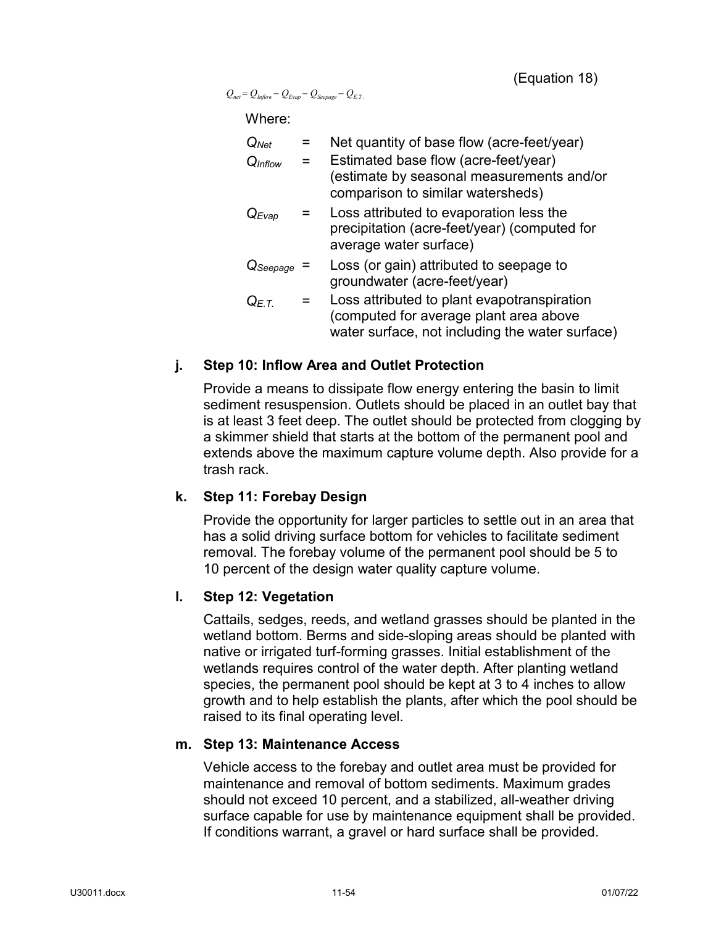(Equation 18)

 $Q_{net} = Q_{Inflow} - Q_{Evap} - Q_{Seepage} - Q_{E.T.}$ 

Where:

| $Q_{Net}$           | Net quantity of base flow (acre-feet/year)                                                                                               |
|---------------------|------------------------------------------------------------------------------------------------------------------------------------------|
| Q <sub>Inflow</sub> | Estimated base flow (acre-feet/year)<br>(estimate by seasonal measurements and/or<br>comparison to similar watersheds)                   |
| $Q_{Evap}$          | Loss attributed to evaporation less the<br>precipitation (acre-feet/year) (computed for<br>average water surface)                        |
| $Q$ Seepage         | Loss (or gain) attributed to seepage to<br>groundwater (acre-feet/year)                                                                  |
| $Q_{E,T}$           | Loss attributed to plant evapotranspiration<br>(computed for average plant area above<br>water surface, not including the water surface) |

### **j. Step 10: Inflow Area and Outlet Protection**

Provide a means to dissipate flow energy entering the basin to limit sediment resuspension. Outlets should be placed in an outlet bay that is at least 3 feet deep. The outlet should be protected from clogging by a skimmer shield that starts at the bottom of the permanent pool and extends above the maximum capture volume depth. Also provide for a trash rack.

### **k. Step 11: Forebay Design**

Provide the opportunity for larger particles to settle out in an area that has a solid driving surface bottom for vehicles to facilitate sediment removal. The forebay volume of the permanent pool should be 5 to 10 percent of the design water quality capture volume.

### **l. Step 12: Vegetation**

Cattails, sedges, reeds, and wetland grasses should be planted in the wetland bottom. Berms and side-sloping areas should be planted with native or irrigated turf-forming grasses. Initial establishment of the wetlands requires control of the water depth. After planting wetland species, the permanent pool should be kept at 3 to 4 inches to allow growth and to help establish the plants, after which the pool should be raised to its final operating level.

### **m. Step 13: Maintenance Access**

Vehicle access to the forebay and outlet area must be provided for maintenance and removal of bottom sediments. Maximum grades should not exceed 10 percent, and a stabilized, all-weather driving surface capable for use by maintenance equipment shall be provided. If conditions warrant, a gravel or hard surface shall be provided.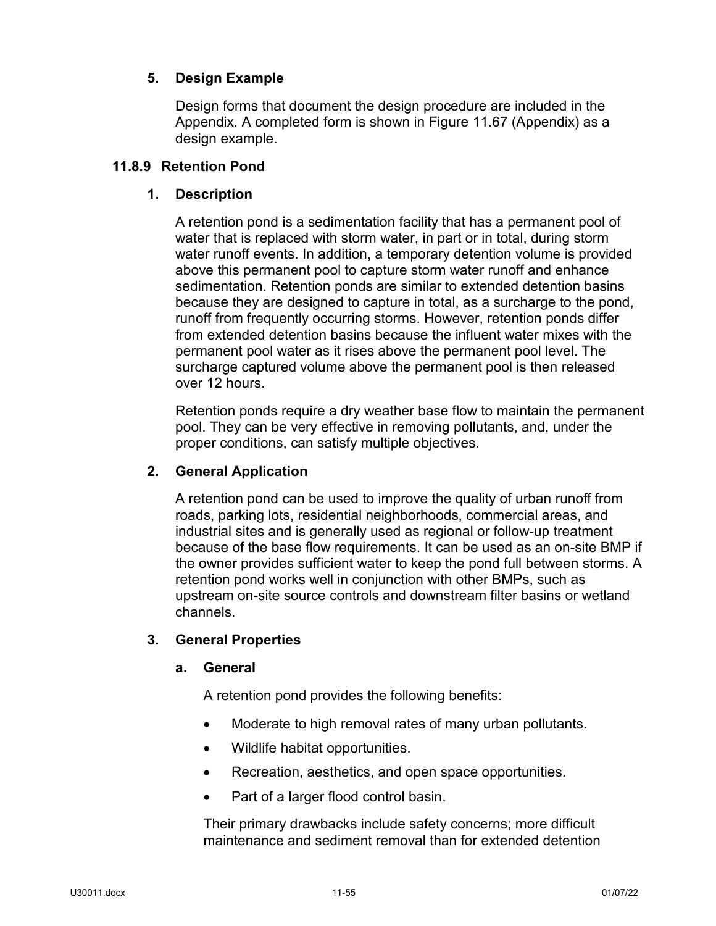# **5. Design Example**

Design forms that document the design procedure are included in the Appendix. A completed form is shown in Figure 11.67 (Appendix) as a design example.

# **11.8.9 Retention Pond**

# **1. Description**

A retention pond is a sedimentation facility that has a permanent pool of water that is replaced with storm water, in part or in total, during storm water runoff events. In addition, a temporary detention volume is provided above this permanent pool to capture storm water runoff and enhance sedimentation. Retention ponds are similar to extended detention basins because they are designed to capture in total, as a surcharge to the pond, runoff from frequently occurring storms. However, retention ponds differ from extended detention basins because the influent water mixes with the permanent pool water as it rises above the permanent pool level. The surcharge captured volume above the permanent pool is then released over 12 hours.

Retention ponds require a dry weather base flow to maintain the permanent pool. They can be very effective in removing pollutants, and, under the proper conditions, can satisfy multiple objectives.

## **2. General Application**

A retention pond can be used to improve the quality of urban runoff from roads, parking lots, residential neighborhoods, commercial areas, and industrial sites and is generally used as regional or follow-up treatment because of the base flow requirements. It can be used as an on-site BMP if the owner provides sufficient water to keep the pond full between storms. A retention pond works well in conjunction with other BMPs, such as upstream on-site source controls and downstream filter basins or wetland channels.

### **3. General Properties**

### **a. General**

A retention pond provides the following benefits:

- Moderate to high removal rates of many urban pollutants.
- Wildlife habitat opportunities.
- Recreation, aesthetics, and open space opportunities.
- Part of a larger flood control basin.

Their primary drawbacks include safety concerns; more difficult maintenance and sediment removal than for extended detention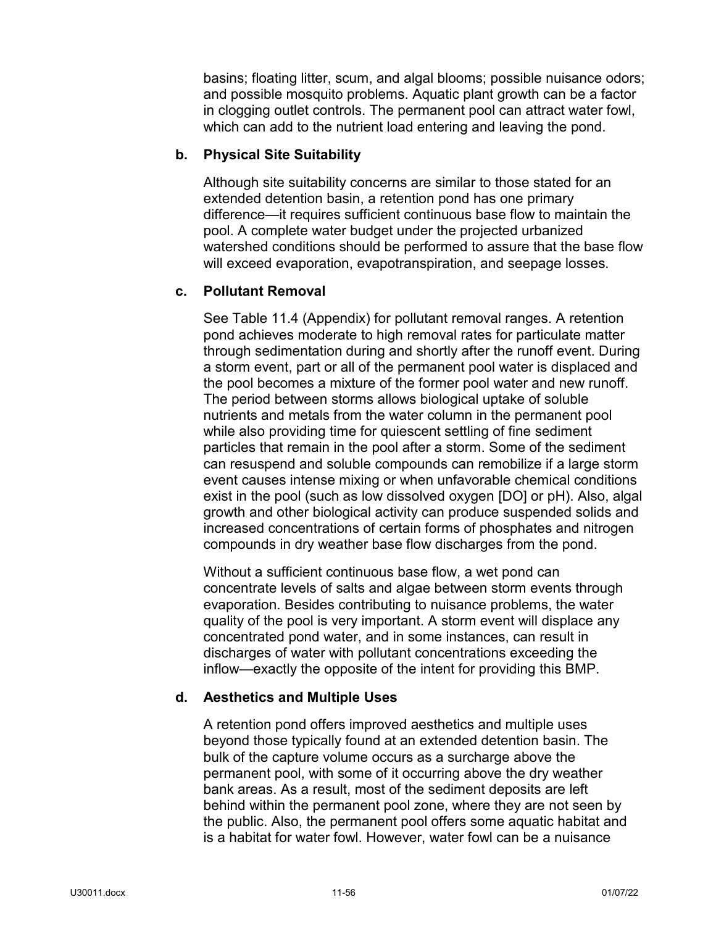basins; floating litter, scum, and algal blooms; possible nuisance odors; and possible mosquito problems. Aquatic plant growth can be a factor in clogging outlet controls. The permanent pool can attract water fowl, which can add to the nutrient load entering and leaving the pond.

### **b. Physical Site Suitability**

Although site suitability concerns are similar to those stated for an extended detention basin, a retention pond has one primary difference—it requires sufficient continuous base flow to maintain the pool. A complete water budget under the projected urbanized watershed conditions should be performed to assure that the base flow will exceed evaporation, evapotranspiration, and seepage losses.

## **c. Pollutant Removal**

See Table 11.4 (Appendix) for pollutant removal ranges. A retention pond achieves moderate to high removal rates for particulate matter through sedimentation during and shortly after the runoff event. During a storm event, part or all of the permanent pool water is displaced and the pool becomes a mixture of the former pool water and new runoff. The period between storms allows biological uptake of soluble nutrients and metals from the water column in the permanent pool while also providing time for quiescent settling of fine sediment particles that remain in the pool after a storm. Some of the sediment can resuspend and soluble compounds can remobilize if a large storm event causes intense mixing or when unfavorable chemical conditions exist in the pool (such as low dissolved oxygen [DO] or pH). Also, algal growth and other biological activity can produce suspended solids and increased concentrations of certain forms of phosphates and nitrogen compounds in dry weather base flow discharges from the pond.

Without a sufficient continuous base flow, a wet pond can concentrate levels of salts and algae between storm events through evaporation. Besides contributing to nuisance problems, the water quality of the pool is very important. A storm event will displace any concentrated pond water, and in some instances, can result in discharges of water with pollutant concentrations exceeding the inflow—exactly the opposite of the intent for providing this BMP.

### **d. Aesthetics and Multiple Uses**

A retention pond offers improved aesthetics and multiple uses beyond those typically found at an extended detention basin. The bulk of the capture volume occurs as a surcharge above the permanent pool, with some of it occurring above the dry weather bank areas. As a result, most of the sediment deposits are left behind within the permanent pool zone, where they are not seen by the public. Also, the permanent pool offers some aquatic habitat and is a habitat for water fowl. However, water fowl can be a nuisance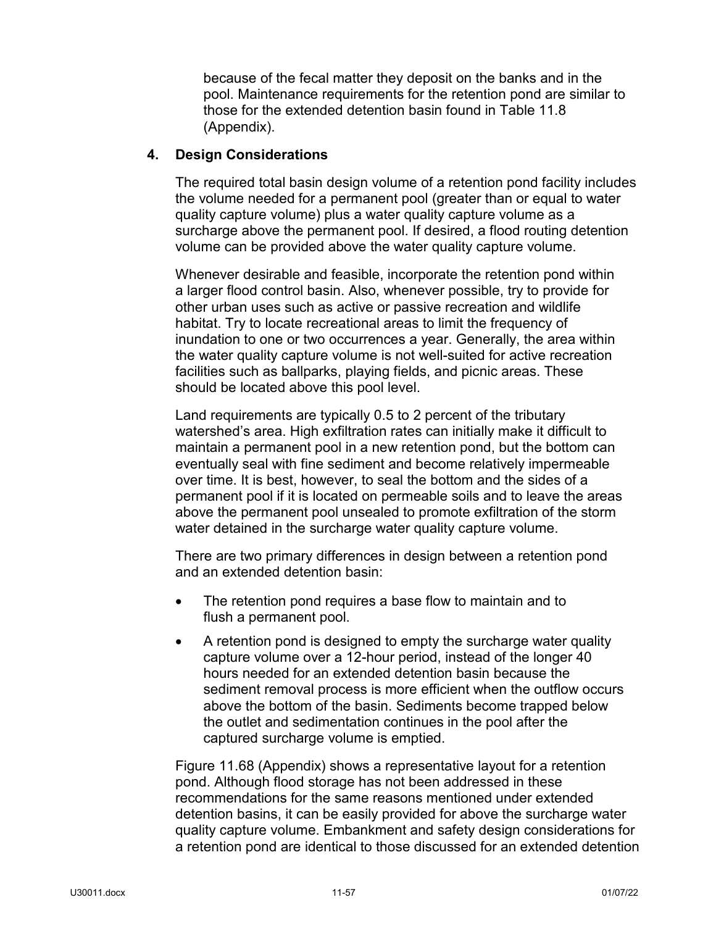because of the fecal matter they deposit on the banks and in the pool. Maintenance requirements for the retention pond are similar to those for the extended detention basin found in Table 11.8 (Appendix).

### **4. Design Considerations**

The required total basin design volume of a retention pond facility includes the volume needed for a permanent pool (greater than or equal to water quality capture volume) plus a water quality capture volume as a surcharge above the permanent pool. If desired, a flood routing detention volume can be provided above the water quality capture volume.

Whenever desirable and feasible, incorporate the retention pond within a larger flood control basin. Also, whenever possible, try to provide for other urban uses such as active or passive recreation and wildlife habitat. Try to locate recreational areas to limit the frequency of inundation to one or two occurrences a year. Generally, the area within the water quality capture volume is not well-suited for active recreation facilities such as ballparks, playing fields, and picnic areas. These should be located above this pool level.

Land requirements are typically 0.5 to 2 percent of the tributary watershed's area. High exfiltration rates can initially make it difficult to maintain a permanent pool in a new retention pond, but the bottom can eventually seal with fine sediment and become relatively impermeable over time. It is best, however, to seal the bottom and the sides of a permanent pool if it is located on permeable soils and to leave the areas above the permanent pool unsealed to promote exfiltration of the storm water detained in the surcharge water quality capture volume.

There are two primary differences in design between a retention pond and an extended detention basin:

- The retention pond requires a base flow to maintain and to flush a permanent pool.
- A retention pond is designed to empty the surcharge water quality capture volume over a 12-hour period, instead of the longer 40 hours needed for an extended detention basin because the sediment removal process is more efficient when the outflow occurs above the bottom of the basin. Sediments become trapped below the outlet and sedimentation continues in the pool after the captured surcharge volume is emptied.

Figure 11.68 (Appendix) shows a representative layout for a retention pond. Although flood storage has not been addressed in these recommendations for the same reasons mentioned under extended detention basins, it can be easily provided for above the surcharge water quality capture volume. Embankment and safety design considerations for a retention pond are identical to those discussed for an extended detention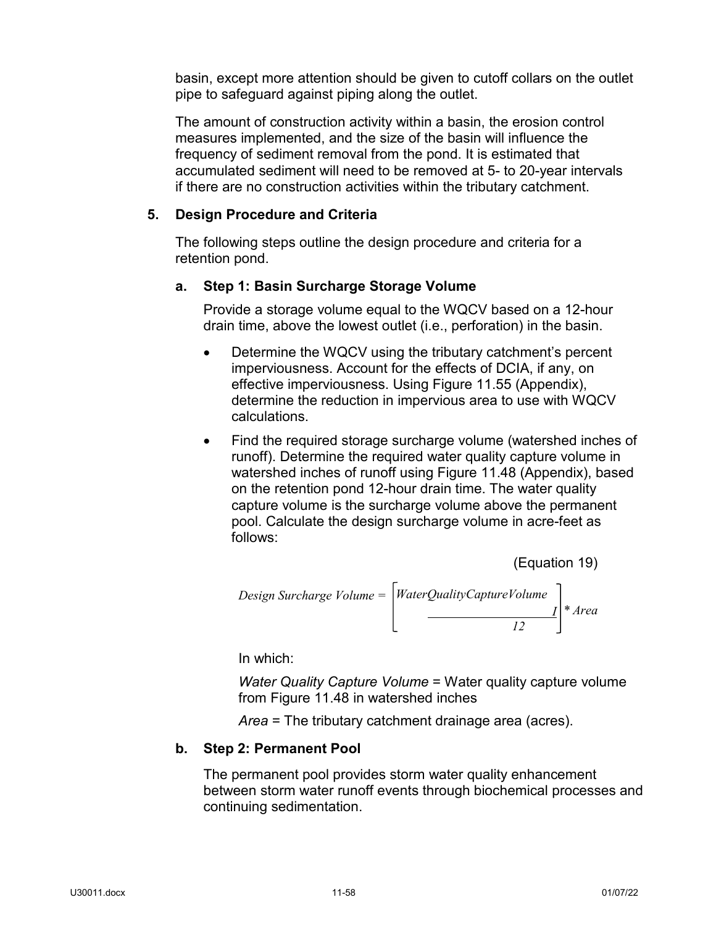basin, except more attention should be given to cutoff collars on the outlet pipe to safeguard against piping along the outlet.

The amount of construction activity within a basin, the erosion control measures implemented, and the size of the basin will influence the frequency of sediment removal from the pond. It is estimated that accumulated sediment will need to be removed at 5- to 20-year intervals if there are no construction activities within the tributary catchment.

### **5. Design Procedure and Criteria**

The following steps outline the design procedure and criteria for a retention pond.

### **a. Step 1: Basin Surcharge Storage Volume**

Provide a storage volume equal to the WQCV based on a 12-hour drain time, above the lowest outlet (i.e., perforation) in the basin.

- Determine the WQCV using the tributary catchment's percent imperviousness. Account for the effects of DCIA, if any, on effective imperviousness. Using Figure 11.55 (Appendix), determine the reduction in impervious area to use with WQCV calculations.
- Find the required storage surcharge volume (watershed inches of runoff). Determine the required water quality capture volume in watershed inches of runoff using Figure 11.48 (Appendix), based on the retention pond 12-hour drain time. The water quality capture volume is the surcharge volume above the permanent pool. Calculate the design surcharge volume in acre-feet as follows:

(Equation 19)

Design Surface Volume =

\n
$$
\left[\n\begin{array}{c}\n\text{WaterQualityCapture} \text{Volume} \\
\hline\n\begin{array}{c}\n\end{array}\n\end{array}\n\right]\n* Area
$$

In which:

*Water Quality Capture Volume* = Water quality capture volume from Figure 11.48 in watershed inches

*Area* = The tributary catchment drainage area (acres).

### **b. Step 2: Permanent Pool**

The permanent pool provides storm water quality enhancement between storm water runoff events through biochemical processes and continuing sedimentation.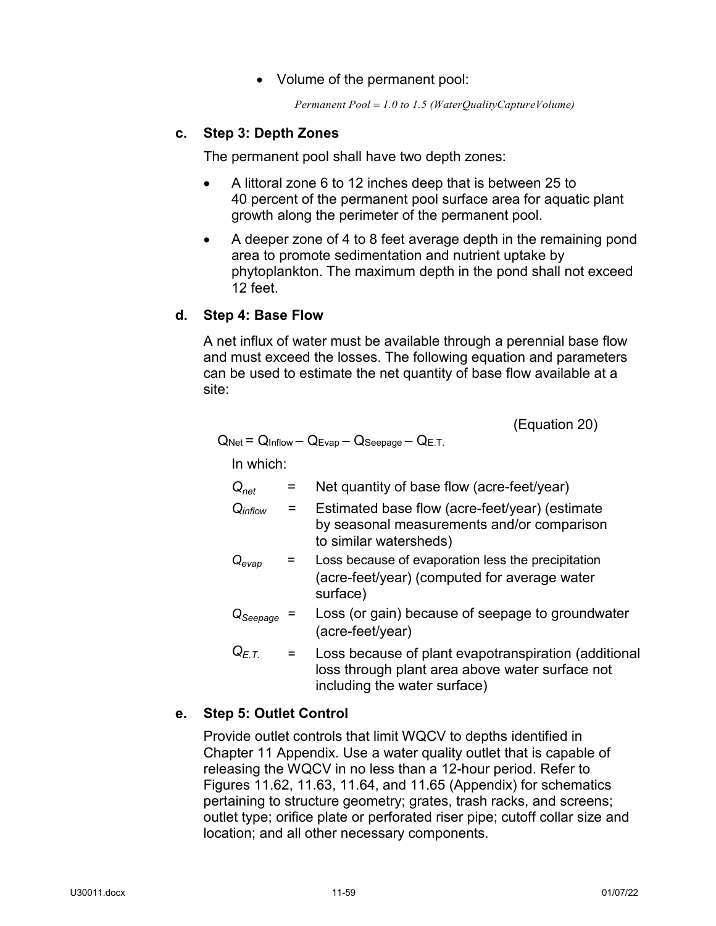• Volume of the permanent pool:

*Permanent Pool* = *1.0 to 1.5 (WaterQualityCaptureVolume)*

# **c. Step 3: Depth Zones**

The permanent pool shall have two depth zones:

- A littoral zone 6 to 12 inches deep that is between 25 to 40 percent of the permanent pool surface area for aquatic plant growth along the perimeter of the permanent pool.
- A deeper zone of 4 to 8 feet average depth in the remaining pond area to promote sedimentation and nutrient uptake by phytoplankton. The maximum depth in the pond shall not exceed 12 feet.

## **d. Step 4: Base Flow**

A net influx of water must be available through a perennial base flow and must exceed the losses. The following equation and parameters can be used to estimate the net quantity of base flow available at a site:

(Equation 20)

$$
Q_{Net} = Q_{Inflow} - Q_{Evap} - Q_{Seepage} - Q_{E.T.}
$$

In which:

| $Q_{net}$                    | Net quantity of base flow (acre-feet/year)                                                                             |
|------------------------------|------------------------------------------------------------------------------------------------------------------------|
| Qinflow                      | Estimated base flow (acre-feet/year) (estimate<br>by seasonal measurements and/or comparison<br>to similar watersheds) |
| $\mathsf{Q}_{\mathsf{evap}}$ | Loss because of evaporation less the precipitation<br>(acre-feet/year) (computed for average water<br>surface)         |
| $Q_{Seepage}$                | Loss (or gain) because of seepage to groundwater<br>(acre-feet/year)                                                   |
| $Q_{F,T}$                    | Loss because of plant evapotranspiration (additional<br>loss through plant area above water surface not                |

# **e. Step 5: Outlet Control**

Provide outlet controls that limit WQCV to depths identified in Chapter 11 Appendix. Use a water quality outlet that is capable of releasing the WQCV in no less than a 12-hour period. Refer to Figures 11.62, 11.63, 11.64, and 11.65 (Appendix) for schematics pertaining to structure geometry; grates, trash racks, and screens; outlet type; orifice plate or perforated riser pipe; cutoff collar size and location; and all other necessary components.

including the water surface)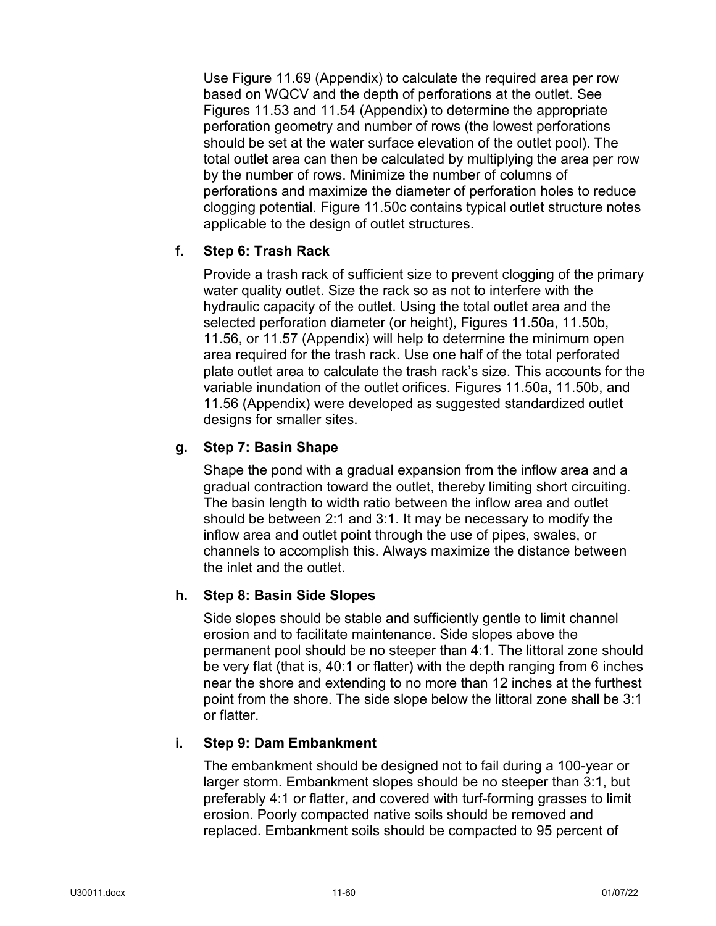Use Figure 11.69 (Appendix) to calculate the required area per row based on WQCV and the depth of perforations at the outlet. See Figures 11.53 and 11.54 (Appendix) to determine the appropriate perforation geometry and number of rows (the lowest perforations should be set at the water surface elevation of the outlet pool). The total outlet area can then be calculated by multiplying the area per row by the number of rows. Minimize the number of columns of perforations and maximize the diameter of perforation holes to reduce clogging potential. Figure 11.50c contains typical outlet structure notes applicable to the design of outlet structures.

## **f. Step 6: Trash Rack**

Provide a trash rack of sufficient size to prevent clogging of the primary water quality outlet. Size the rack so as not to interfere with the hydraulic capacity of the outlet. Using the total outlet area and the selected perforation diameter (or height), Figures 11.50a, 11.50b, 11.56, or 11.57 (Appendix) will help to determine the minimum open area required for the trash rack. Use one half of the total perforated plate outlet area to calculate the trash rack's size. This accounts for the variable inundation of the outlet orifices. Figures 11.50a, 11.50b, and 11.56 (Appendix) were developed as suggested standardized outlet designs for smaller sites.

### **g. Step 7: Basin Shape**

Shape the pond with a gradual expansion from the inflow area and a gradual contraction toward the outlet, thereby limiting short circuiting. The basin length to width ratio between the inflow area and outlet should be between 2:1 and 3:1. It may be necessary to modify the inflow area and outlet point through the use of pipes, swales, or channels to accomplish this. Always maximize the distance between the inlet and the outlet.

### **h. Step 8: Basin Side Slopes**

Side slopes should be stable and sufficiently gentle to limit channel erosion and to facilitate maintenance. Side slopes above the permanent pool should be no steeper than 4:1. The littoral zone should be very flat (that is, 40:1 or flatter) with the depth ranging from 6 inches near the shore and extending to no more than 12 inches at the furthest point from the shore. The side slope below the littoral zone shall be 3:1 or flatter.

### **i. Step 9: Dam Embankment**

The embankment should be designed not to fail during a 100-year or larger storm. Embankment slopes should be no steeper than 3:1, but preferably 4:1 or flatter, and covered with turf-forming grasses to limit erosion. Poorly compacted native soils should be removed and replaced. Embankment soils should be compacted to 95 percent of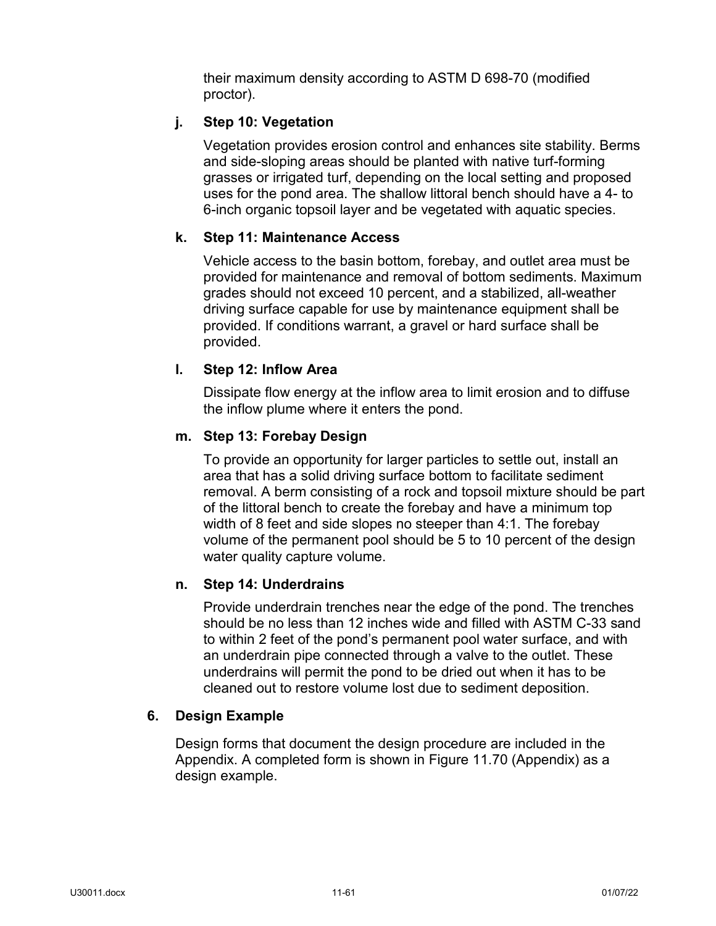their maximum density according to ASTM D 698-70 (modified proctor).

# **j. Step 10: Vegetation**

Vegetation provides erosion control and enhances site stability. Berms and side-sloping areas should be planted with native turf-forming grasses or irrigated turf, depending on the local setting and proposed uses for the pond area. The shallow littoral bench should have a 4- to 6-inch organic topsoil layer and be vegetated with aquatic species.

## **k. Step 11: Maintenance Access**

Vehicle access to the basin bottom, forebay, and outlet area must be provided for maintenance and removal of bottom sediments. Maximum grades should not exceed 10 percent, and a stabilized, all-weather driving surface capable for use by maintenance equipment shall be provided. If conditions warrant, a gravel or hard surface shall be provided.

### **l. Step 12: Inflow Area**

Dissipate flow energy at the inflow area to limit erosion and to diffuse the inflow plume where it enters the pond.

### **m. Step 13: Forebay Design**

To provide an opportunity for larger particles to settle out, install an area that has a solid driving surface bottom to facilitate sediment removal. A berm consisting of a rock and topsoil mixture should be part of the littoral bench to create the forebay and have a minimum top width of 8 feet and side slopes no steeper than 4:1. The forebay volume of the permanent pool should be 5 to 10 percent of the design water quality capture volume.

### **n. Step 14: Underdrains**

Provide underdrain trenches near the edge of the pond. The trenches should be no less than 12 inches wide and filled with ASTM C-33 sand to within 2 feet of the pond's permanent pool water surface, and with an underdrain pipe connected through a valve to the outlet. These underdrains will permit the pond to be dried out when it has to be cleaned out to restore volume lost due to sediment deposition.

### **6. Design Example**

Design forms that document the design procedure are included in the Appendix. A completed form is shown in Figure 11.70 (Appendix) as a design example.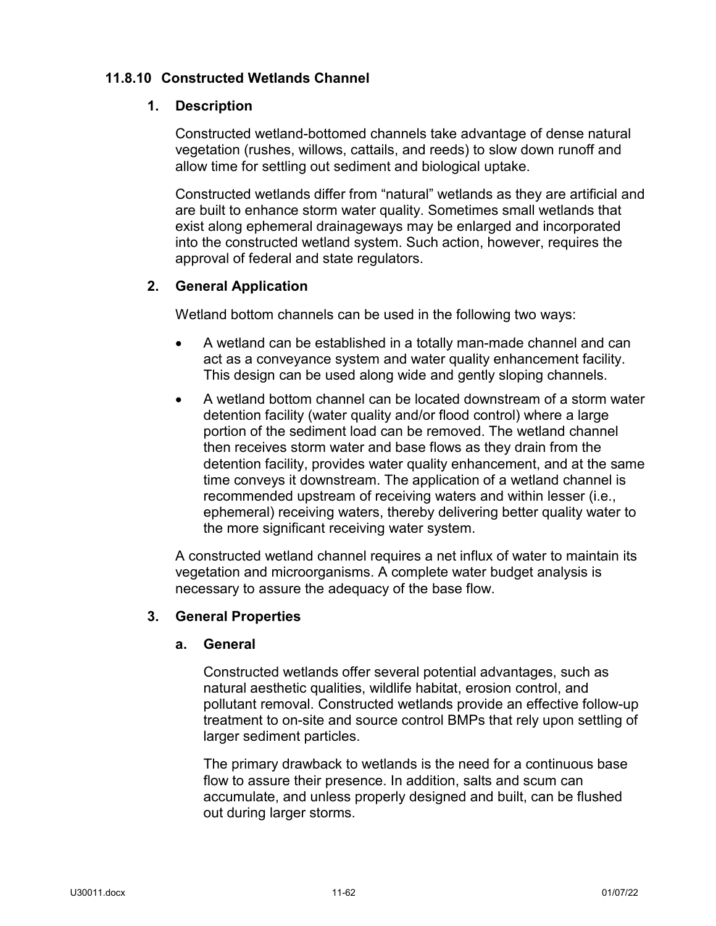## **11.8.10 Constructed Wetlands Channel**

### **1. Description**

Constructed wetland-bottomed channels take advantage of dense natural vegetation (rushes, willows, cattails, and reeds) to slow down runoff and allow time for settling out sediment and biological uptake.

Constructed wetlands differ from "natural" wetlands as they are artificial and are built to enhance storm water quality. Sometimes small wetlands that exist along ephemeral drainageways may be enlarged and incorporated into the constructed wetland system. Such action, however, requires the approval of federal and state regulators.

## **2. General Application**

Wetland bottom channels can be used in the following two ways:

- A wetland can be established in a totally man-made channel and can act as a conveyance system and water quality enhancement facility. This design can be used along wide and gently sloping channels.
- A wetland bottom channel can be located downstream of a storm water detention facility (water quality and/or flood control) where a large portion of the sediment load can be removed. The wetland channel then receives storm water and base flows as they drain from the detention facility, provides water quality enhancement, and at the same time conveys it downstream. The application of a wetland channel is recommended upstream of receiving waters and within lesser (i.e., ephemeral) receiving waters, thereby delivering better quality water to the more significant receiving water system.

A constructed wetland channel requires a net influx of water to maintain its vegetation and microorganisms. A complete water budget analysis is necessary to assure the adequacy of the base flow.

### **3. General Properties**

### **a. General**

Constructed wetlands offer several potential advantages, such as natural aesthetic qualities, wildlife habitat, erosion control, and pollutant removal. Constructed wetlands provide an effective follow-up treatment to on-site and source control BMPs that rely upon settling of larger sediment particles.

The primary drawback to wetlands is the need for a continuous base flow to assure their presence. In addition, salts and scum can accumulate, and unless properly designed and built, can be flushed out during larger storms.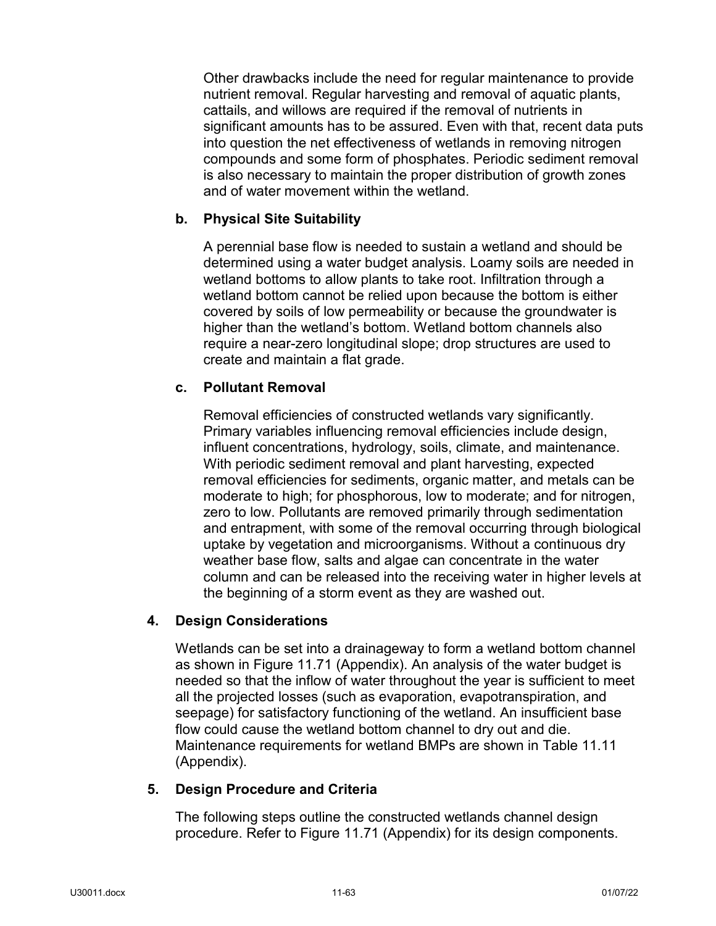Other drawbacks include the need for regular maintenance to provide nutrient removal. Regular harvesting and removal of aquatic plants, cattails, and willows are required if the removal of nutrients in significant amounts has to be assured. Even with that, recent data puts into question the net effectiveness of wetlands in removing nitrogen compounds and some form of phosphates. Periodic sediment removal is also necessary to maintain the proper distribution of growth zones and of water movement within the wetland.

### **b. Physical Site Suitability**

A perennial base flow is needed to sustain a wetland and should be determined using a water budget analysis. Loamy soils are needed in wetland bottoms to allow plants to take root. Infiltration through a wetland bottom cannot be relied upon because the bottom is either covered by soils of low permeability or because the groundwater is higher than the wetland's bottom. Wetland bottom channels also require a near-zero longitudinal slope; drop structures are used to create and maintain a flat grade.

### **c. Pollutant Removal**

Removal efficiencies of constructed wetlands vary significantly. Primary variables influencing removal efficiencies include design, influent concentrations, hydrology, soils, climate, and maintenance. With periodic sediment removal and plant harvesting, expected removal efficiencies for sediments, organic matter, and metals can be moderate to high; for phosphorous, low to moderate; and for nitrogen, zero to low. Pollutants are removed primarily through sedimentation and entrapment, with some of the removal occurring through biological uptake by vegetation and microorganisms. Without a continuous dry weather base flow, salts and algae can concentrate in the water column and can be released into the receiving water in higher levels at the beginning of a storm event as they are washed out.

### **4. Design Considerations**

Wetlands can be set into a drainageway to form a wetland bottom channel as shown in Figure 11.71 (Appendix). An analysis of the water budget is needed so that the inflow of water throughout the year is sufficient to meet all the projected losses (such as evaporation, evapotranspiration, and seepage) for satisfactory functioning of the wetland. An insufficient base flow could cause the wetland bottom channel to dry out and die. Maintenance requirements for wetland BMPs are shown in Table 11.11 (Appendix).

### **5. Design Procedure and Criteria**

The following steps outline the constructed wetlands channel design procedure. Refer to Figure 11.71 (Appendix) for its design components.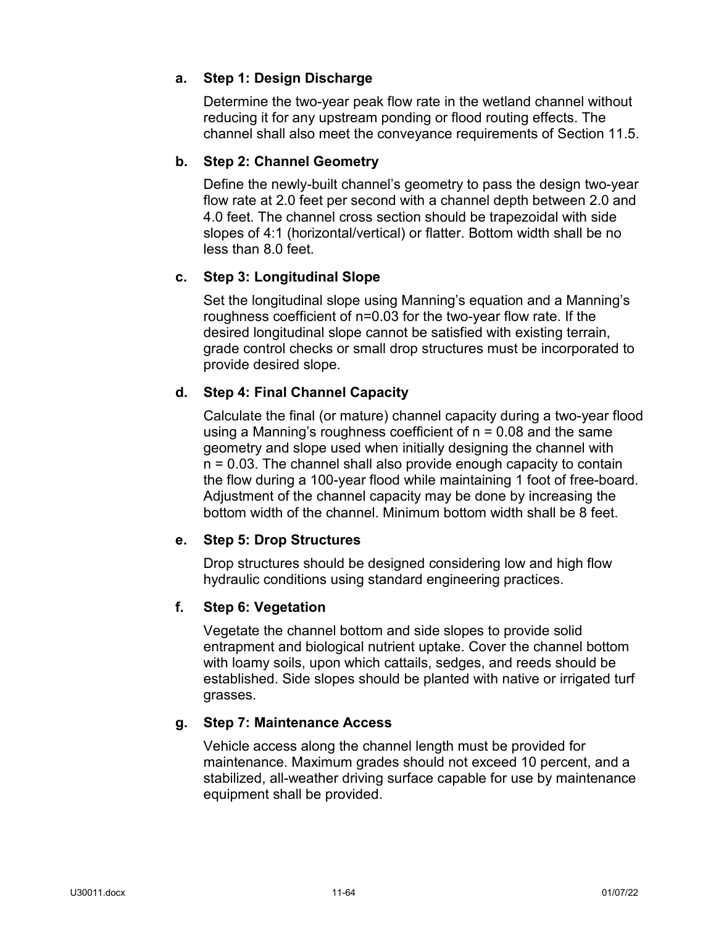# **a. Step 1: Design Discharge**

Determine the two-year peak flow rate in the wetland channel without reducing it for any upstream ponding or flood routing effects. The channel shall also meet the conveyance requirements of Section 11.5.

## **b. Step 2: Channel Geometry**

Define the newly-built channel's geometry to pass the design two-year flow rate at 2.0 feet per second with a channel depth between 2.0 and 4.0 feet. The channel cross section should be trapezoidal with side slopes of 4:1 (horizontal/vertical) or flatter. Bottom width shall be no less than 8.0 feet.

## **c. Step 3: Longitudinal Slope**

Set the longitudinal slope using Manning's equation and a Manning's roughness coefficient of n=0.03 for the two-year flow rate. If the desired longitudinal slope cannot be satisfied with existing terrain, grade control checks or small drop structures must be incorporated to provide desired slope.

# **d. Step 4: Final Channel Capacity**

Calculate the final (or mature) channel capacity during a two-year flood using a Manning's roughness coefficient of  $n = 0.08$  and the same geometry and slope used when initially designing the channel with n = 0.03. The channel shall also provide enough capacity to contain the flow during a 100-year flood while maintaining 1 foot of free-board. Adjustment of the channel capacity may be done by increasing the bottom width of the channel. Minimum bottom width shall be 8 feet.

### **e. Step 5: Drop Structures**

Drop structures should be designed considering low and high flow hydraulic conditions using standard engineering practices.

### **f. Step 6: Vegetation**

Vegetate the channel bottom and side slopes to provide solid entrapment and biological nutrient uptake. Cover the channel bottom with loamy soils, upon which cattails, sedges, and reeds should be established. Side slopes should be planted with native or irrigated turf grasses.

### **g. Step 7: Maintenance Access**

Vehicle access along the channel length must be provided for maintenance. Maximum grades should not exceed 10 percent, and a stabilized, all-weather driving surface capable for use by maintenance equipment shall be provided.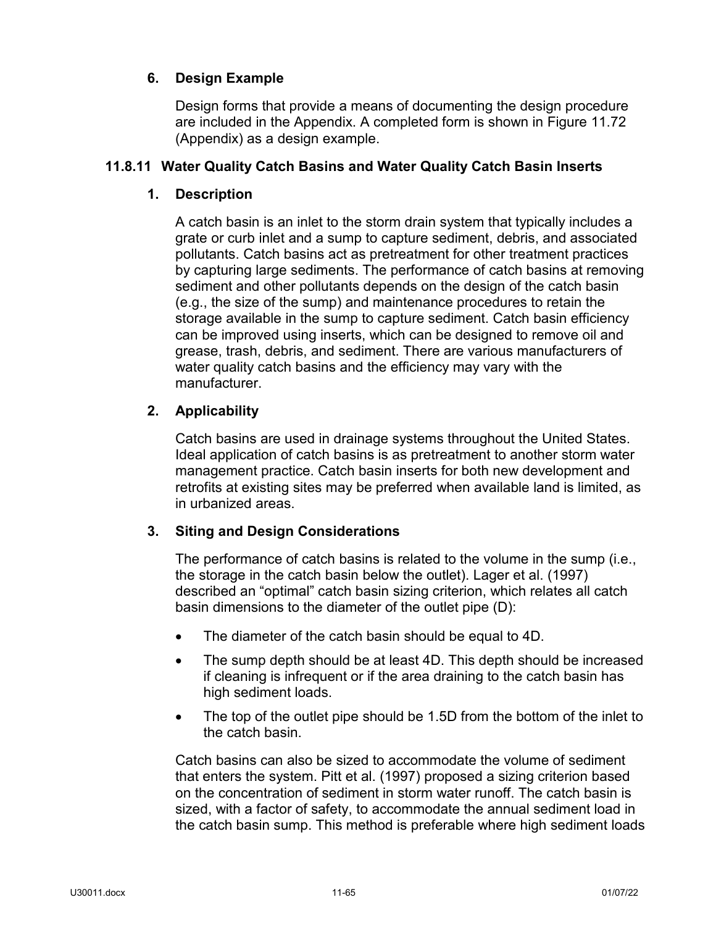# **6. Design Example**

Design forms that provide a means of documenting the design procedure are included in the Appendix. A completed form is shown in Figure 11.72 (Appendix) as a design example.

# **11.8.11 Water Quality Catch Basins and Water Quality Catch Basin Inserts**

# **1. Description**

A catch basin is an inlet to the storm drain system that typically includes a grate or curb inlet and a sump to capture sediment, debris, and associated pollutants. Catch basins act as pretreatment for other treatment practices by capturing large sediments. The performance of catch basins at removing sediment and other pollutants depends on the design of the catch basin (e.g., the size of the sump) and maintenance procedures to retain the storage available in the sump to capture sediment. Catch basin efficiency can be improved using inserts, which can be designed to remove oil and grease, trash, debris, and sediment. There are various manufacturers of water quality catch basins and the efficiency may vary with the manufacturer.

# **2. Applicability**

Catch basins are used in drainage systems throughout the United States. Ideal application of catch basins is as pretreatment to another storm water management practice. Catch basin inserts for both new development and retrofits at existing sites may be preferred when available land is limited, as in urbanized areas.

### **3. Siting and Design Considerations**

The performance of catch basins is related to the volume in the sump (i.e., the storage in the catch basin below the outlet). Lager et al. (1997) described an "optimal" catch basin sizing criterion, which relates all catch basin dimensions to the diameter of the outlet pipe (D):

- The diameter of the catch basin should be equal to 4D.
- The sump depth should be at least 4D. This depth should be increased if cleaning is infrequent or if the area draining to the catch basin has high sediment loads.
- The top of the outlet pipe should be 1.5D from the bottom of the inlet to the catch basin.

Catch basins can also be sized to accommodate the volume of sediment that enters the system. Pitt et al. (1997) proposed a sizing criterion based on the concentration of sediment in storm water runoff. The catch basin is sized, with a factor of safety, to accommodate the annual sediment load in the catch basin sump. This method is preferable where high sediment loads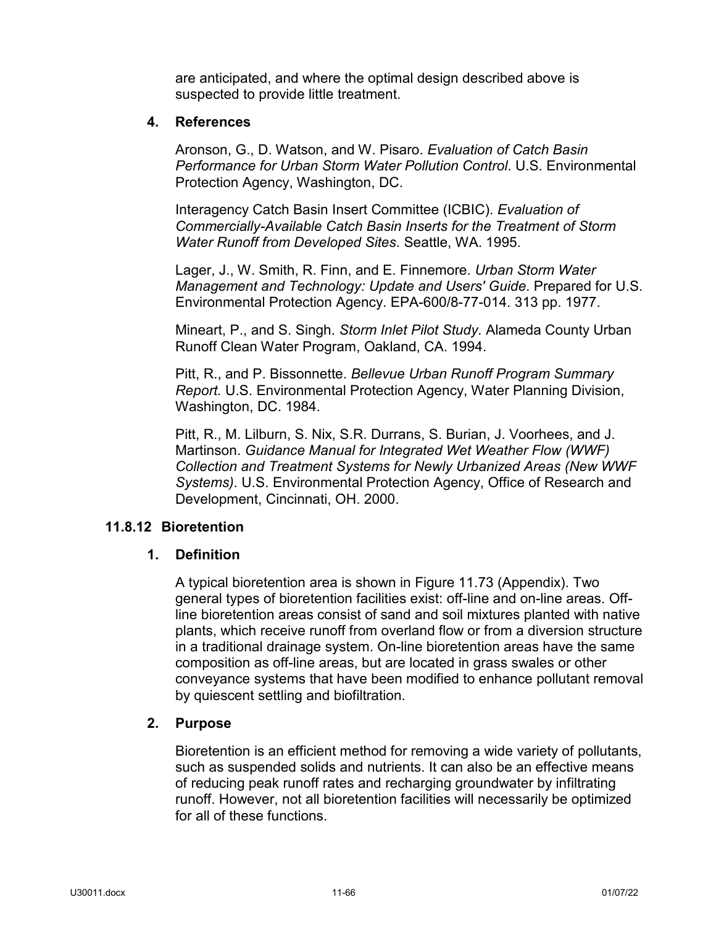are anticipated, and where the optimal design described above is suspected to provide little treatment.

### **4. References**

Aronson, G., D. Watson, and W. Pisaro. *Evaluation of Catch Basin Performance for Urban Storm Water Pollution Control*. U.S. Environmental Protection Agency, Washington, DC.

Interagency Catch Basin Insert Committee (ICBIC). *Evaluation of Commercially-Available Catch Basin Inserts for the Treatment of Storm Water Runoff from Developed Sites*. Seattle, WA. 1995.

Lager, J., W. Smith, R. Finn, and E. Finnemore. *Urban Storm Water Management and Technology: Update and Users' Guide*. Prepared for U.S. Environmental Protection Agency. EPA-600/8-77-014. 313 pp. 1977.

Mineart, P., and S. Singh. *Storm Inlet Pilot Study.* Alameda County Urban Runoff Clean Water Program, Oakland, CA. 1994.

Pitt, R., and P. Bissonnette. *Bellevue Urban Runoff Program Summary Report.* U.S. Environmental Protection Agency, Water Planning Division, Washington, DC. 1984.

Pitt, R., M. Lilburn, S. Nix, S.R. Durrans, S. Burian, J. Voorhees, and J. Martinson. *Guidance Manual for Integrated Wet Weather Flow (WWF) Collection and Treatment Systems for Newly Urbanized Areas (New WWF Systems)*. U.S. Environmental Protection Agency, Office of Research and Development, Cincinnati, OH. 2000.

### **11.8.12 Bioretention**

### **1. Definition**

A typical bioretention area is shown in Figure 11.73 (Appendix). Two general types of bioretention facilities exist: off-line and on-line areas. Offline bioretention areas consist of sand and soil mixtures planted with native plants, which receive runoff from overland flow or from a diversion structure in a traditional drainage system. On-line bioretention areas have the same composition as off-line areas, but are located in grass swales or other conveyance systems that have been modified to enhance pollutant removal by quiescent settling and biofiltration.

### **2. Purpose**

Bioretention is an efficient method for removing a wide variety of pollutants, such as suspended solids and nutrients. It can also be an effective means of reducing peak runoff rates and recharging groundwater by infiltrating runoff. However, not all bioretention facilities will necessarily be optimized for all of these functions.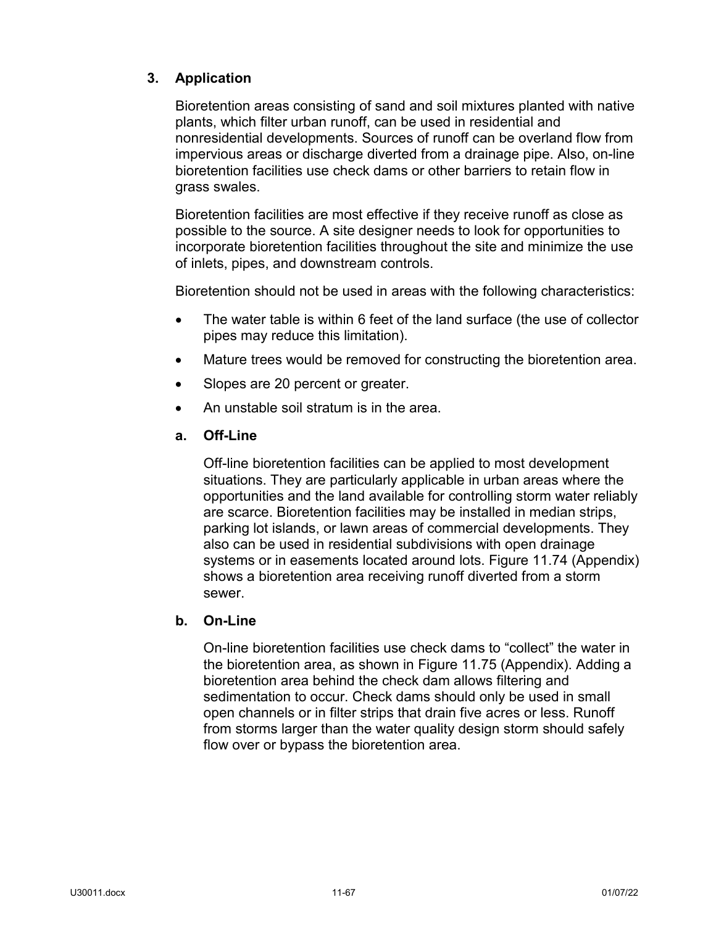# **3. Application**

Bioretention areas consisting of sand and soil mixtures planted with native plants, which filter urban runoff, can be used in residential and nonresidential developments. Sources of runoff can be overland flow from impervious areas or discharge diverted from a drainage pipe. Also, on-line bioretention facilities use check dams or other barriers to retain flow in grass swales.

Bioretention facilities are most effective if they receive runoff as close as possible to the source. A site designer needs to look for opportunities to incorporate bioretention facilities throughout the site and minimize the use of inlets, pipes, and downstream controls.

Bioretention should not be used in areas with the following characteristics:

- The water table is within 6 feet of the land surface (the use of collector pipes may reduce this limitation).
- Mature trees would be removed for constructing the bioretention area.
- Slopes are 20 percent or greater.
- An unstable soil stratum is in the area.

### **a. Off-Line**

Off-line bioretention facilities can be applied to most development situations. They are particularly applicable in urban areas where the opportunities and the land available for controlling storm water reliably are scarce. Bioretention facilities may be installed in median strips, parking lot islands, or lawn areas of commercial developments. They also can be used in residential subdivisions with open drainage systems or in easements located around lots. Figure 11.74 (Appendix) shows a bioretention area receiving runoff diverted from a storm sewer.

## **b. On-Line**

On-line bioretention facilities use check dams to "collect" the water in the bioretention area, as shown in Figure 11.75 (Appendix). Adding a bioretention area behind the check dam allows filtering and sedimentation to occur. Check dams should only be used in small open channels or in filter strips that drain five acres or less. Runoff from storms larger than the water quality design storm should safely flow over or bypass the bioretention area.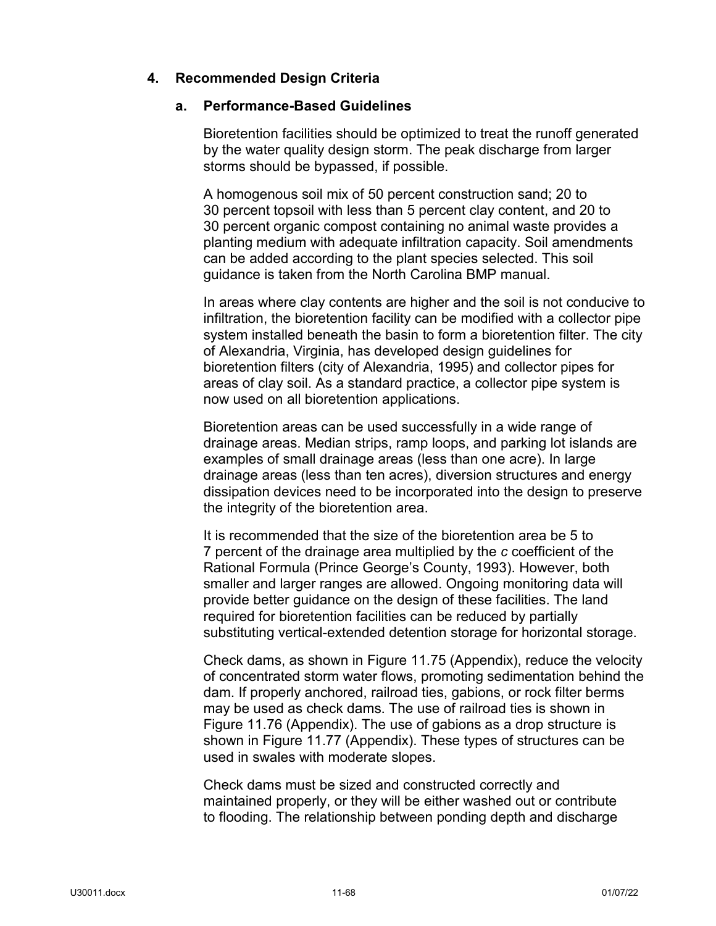# **4. Recommended Design Criteria**

### **a. Performance-Based Guidelines**

Bioretention facilities should be optimized to treat the runoff generated by the water quality design storm. The peak discharge from larger storms should be bypassed, if possible.

A homogenous soil mix of 50 percent construction sand; 20 to 30 percent topsoil with less than 5 percent clay content, and 20 to 30 percent organic compost containing no animal waste provides a planting medium with adequate infiltration capacity. Soil amendments can be added according to the plant species selected. This soil guidance is taken from the North Carolina BMP manual.

In areas where clay contents are higher and the soil is not conducive to infiltration, the bioretention facility can be modified with a collector pipe system installed beneath the basin to form a bioretention filter. The city of Alexandria, Virginia, has developed design guidelines for bioretention filters (city of Alexandria, 1995) and collector pipes for areas of clay soil. As a standard practice, a collector pipe system is now used on all bioretention applications.

Bioretention areas can be used successfully in a wide range of drainage areas. Median strips, ramp loops, and parking lot islands are examples of small drainage areas (less than one acre). In large drainage areas (less than ten acres), diversion structures and energy dissipation devices need to be incorporated into the design to preserve the integrity of the bioretention area.

It is recommended that the size of the bioretention area be 5 to 7 percent of the drainage area multiplied by the *c* coefficient of the Rational Formula (Prince George's County, 1993). However, both smaller and larger ranges are allowed. Ongoing monitoring data will provide better guidance on the design of these facilities. The land required for bioretention facilities can be reduced by partially substituting vertical-extended detention storage for horizontal storage.

Check dams, as shown in Figure 11.75 (Appendix), reduce the velocity of concentrated storm water flows, promoting sedimentation behind the dam. If properly anchored, railroad ties, gabions, or rock filter berms may be used as check dams. The use of railroad ties is shown in Figure 11.76 (Appendix). The use of gabions as a drop structure is shown in Figure 11.77 (Appendix). These types of structures can be used in swales with moderate slopes.

Check dams must be sized and constructed correctly and maintained properly, or they will be either washed out or contribute to flooding. The relationship between ponding depth and discharge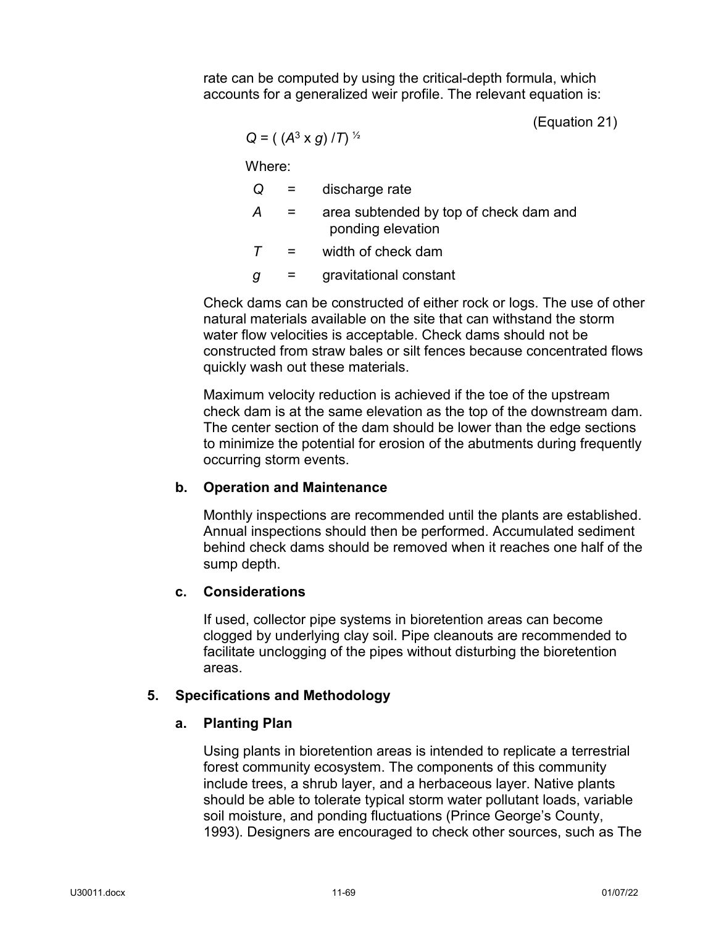rate can be computed by using the critical-depth formula, which accounts for a generalized weir profile. The relevant equation is:

(Equation 21)

$$
Q = ((A3 × g) / T)1/2
$$

Where:

*Q* = discharge rate

- *A* = area subtended by top of check dam and ponding elevation
- *T* = width of check dam
- *g* = gravitational constant

Check dams can be constructed of either rock or logs. The use of other natural materials available on the site that can withstand the storm water flow velocities is acceptable. Check dams should not be constructed from straw bales or silt fences because concentrated flows quickly wash out these materials.

Maximum velocity reduction is achieved if the toe of the upstream check dam is at the same elevation as the top of the downstream dam. The center section of the dam should be lower than the edge sections to minimize the potential for erosion of the abutments during frequently occurring storm events.

# **b. Operation and Maintenance**

Monthly inspections are recommended until the plants are established. Annual inspections should then be performed. Accumulated sediment behind check dams should be removed when it reaches one half of the sump depth.

### **c. Considerations**

If used, collector pipe systems in bioretention areas can become clogged by underlying clay soil. Pipe cleanouts are recommended to facilitate unclogging of the pipes without disturbing the bioretention areas.

### **5. Specifications and Methodology**

# **a. Planting Plan**

Using plants in bioretention areas is intended to replicate a terrestrial forest community ecosystem. The components of this community include trees, a shrub layer, and a herbaceous layer. Native plants should be able to tolerate typical storm water pollutant loads, variable soil moisture, and ponding fluctuations (Prince George's County, 1993). Designers are encouraged to check other sources, such as The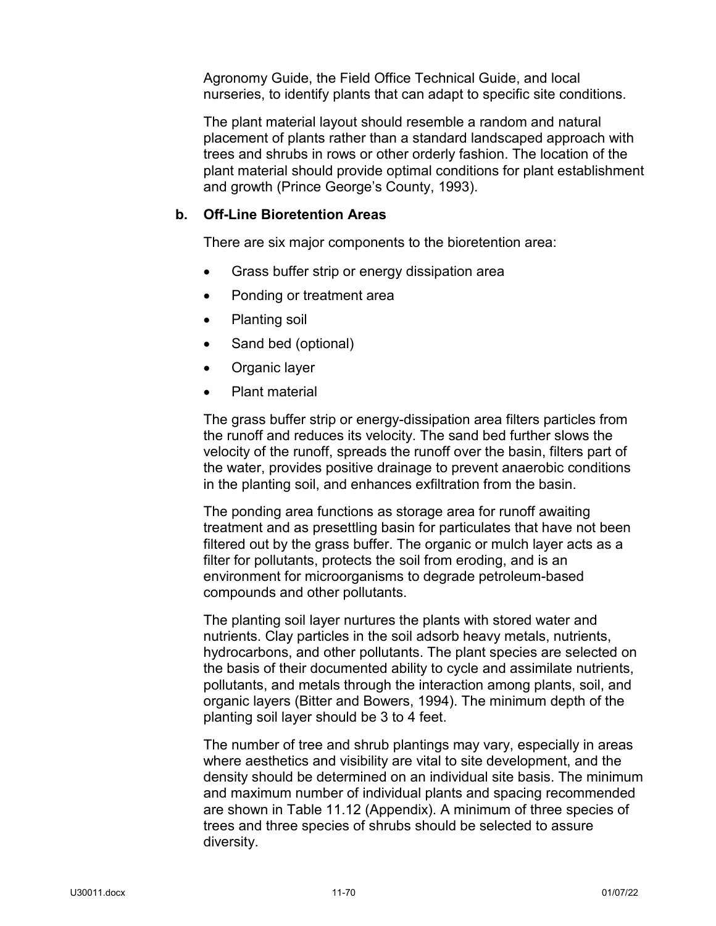Agronomy Guide, the Field Office Technical Guide, and local nurseries, to identify plants that can adapt to specific site conditions.

The plant material layout should resemble a random and natural placement of plants rather than a standard landscaped approach with trees and shrubs in rows or other orderly fashion. The location of the plant material should provide optimal conditions for plant establishment and growth (Prince George's County, 1993).

## **b. Off-Line Bioretention Areas**

There are six major components to the bioretention area:

- Grass buffer strip or energy dissipation area
- Ponding or treatment area
- Planting soil
- Sand bed (optional)
- Organic layer
- Plant material

The grass buffer strip or energy-dissipation area filters particles from the runoff and reduces its velocity. The sand bed further slows the velocity of the runoff, spreads the runoff over the basin, filters part of the water, provides positive drainage to prevent anaerobic conditions in the planting soil, and enhances exfiltration from the basin.

The ponding area functions as storage area for runoff awaiting treatment and as presettling basin for particulates that have not been filtered out by the grass buffer. The organic or mulch layer acts as a filter for pollutants, protects the soil from eroding, and is an environment for microorganisms to degrade petroleum-based compounds and other pollutants.

The planting soil layer nurtures the plants with stored water and nutrients. Clay particles in the soil adsorb heavy metals, nutrients, hydrocarbons, and other pollutants. The plant species are selected on the basis of their documented ability to cycle and assimilate nutrients, pollutants, and metals through the interaction among plants, soil, and organic layers (Bitter and Bowers, 1994). The minimum depth of the planting soil layer should be 3 to 4 feet.

The number of tree and shrub plantings may vary, especially in areas where aesthetics and visibility are vital to site development, and the density should be determined on an individual site basis. The minimum and maximum number of individual plants and spacing recommended are shown in Table 11.12 (Appendix). A minimum of three species of trees and three species of shrubs should be selected to assure diversity.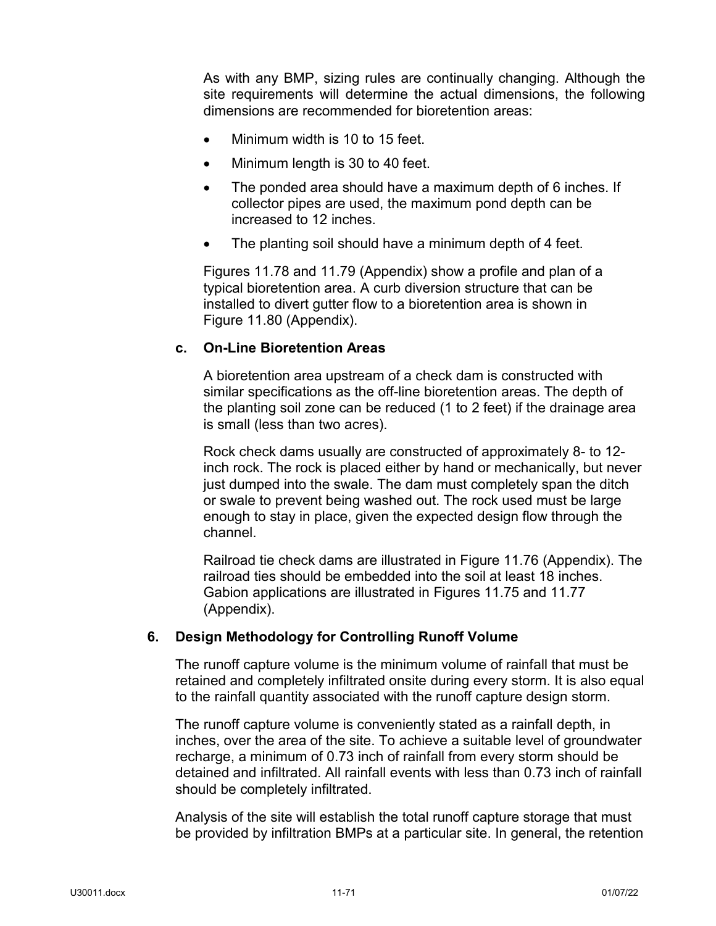As with any BMP, sizing rules are continually changing. Although the site requirements will determine the actual dimensions, the following dimensions are recommended for bioretention areas:

- Minimum width is 10 to 15 feet.
- Minimum length is 30 to 40 feet.
- The ponded area should have a maximum depth of 6 inches. If collector pipes are used, the maximum pond depth can be increased to 12 inches.
- The planting soil should have a minimum depth of 4 feet.

Figures 11.78 and 11.79 (Appendix) show a profile and plan of a typical bioretention area. A curb diversion structure that can be installed to divert gutter flow to a bioretention area is shown in Figure 11.80 (Appendix).

## **c. On-Line Bioretention Areas**

A bioretention area upstream of a check dam is constructed with similar specifications as the off-line bioretention areas. The depth of the planting soil zone can be reduced (1 to 2 feet) if the drainage area is small (less than two acres).

Rock check dams usually are constructed of approximately 8- to 12 inch rock. The rock is placed either by hand or mechanically, but never just dumped into the swale. The dam must completely span the ditch or swale to prevent being washed out. The rock used must be large enough to stay in place, given the expected design flow through the channel.

Railroad tie check dams are illustrated in Figure 11.76 (Appendix). The railroad ties should be embedded into the soil at least 18 inches. Gabion applications are illustrated in Figures 11.75 and 11.77 (Appendix).

## **6. Design Methodology for Controlling Runoff Volume**

The runoff capture volume is the minimum volume of rainfall that must be retained and completely infiltrated onsite during every storm. It is also equal to the rainfall quantity associated with the runoff capture design storm.

The runoff capture volume is conveniently stated as a rainfall depth, in inches, over the area of the site. To achieve a suitable level of groundwater recharge, a minimum of 0.73 inch of rainfall from every storm should be detained and infiltrated. All rainfall events with less than 0.73 inch of rainfall should be completely infiltrated.

Analysis of the site will establish the total runoff capture storage that must be provided by infiltration BMPs at a particular site. In general, the retention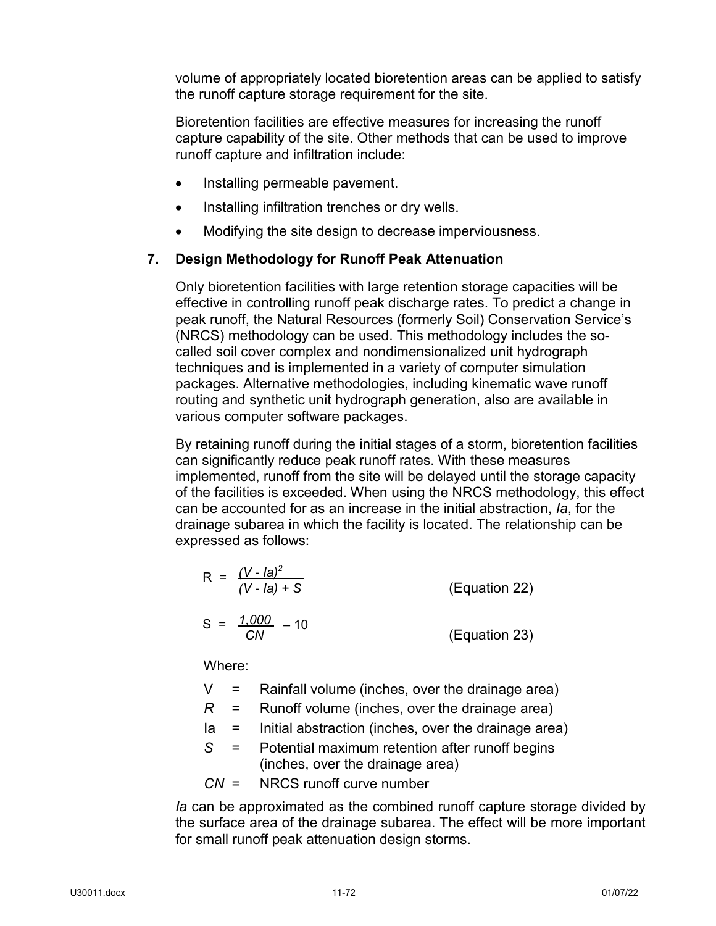volume of appropriately located bioretention areas can be applied to satisfy the runoff capture storage requirement for the site.

Bioretention facilities are effective measures for increasing the runoff capture capability of the site. Other methods that can be used to improve runoff capture and infiltration include:

- Installing permeable pavement.
- Installing infiltration trenches or dry wells.
- Modifying the site design to decrease imperviousness.

# **7. Design Methodology for Runoff Peak Attenuation**

Only bioretention facilities with large retention storage capacities will be effective in controlling runoff peak discharge rates. To predict a change in peak runoff, the Natural Resources (formerly Soil) Conservation Service's (NRCS) methodology can be used. This methodology includes the socalled soil cover complex and nondimensionalized unit hydrograph techniques and is implemented in a variety of computer simulation packages. Alternative methodologies, including kinematic wave runoff routing and synthetic unit hydrograph generation, also are available in various computer software packages.

By retaining runoff during the initial stages of a storm, bioretention facilities can significantly reduce peak runoff rates. With these measures implemented, runoff from the site will be delayed until the storage capacity of the facilities is exceeded. When using the NRCS methodology, this effect can be accounted for as an increase in the initial abstraction, *Ia*, for the drainage subarea in which the facility is located. The relationship can be expressed as follows:

$$
R = \frac{(V - Ia)^2}{(V - Ia) + S}
$$
 (Equation 22)  

$$
S = \frac{1.000}{CN} - 10
$$
 (Equation 23)

Where:

- $V =$  Rainfall volume (inches, over the drainage area)
- *R* = Runoff volume (inches, over the drainage area)
- $Ia =$  Initial abstraction (inches, over the drainage area)
- *S* = Potential maximum retention after runoff begins (inches, over the drainage area)
- *CN* = NRCS runoff curve number

*Ia* can be approximated as the combined runoff capture storage divided by the surface area of the drainage subarea. The effect will be more important for small runoff peak attenuation design storms.